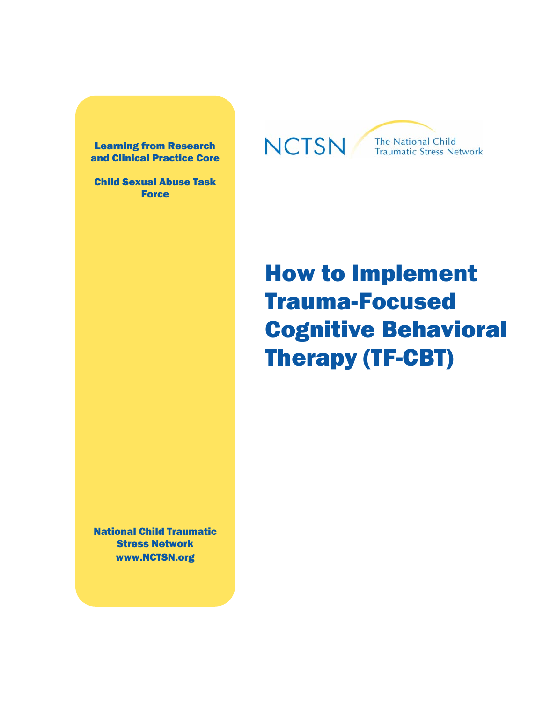Learning from Research and Clinical Practice Core

Child Sexual Abuse Task Force

## **NCTSN**

The National Child **Traumatic Stress Network** 

# How to Implement Trauma-Focused Cognitive Behavioral Therapy (TF-CBT)

National Child Traumatic Stress Network www.NCTSN.org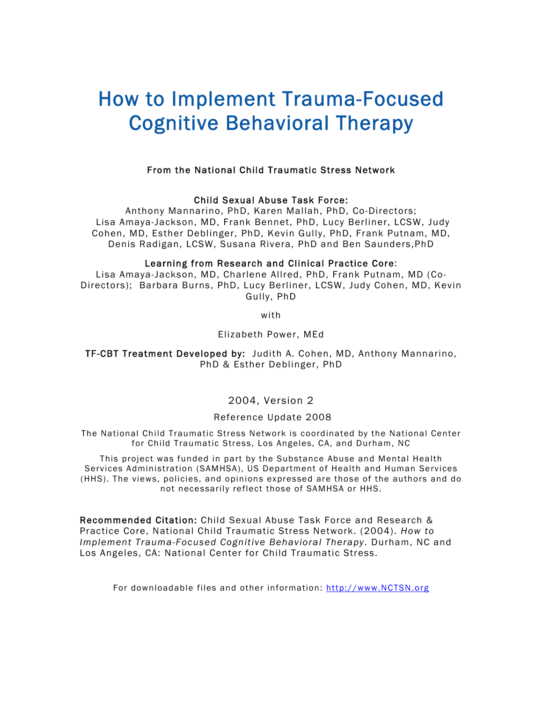## How to Implement Trauma-Focused Cognitive Behavioral Therapy

#### From the National Child Traumatic Stress Network

#### Child Sexual Abuse Task Force:

Anthony Mannarino, PhD, Karen Mallah, PhD, Co-Directors; Lisa Amaya-Jackson, MD, Frank Bennet, PhD, Lucy Berliner, LCSW, Judy Cohen, MD, Esther Deblinger, PhD, Kevin Gully, PhD, Frank Putnam, MD, Denis Radigan, LCSW, Susana Rivera, PhD and Ben Saunders,PhD

#### Learning from Research and Clinical Practice Core:

Lisa Amaya-Jackson, MD, Charlene Allred, PhD, Frank Putnam, MD (Co-Directors); Barbara Burns, PhD, Lucy Berliner, LCSW, Judy Cohen, MD, Kevin Gully, PhD

with

Elizabeth Power, MEd

TF-CBT Treatment Developed by: Judith A. Cohen, MD, Anthony Mannarino, PhD & Esther Deblinger, PhD

#### 2004, Version 2

#### Reference Update 2008

The National Child Traumatic Stress Network is coordinated by the National Center for Child Traumatic Stress, Los Angeles, CA, and Durham, NC

This project was funded in part by the Substance Abuse and Mental Health Services Administration (SAMHSA), US Department of Health and Human Services (HHS). The views, policies, and opinions expressed are those of the authors and do not necessarily reflect those of SAMHSA or HHS.

Recommended Citation: Child Sexual Abuse Task Force and Research & Practice Core, National Child Traumatic Stress Network. (2004). *How to Implement Trauma-Focused Cognitive Behavioral Therapy.* Durham, NC and Los Angeles, CA: National Center for Child Traumatic Stress.

For downloadable files and other information: http://www.NCTSN.org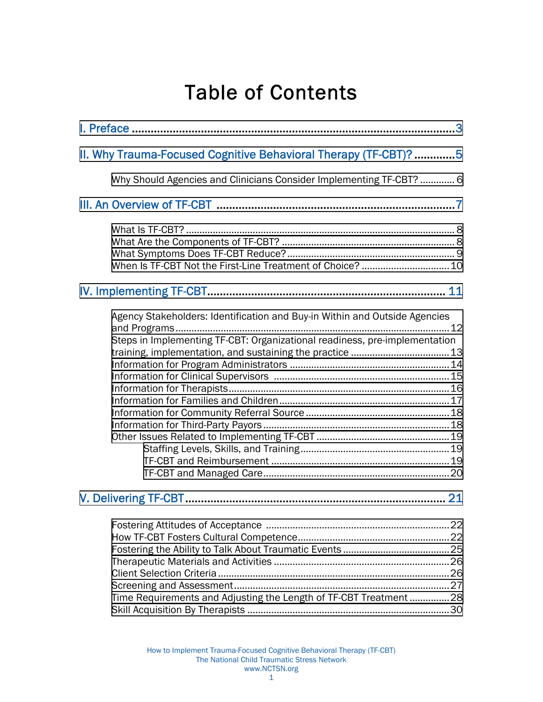## Table of Contents

| II. Why Trauma-Focused Cognitive Behavioral Therapy (TF-CBT)? 5                                                                                          |  |  |  |  |  |  |
|----------------------------------------------------------------------------------------------------------------------------------------------------------|--|--|--|--|--|--|
| Why Should Agencies and Clinicians Consider Implementing TF-CBT?  6                                                                                      |  |  |  |  |  |  |
|                                                                                                                                                          |  |  |  |  |  |  |
|                                                                                                                                                          |  |  |  |  |  |  |
|                                                                                                                                                          |  |  |  |  |  |  |
| Agency Stakeholders: Identification and Buy-in Within and Outside Agencies<br>Steps in Implementing TF-CBT: Organizational readiness, pre-implementation |  |  |  |  |  |  |
| 21                                                                                                                                                       |  |  |  |  |  |  |
| Time Requirements and Adjusting the Length of TF-CBT Treatment 28                                                                                        |  |  |  |  |  |  |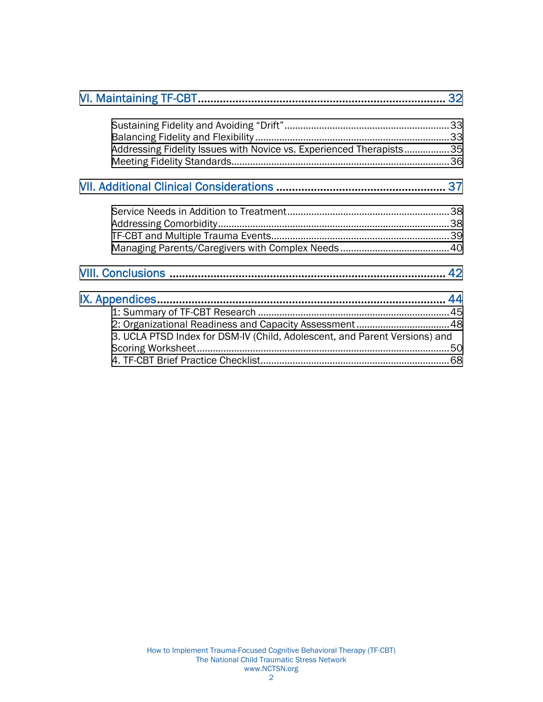| Addressing Fidelity Issues with Novice vs. Experienced Therapists35        |  |
|----------------------------------------------------------------------------|--|
|                                                                            |  |
|                                                                            |  |
|                                                                            |  |
|                                                                            |  |
|                                                                            |  |
|                                                                            |  |
|                                                                            |  |
|                                                                            |  |
|                                                                            |  |
|                                                                            |  |
|                                                                            |  |
| 2: Organizational Readiness and Capacity Assessment 48                     |  |
| 3. UCLA PTSD Index for DSM-IV (Child, Adolescent, and Parent Versions) and |  |
|                                                                            |  |
|                                                                            |  |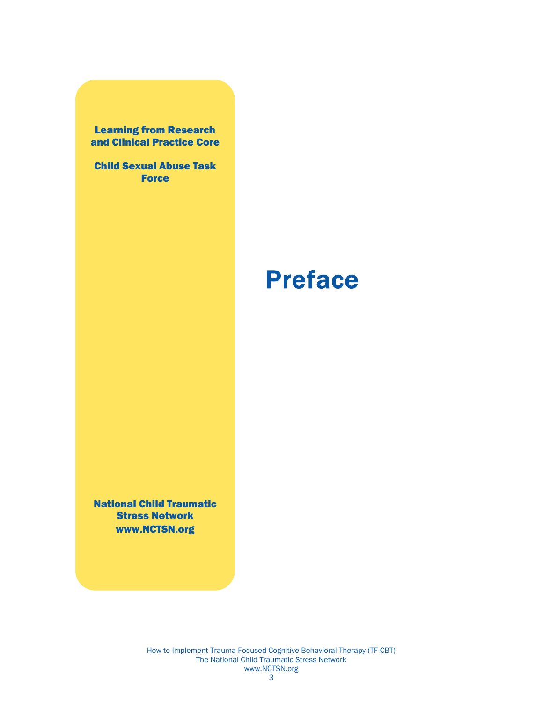<span id="page-4-0"></span>Learning from Research and Clinical Practice Core

Child Sexual Abuse Task **Force** 

# Preface

National Child Traumatic Stress Network www.NCTSN.org

> How to Implement Trauma-Focused Cognitive Behavioral Therapy (TF-CBT) The National Child Traumatic Stress Network www.NCTSN.org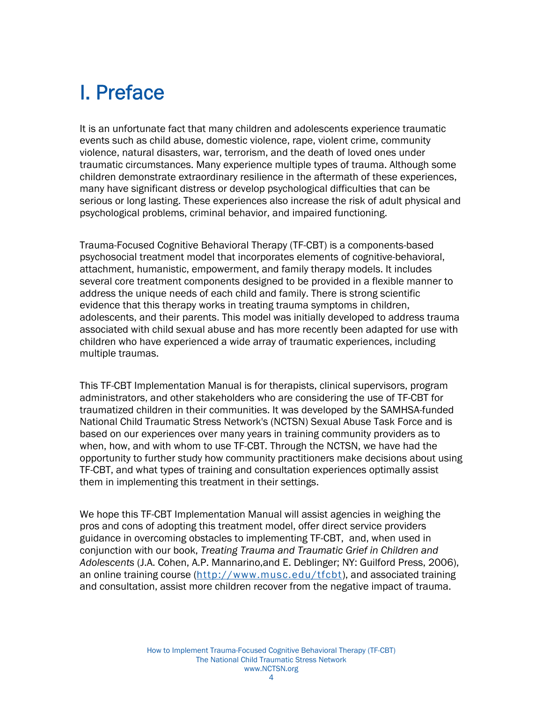## I. Preface

It is an unfortunate fact that many children and adolescents experience traumatic events such as child abuse, domestic violence, rape, violent crime, community violence, natural disasters, war, terrorism, and the death of loved ones under traumatic circumstances. Many experience multiple types of trauma. Although some children demonstrate extraordinary resilience in the aftermath of these experiences, many have significant distress or develop psychological difficulties that can be serious or long lasting. These experiences also increase the risk of adult physical and psychological problems, criminal behavior, and impaired functioning.

Trauma-Focused Cognitive Behavioral Therapy (TF-CBT) is a components-based psychosocial treatment model that incorporates elements of cognitive-behavioral, attachment, humanistic, empowerment, and family therapy models. It includes several core treatment components designed to be provided in a flexible manner to address the unique needs of each child and family. There is strong scientific evidence that this therapy works in treating trauma symptoms in children, adolescents, and their parents. This model was initially developed to address trauma associated with child sexual abuse and has more recently been adapted for use with children who have experienced a wide array of traumatic experiences, including multiple traumas.

This TF-CBT Implementation Manual is for therapists, clinical supervisors, program administrators, and other stakeholders who are considering the use of TF-CBT for traumatized children in their communities. It was developed by the SAMHSA-funded National Child Traumatic Stress Network's (NCTSN) Sexual Abuse Task Force and is based on our experiences over many years in training community providers as to when, how, and with whom to use TF-CBT. Through the NCTSN, we have had the opportunity to further study how community practitioners make decisions about using TF-CBT, and what types of training and consultation experiences optimally assist them in implementing this treatment in their settings.

We hope this TF-CBT Implementation Manual will assist agencies in weighing the pros and cons of adopting this treatment model, offer direct service providers guidance in overcoming obstacles to implementing TF-CBT, and, when used in conjunction with our book, *Treating Trauma and Traumatic Grief in Children and Adolescents* (J.A. Cohen, A.P. Mannarino,and E. Deblinger; NY: Guilford Press, 2006), an online training course (http://www.musc.edu/tfcbt), and associated training and consultation, assist more children recover from the negative impact of trauma.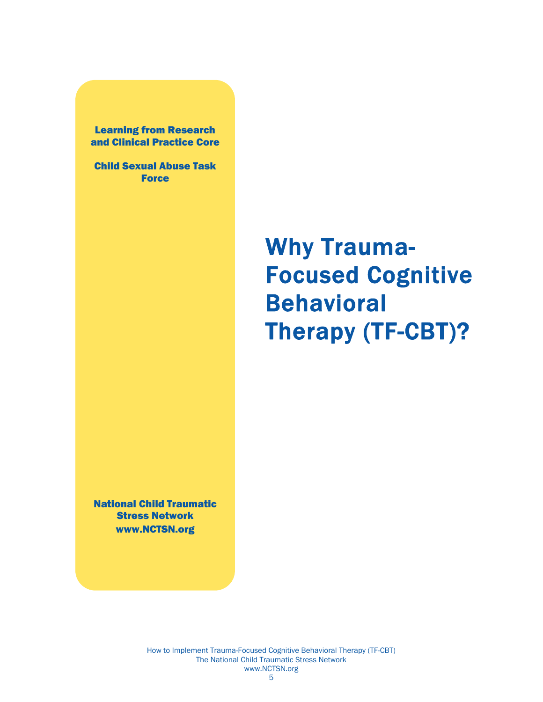<span id="page-6-0"></span>Learning from Research and Clinical Practice Core

Child Sexual Abuse Task Force

# Why Trauma-Focused Cognitive Behavioral Therapy (TF-CBT)?

National Child Traumatic Stress Network www.NCTSN.org

> How to Implement Trauma-Focused Cognitive Behavioral Therapy (TF-CBT) The National Child Traumatic Stress Network www.NCTSN.org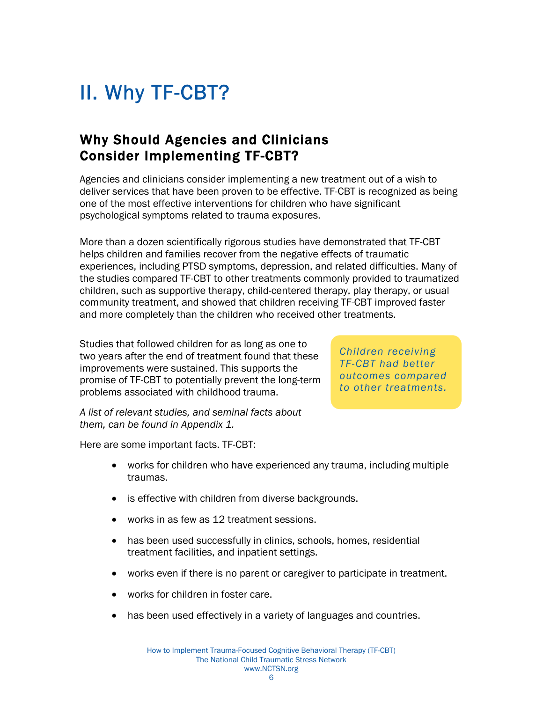## <span id="page-7-0"></span>II. Why TF-CBT?

## Why Should Agencies and Clinicians Consider Implementing TF-CBT?

Agencies and clinicians consider implementing a new treatment out of a wish to deliver services that have been proven to be effective. TF-CBT is recognized as being one of the most effective interventions for children who have significant psychological symptoms related to trauma exposures.

More than a dozen scientifically rigorous studies have demonstrated that TF-CBT helps children and families recover from the negative effects of traumatic experiences, including PTSD symptoms, depression, and related difficulties. Many of the studies compared TF-CBT to other treatments commonly provided to traumatized children, such as supportive therapy, child-centered therapy, play therapy, or usual community treatment, and showed that children receiving TF-CBT improved faster and more completely than the children who received other treatments.

Studies that followed children for as long as one to two years after the end of treatment found that these improvements were sustained. This supports the promise of TF-CBT to potentially prevent the long-term problems associated with childhood trauma.

*Children receiving TF-CBT had better outcomes compared to other treatments.* 

*A list of relevant studies, and seminal facts about them, can be found in Appendix 1.* 

Here are some important facts. TF-CBT:

- works for children who have experienced any trauma, including multiple traumas.
- is effective with children from diverse backgrounds.
- works in as few as 12 treatment sessions.
- has been used successfully in clinics, schools, homes, residential treatment facilities, and inpatient settings.
- works even if there is no parent or caregiver to participate in treatment.
- works for children in foster care.
- has been used effectively in a variety of languages and countries.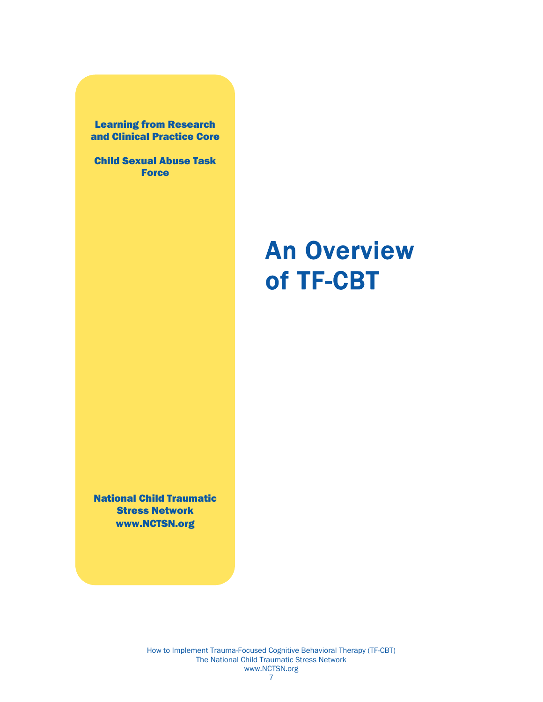#### <span id="page-8-0"></span>Learning from Research and Clinical Practice Core

Child Sexual Abuse Task **Force** 

# An Overview of TF-CBT

National Child Traumatic Stress Network www.NCTSN.org

> How to Implement Trauma-Focused Cognitive Behavioral Therapy (TF-CBT) The National Child Traumatic Stress Network www.NCTSN.org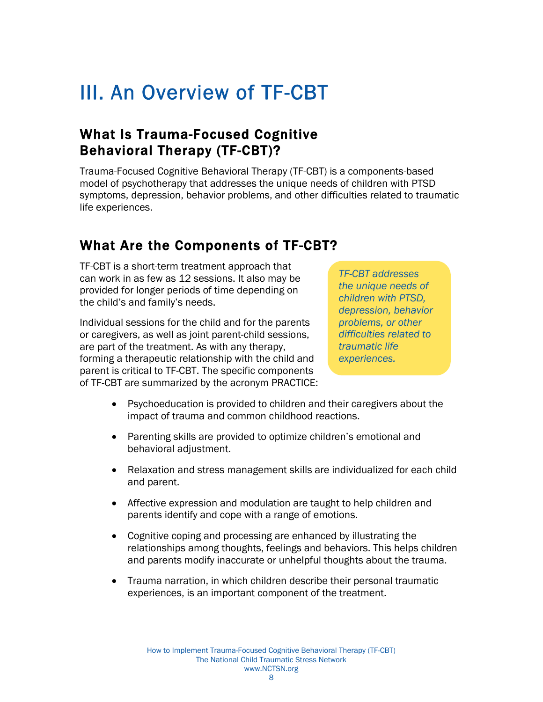## <span id="page-9-0"></span>III. An Overview of TF-CBT

## What Is Trauma-Focused Cognitive Behavioral Therapy (TF-CBT)?

Trauma-Focused Cognitive Behavioral Therapy (TF-CBT) is a components-based model of psychotherapy that addresses the unique needs of children with PTSD symptoms, depression, behavior problems, and other difficulties related to traumatic life experiences.

## What Are the Components of TF-CBT?

TF-CBT is a short-term treatment approach that can work in as few as 12 sessions. It also may be provided for longer periods of time depending on the child's and family's needs.

Individual sessions for the child and for the parents or caregivers, as well as joint parent-child sessions, are part of the treatment. As with any therapy, forming a therapeutic relationship with the child and parent is critical to TF-CBT. The specific components of TF-CBT are summarized by the acronym PRACTICE: *TF-CBT addresses the unique needs of children with PTSD, depression, behavior problems, or other difficulties related to traumatic life experiences.* 

- Psychoeducation is provided to children and their caregivers about the impact of trauma and common childhood reactions.
- Parenting skills are provided to optimize children's emotional and behavioral adjustment.
- Relaxation and stress management skills are individualized for each child and parent.
- Affective expression and modulation are taught to help children and parents identify and cope with a range of emotions.
- Cognitive coping and processing are enhanced by illustrating the relationships among thoughts, feelings and behaviors. This helps children and parents modify inaccurate or unhelpful thoughts about the trauma.
- Trauma narration, in which children describe their personal traumatic experiences, is an important component of the treatment.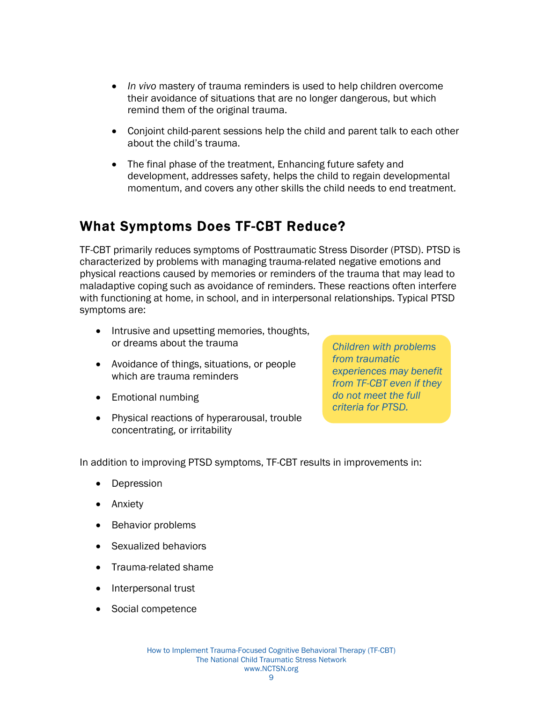- <span id="page-10-0"></span>• *In vivo* mastery of trauma reminders is used to help children overcome their avoidance of situations that are no longer dangerous, but which remind them of the original trauma.
- Conjoint child-parent sessions help the child and parent talk to each other about the child's trauma.
- The final phase of the treatment, Enhancing future safety and development, addresses safety, helps the child to regain developmental momentum, and covers any other skills the child needs to end treatment.

## What Symptoms Does TF-CBT Reduce?

TF-CBT primarily reduces symptoms of Posttraumatic Stress Disorder (PTSD). PTSD is characterized by problems with managing trauma-related negative emotions and physical reactions caused by memories or reminders of the trauma that may lead to maladaptive coping such as avoidance of reminders. These reactions often interfere with functioning at home, in school, and in interpersonal relationships. Typical PTSD symptoms are:

- Intrusive and upsetting memories, thoughts, or dreams about the trauma
- Avoidance of things, situations, or people which are trauma reminders
- Emotional numbing
- Physical reactions of hyperarousal, trouble concentrating, or irritability

*Children with problems from traumatic experiences may benefit from TF-CBT even if they do not meet the full criteria for PTSD.* 

In addition to improving PTSD symptoms, TF-CBT results in improvements in:

- Depression
- Anxiety
- Behavior problems
- Sexualized behaviors
- Trauma-related shame
- Interpersonal trust
- Social competence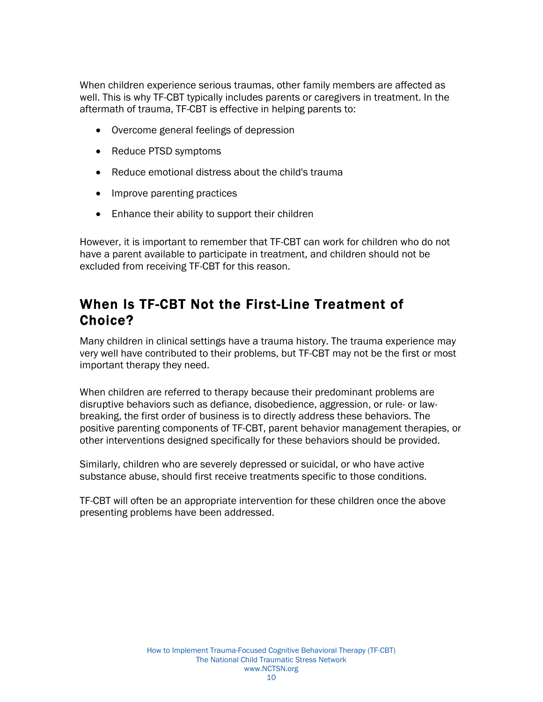<span id="page-11-0"></span>When children experience serious traumas, other family members are affected as well. This is why TF-CBT typically includes parents or caregivers in treatment. In the aftermath of trauma, TF-CBT is effective in helping parents to:

- Overcome general feelings of depression
- Reduce PTSD symptoms
- Reduce emotional distress about the child's trauma
- Improve parenting practices
- Enhance their ability to support their children

However, it is important to remember that TF-CBT can work for children who do not have a parent available to participate in treatment, and children should not be excluded from receiving TF-CBT for this reason.

#### When Is TF-CBT Not the First-Line Treatment of Choice?

Many children in clinical settings have a trauma history. The trauma experience may very well have contributed to their problems, but TF-CBT may not be the first or most important therapy they need.

When children are referred to therapy because their predominant problems are disruptive behaviors such as defiance, disobedience, aggression, or rule- or lawbreaking, the first order of business is to directly address these behaviors. The positive parenting components of TF-CBT, parent behavior management therapies, or other interventions designed specifically for these behaviors should be provided.

Similarly, children who are severely depressed or suicidal, or who have active substance abuse, should first receive treatments specific to those conditions.

TF-CBT will often be an appropriate intervention for these children once the above presenting problems have been addressed.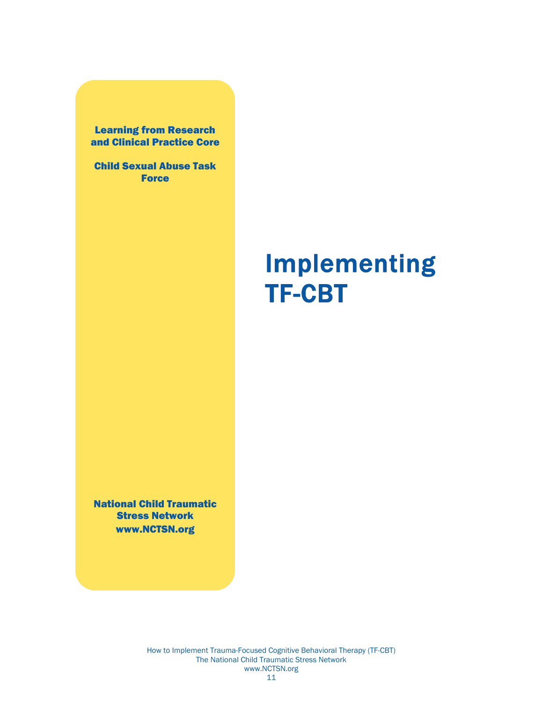<span id="page-12-0"></span>Learning from Research and Clinical Practice Core

Child Sexual Abuse Task **Force** 

# Implementing TF-CBT

National Child Traumatic Stress Network www.NCTSN.org

> How to Implement Trauma-Focused Cognitive Behavioral Therapy (TF-CBT) The National Child Traumatic Stress Network www.NCTSN.org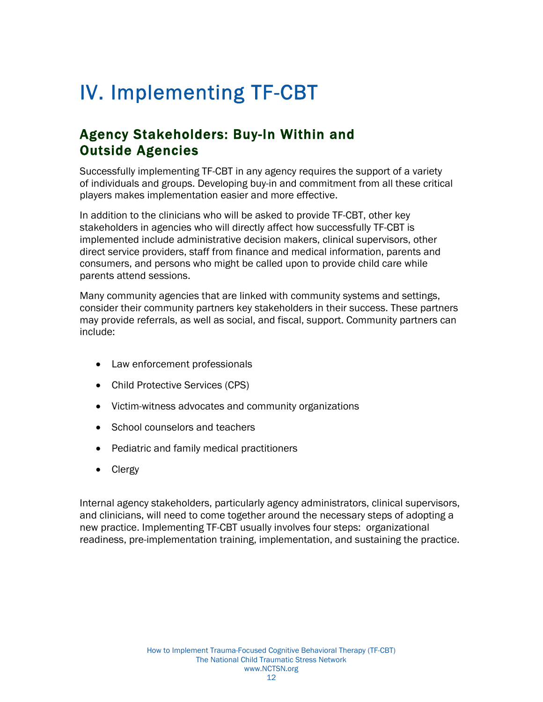# <span id="page-13-0"></span>IV. Implementing TF-CBT

## Agency Stakeholders: Buy-In Within and Outside Agencies

Successfully implementing TF-CBT in any agency requires the support of a variety of individuals and groups. Developing buy-in and commitment from all these critical players makes implementation easier and more effective.

In addition to the clinicians who will be asked to provide TF-CBT, other key stakeholders in agencies who will directly affect how successfully TF-CBT is implemented include administrative decision makers, clinical supervisors, other direct service providers, staff from finance and medical information, parents and consumers, and persons who might be called upon to provide child care while parents attend sessions.

Many community agencies that are linked with community systems and settings, consider their community partners key stakeholders in their success. These partners may provide referrals, as well as social, and fiscal, support. Community partners can include:

- Law enforcement professionals
- Child Protective Services (CPS)
- Victim-witness advocates and community organizations
- School counselors and teachers
- Pediatric and family medical practitioners
- Clergy

Internal agency stakeholders, particularly agency administrators, clinical supervisors, and clinicians, will need to come together around the necessary steps of adopting a new practice. Implementing TF-CBT usually involves four steps: organizational readiness, pre-implementation training, implementation, and sustaining the practice.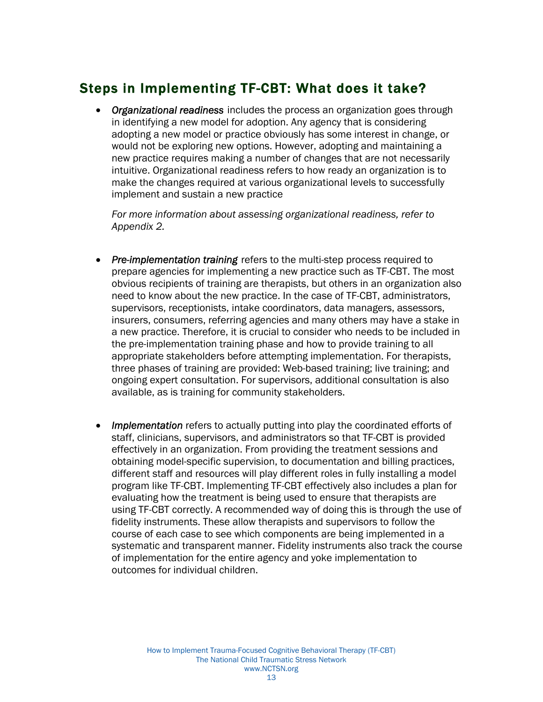## <span id="page-14-0"></span>Steps in Implementing TF-CBT: What does it take?

• *Organizational readiness* includes the process an organization goes through in identifying a new model for adoption. Any agency that is considering adopting a new model or practice obviously has some interest in change, or would not be exploring new options. However, adopting and maintaining a new practice requires making a number of changes that are not necessarily intuitive. Organizational readiness refers to how ready an organization is to make the changes required at various organizational levels to successfully implement and sustain a new practice

*For more information about assessing organizational readiness, refer to Appendix 2.* 

- *Pre-implementation training* refers to the multi-step process required to prepare agencies for implementing a new practice such as TF-CBT. The most obvious recipients of training are therapists, but others in an organization also need to know about the new practice. In the case of TF-CBT, administrators, supervisors, receptionists, intake coordinators, data managers, assessors, insurers, consumers, referring agencies and many others may have a stake in a new practice. Therefore, it is crucial to consider who needs to be included in the pre-implementation training phase and how to provide training to all appropriate stakeholders before attempting implementation. For therapists, three phases of training are provided: Web-based training; live training; and ongoing expert consultation. For supervisors, additional consultation is also available, as is training for community stakeholders.
- *Implementation* refers to actually putting into play the coordinated efforts of staff, clinicians, supervisors, and administrators so that TF-CBT is provided effectively in an organization. From providing the treatment sessions and obtaining model-specific supervision, to documentation and billing practices, different staff and resources will play different roles in fully installing a model program like TF-CBT. Implementing TF-CBT effectively also includes a plan for evaluating how the treatment is being used to ensure that therapists are using TF-CBT correctly. A recommended way of doing this is through the use of fidelity instruments. These allow therapists and supervisors to follow the course of each case to see which components are being implemented in a systematic and transparent manner. Fidelity instruments also track the course of implementation for the entire agency and yoke implementation to outcomes for individual children.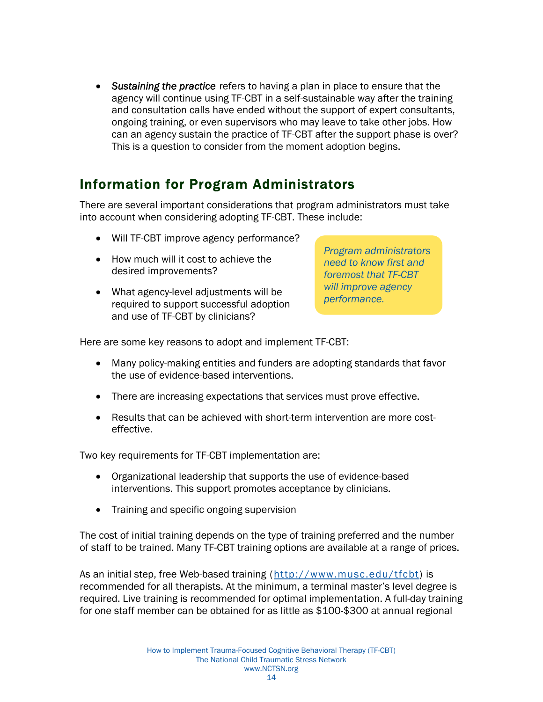<span id="page-15-0"></span>• *Sustaining the practice* refers to having a plan in place to ensure that the agency will continue using TF-CBT in a self-sustainable way after the training and consultation calls have ended without the support of expert consultants, ongoing training, or even supervisors who may leave to take other jobs. How can an agency sustain the practice of TF-CBT after the support phase is over? This is a question to consider from the moment adoption begins.

#### Information for Program Administrators

There are several important considerations that program administrators must take into account when considering adopting TF-CBT. These include:

- Will TF-CBT improve agency performance?
- How much will it cost to achieve the desired improvements?
- What agency-level adjustments will be required to support successful adoption and use of TF-CBT by clinicians?

*Program administrators need to know first and foremost that TF-CBT will improve agency performance.* 

Here are some key reasons to adopt and implement TF-CBT:

- Many policy-making entities and funders are adopting standards that favor the use of evidence-based interventions.
- There are increasing expectations that services must prove effective.
- Results that can be achieved with short-term intervention are more costeffective.

Two key requirements for TF-CBT implementation are:

- Organizational leadership that supports the use of evidence-based interventions. This support promotes acceptance by clinicians.
- Training and specific ongoing supervision

The cost of initial training depends on the type of training preferred and the number of staff to be trained. Many TF-CBT training options are available at a range of prices.

As an initial step, free Web-based training (http://www.musc.edu/tfcbt) is recommended for all therapists. At the minimum, a terminal master's level degree is required. Live training is recommended for optimal implementation. A full-day training for one staff member can be obtained for as little as \$100-\$300 at annual regional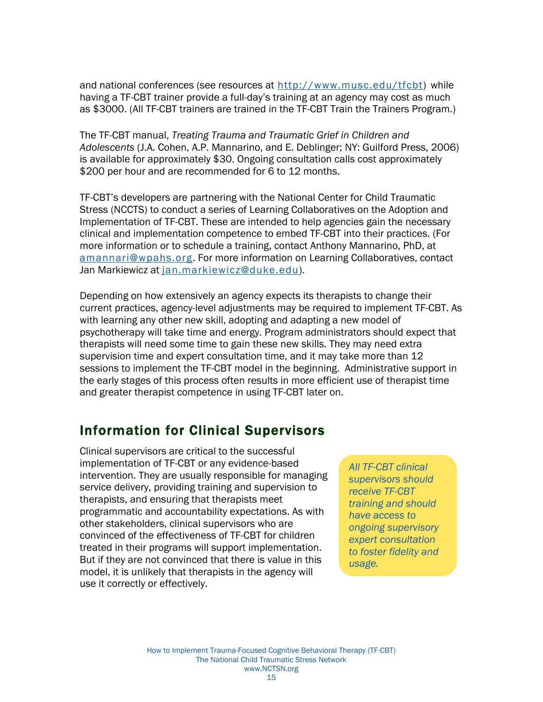<span id="page-16-0"></span>and national conferences (see resources at http://www.musc.edu/tfcbt) while having a TF-CBT trainer provide a full-day's training at an agency may cost as much as \$3000. (All TF-CBT trainers are trained in the TF-CBT Train the Trainers Program.)

The TF-CBT manual, *Treating Trauma and Traumatic Grief in Children and Adolescents* (J.A. Cohen, A.P. Mannarino, and E. Deblinger; NY: Guilford Press, 2006) is available for approximately \$30. Ongoing consultation calls cost approximately \$200 per hour and are recommended for 6 to 12 months.

TF-CBT's developers are partnering with the National Center for Child Traumatic Stress (NCCTS) to conduct a series of Learning Collaboratives on the Adoption and Implementation of TF-CBT. These are intended to help agencies gain the necessary clinical and implementation competence to embed TF-CBT into their practices. (For more information or to schedule a training, contact Anthony Mannarino, PhD, at amannari@wpahs.org. For more information on Learning Collaboratives, contact Jan Markiewicz at jan.markiewicz@duke.edu).

Depending on how extensively an agency expects its therapists to change their current practices, agency-level adjustments may be required to implement TF-CBT. As with learning any other new skill, adopting and adapting a new model of psychotherapy will take time and energy. Program administrators should expect that therapists will need some time to gain these new skills. They may need extra supervision time and expert consultation time, and it may take more than 12 sessions to implement the TF-CBT model in the beginning. Administrative support in the early stages of this process often results in more efficient use of therapist time and greater therapist competence in using TF-CBT later on.

#### Information for Clinical Supervisors

Clinical supervisors are critical to the successful implementation of TF-CBT or any evidence-based intervention. They are usually responsible for managing service delivery, providing training and supervision to therapists, and ensuring that therapists meet programmatic and accountability expectations. As with other stakeholders, clinical supervisors who are convinced of the effectiveness of TF-CBT for children treated in their programs will support implementation. But if they are not convinced that there is value in this model, it is unlikely that therapists in the agency will use it correctly or effectively.

*All TF-CBT clinical supervisors should receive TF-CBT training and should have access to ongoing supervisory expert consultation to foster fidelity and usage.*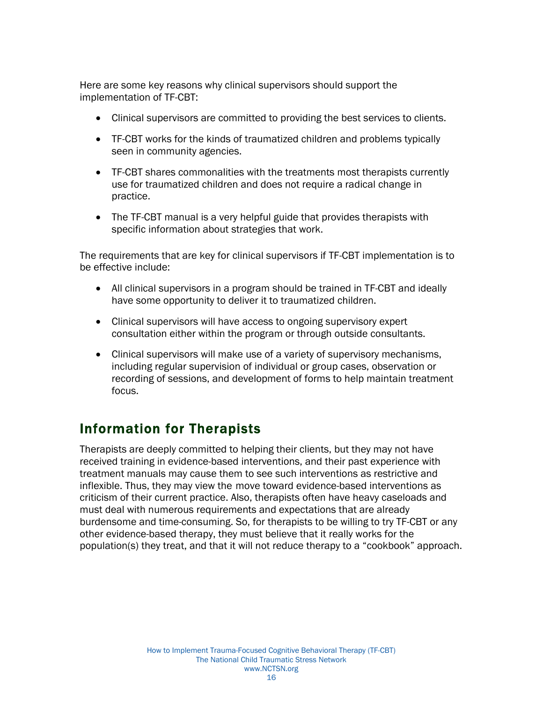<span id="page-17-0"></span>Here are some key reasons why clinical supervisors should support the implementation of TF-CBT:

- Clinical supervisors are committed to providing the best services to clients.
- TF-CBT works for the kinds of traumatized children and problems typically seen in community agencies.
- TF-CBT shares commonalities with the treatments most therapists currently use for traumatized children and does not require a radical change in practice.
- The TF-CBT manual is a very helpful guide that provides therapists with specific information about strategies that work.

The requirements that are key for clinical supervisors if TF-CBT implementation is to be effective include:

- All clinical supervisors in a program should be trained in TF-CBT and ideally have some opportunity to deliver it to traumatized children.
- Clinical supervisors will have access to ongoing supervisory expert consultation either within the program or through outside consultants.
- Clinical supervisors will make use of a variety of supervisory mechanisms, including regular supervision of individual or group cases, observation or recording of sessions, and development of forms to help maintain treatment focus.

## Information for Therapists

Therapists are deeply committed to helping their clients, but they may not have received training in evidence-based interventions, and their past experience with treatment manuals may cause them to see such interventions as restrictive and inflexible. Thus, they may view the move toward evidence-based interventions as criticism of their current practice. Also, therapists often have heavy caseloads and must deal with numerous requirements and expectations that are already burdensome and time-consuming. So, for therapists to be willing to try TF-CBT or any other evidence-based therapy, they must believe that it really works for the population(s) they treat, and that it will not reduce therapy to a "cookbook" approach.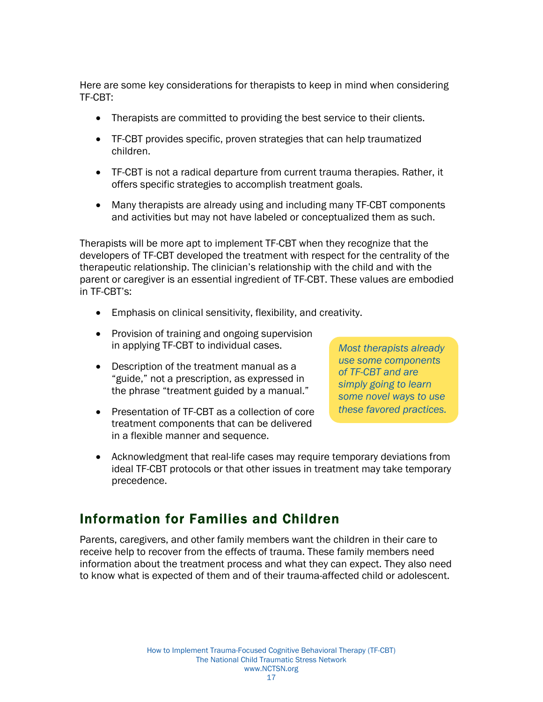<span id="page-18-0"></span>Here are some key considerations for therapists to keep in mind when considering TF-CBT:

- Therapists are committed to providing the best service to their clients.
- TF-CBT provides specific, proven strategies that can help traumatized children.
- TF-CBT is not a radical departure from current trauma therapies. Rather, it offers specific strategies to accomplish treatment goals.
- Many therapists are already using and including many TF-CBT components and activities but may not have labeled or conceptualized them as such.

Therapists will be more apt to implement TF-CBT when they recognize that the developers of TF-CBT developed the treatment with respect for the centrality of the therapeutic relationship. The clinician's relationship with the child and with the parent or caregiver is an essential ingredient of TF-CBT. These values are embodied in TF-CBT's:

- Emphasis on clinical sensitivity, flexibility, and creativity.
- Provision of training and ongoing supervision in applying TF-CBT to individual cases.
- Description of the treatment manual as a "guide," not a prescription, as expressed in the phrase "treatment guided by a manual."
- Presentation of TF-CBT as a collection of core treatment components that can be delivered in a flexible manner and sequence.

*Most therapists already use some components of TF-CBT and are simply going to learn some novel ways to use these favored practices.* 

• Acknowledgment that real-life cases may require temporary deviations from ideal TF-CBT protocols or that other issues in treatment may take temporary precedence.

#### Information for Families and Children

Parents, caregivers, and other family members want the children in their care to receive help to recover from the effects of trauma. These family members need information about the treatment process and what they can expect. They also need to know what is expected of them and of their trauma-affected child or adolescent.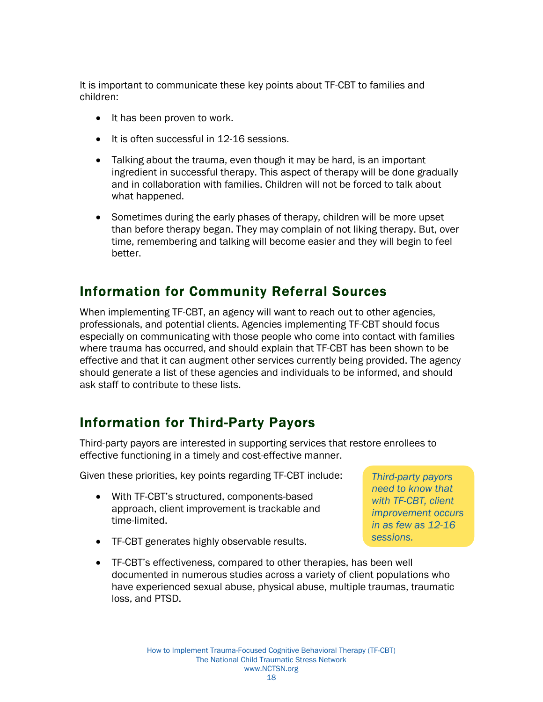<span id="page-19-0"></span>It is important to communicate these key points about TF-CBT to families and children:

- It has been proven to work.
- It is often successful in 12-16 sessions.
- Talking about the trauma, even though it may be hard, is an important ingredient in successful therapy. This aspect of therapy will be done gradually and in collaboration with families. Children will not be forced to talk about what happened.
- Sometimes during the early phases of therapy, children will be more upset than before therapy began. They may complain of not liking therapy. But, over time, remembering and talking will become easier and they will begin to feel better.

#### Information for Community Referral Sources

When implementing TF-CBT, an agency will want to reach out to other agencies, professionals, and potential clients. Agencies implementing TF-CBT should focus especially on communicating with those people who come into contact with families where trauma has occurred, and should explain that TF-CBT has been shown to be effective and that it can augment other services currently being provided. The agency should generate a list of these agencies and individuals to be informed, and should ask staff to contribute to these lists.

#### Information for Third-Party Payors

Third-party payors are interested in supporting services that restore enrollees to effective functioning in a timely and cost-effective manner.

Given these priorities, key points regarding TF-CBT include:

- With TF-CBT's structured, components-based approach, client improvement is trackable and time-limited.
- TF-CBT generates highly observable results.

*Third-party payors need to know that with TF-CBT, client improvement occurs in as few as 12-16 sessions.* 

• TF-CBT's effectiveness, compared to other therapies, has been well documented in numerous studies across a variety of client populations who have experienced sexual abuse, physical abuse, multiple traumas, traumatic loss, and PTSD.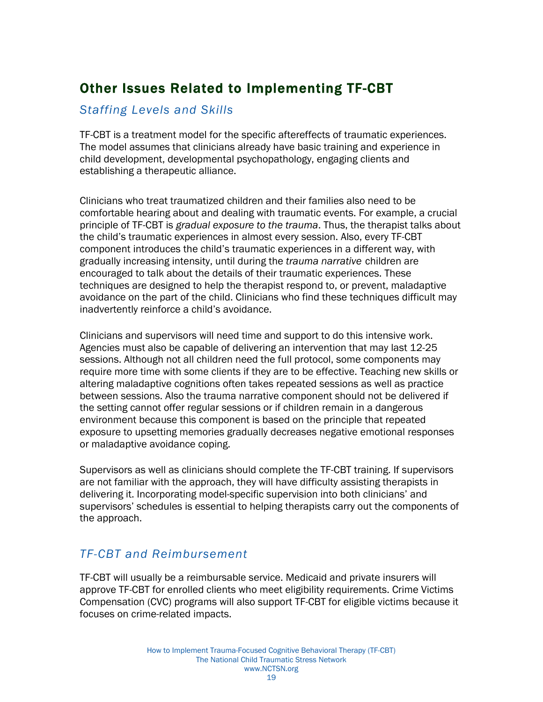## <span id="page-20-0"></span>Other Issues Related to Implementing TF-CBT

#### *Staffing Levels and Skills*

TF-CBT is a treatment model for the specific aftereffects of traumatic experiences. The model assumes that clinicians already have basic training and experience in child development, developmental psychopathology, engaging clients and establishing a therapeutic alliance.

Clinicians who treat traumatized children and their families also need to be comfortable hearing about and dealing with traumatic events. For example, a crucial principle of TF-CBT is *gradual exposure to the trauma*. Thus, the therapist talks about the child's traumatic experiences in almost every session. Also, every TF-CBT component introduces the child's traumatic experiences in a different way, with gradually increasing intensity, until during the *trauma narrative* children are encouraged to talk about the details of their traumatic experiences. These techniques are designed to help the therapist respond to, or prevent, maladaptive avoidance on the part of the child. Clinicians who find these techniques difficult may inadvertently reinforce a child's avoidance.

Clinicians and supervisors will need time and support to do this intensive work. Agencies must also be capable of delivering an intervention that may last 12-25 sessions. Although not all children need the full protocol, some components may require more time with some clients if they are to be effective. Teaching new skills or altering maladaptive cognitions often takes repeated sessions as well as practice between sessions. Also the trauma narrative component should not be delivered if the setting cannot offer regular sessions or if children remain in a dangerous environment because this component is based on the principle that repeated exposure to upsetting memories gradually decreases negative emotional responses or maladaptive avoidance coping.

Supervisors as well as clinicians should complete the TF-CBT training. If supervisors are not familiar with the approach, they will have difficulty assisting therapists in delivering it. Incorporating model-specific supervision into both clinicians' and supervisors' schedules is essential to helping therapists carry out the components of the approach.

#### *TF-CBT and Reimbursement*

TF-CBT will usually be a reimbursable service. Medicaid and private insurers will approve TF-CBT for enrolled clients who meet eligibility requirements. Crime Victims Compensation (CVC) programs will also support TF-CBT for eligible victims because it focuses on crime-related impacts.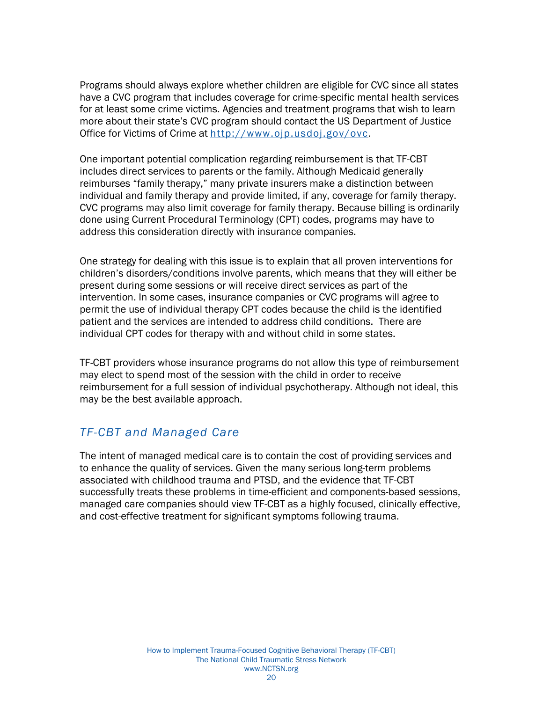<span id="page-21-0"></span>Programs should always explore whether children are eligible for CVC since all states have a CVC program that includes coverage for crime-specific mental health services for at least some crime victims. Agencies and treatment programs that wish to learn more about their state's CVC program should contact the US Department of Justice Office for Victims of Crime at http://www.ojp.usdoj.gov/ovc.

One important potential complication regarding reimbursement is that TF-CBT includes direct services to parents or the family. Although Medicaid generally reimburses "family therapy," many private insurers make a distinction between individual and family therapy and provide limited, if any, coverage for family therapy. CVC programs may also limit coverage for family therapy. Because billing is ordinarily done using Current Procedural Terminology (CPT) codes, programs may have to address this consideration directly with insurance companies.

One strategy for dealing with this issue is to explain that all proven interventions for children's disorders/conditions involve parents, which means that they will either be present during some sessions or will receive direct services as part of the intervention. In some cases, insurance companies or CVC programs will agree to permit the use of individual therapy CPT codes because the child is the identified patient and the services are intended to address child conditions. There are individual CPT codes for therapy with and without child in some states.

TF-CBT providers whose insurance programs do not allow this type of reimbursement may elect to spend most of the session with the child in order to receive reimbursement for a full session of individual psychotherapy. Although not ideal, this may be the best available approach.

#### *TF-CBT and Managed Care*

The intent of managed medical care is to contain the cost of providing services and to enhance the quality of services. Given the many serious long-term problems associated with childhood trauma and PTSD, and the evidence that TF-CBT successfully treats these problems in time-efficient and components-based sessions, managed care companies should view TF-CBT as a highly focused, clinically effective, and cost-effective treatment for significant symptoms following trauma.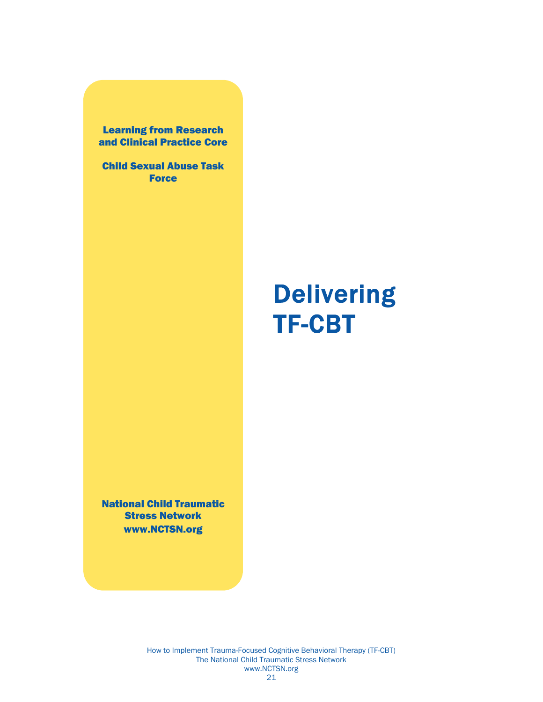<span id="page-22-0"></span>Learning from Research and Clinical Practice Core

Child Sexual Abuse Task **Force** 

# Delivering TF-CBT

National Child Traumatic Stress Network www.NCTSN.org

> How to Implement Trauma-Focused Cognitive Behavioral Therapy (TF-CBT) The National Child Traumatic Stress Network www.NCTSN.org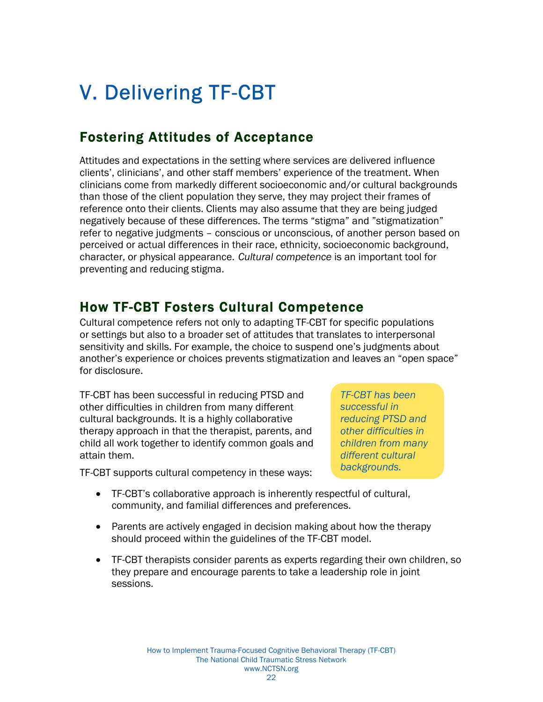# <span id="page-23-0"></span>V. Delivering TF-CBT

## Fostering Attitudes of Acceptance

Attitudes and expectations in the setting where services are delivered influence clients', clinicians', and other staff members' experience of the treatment. When clinicians come from markedly different socioeconomic and/or cultural backgrounds than those of the client population they serve, they may project their frames of reference onto their clients. Clients may also assume that they are being judged negatively because of these differences. The terms "stigma" and "stigmatization" refer to negative judgments – conscious or unconscious, of another person based on perceived or actual differences in their race, ethnicity, socioeconomic background, character, or physical appearance. *Cultural competence* is an important tool for preventing and reducing stigma.

#### How TF-CBT Fosters Cultural Competence

Cultural competence refers not only to adapting TF-CBT for specific populations or settings but also to a broader set of attitudes that translates to interpersonal sensitivity and skills. For example, the choice to suspend one's judgments about another's experience or choices prevents stigmatization and leaves an "open space" for disclosure.

TF-CBT has been successful in reducing PTSD and other difficulties in children from many different cultural backgrounds. It is a highly collaborative therapy approach in that the therapist, parents, and child all work together to identify common goals and attain them.

*TF-CBT has been successful in reducing PTSD and other difficulties in children from many different cultural backgrounds.* 

TF-CBT supports cultural competency in these ways:

- TF-CBT's collaborative approach is inherently respectful of cultural, community, and familial differences and preferences.
- Parents are actively engaged in decision making about how the therapy should proceed within the guidelines of the TF-CBT model.
- TF-CBT therapists consider parents as experts regarding their own children, so they prepare and encourage parents to take a leadership role in joint sessions.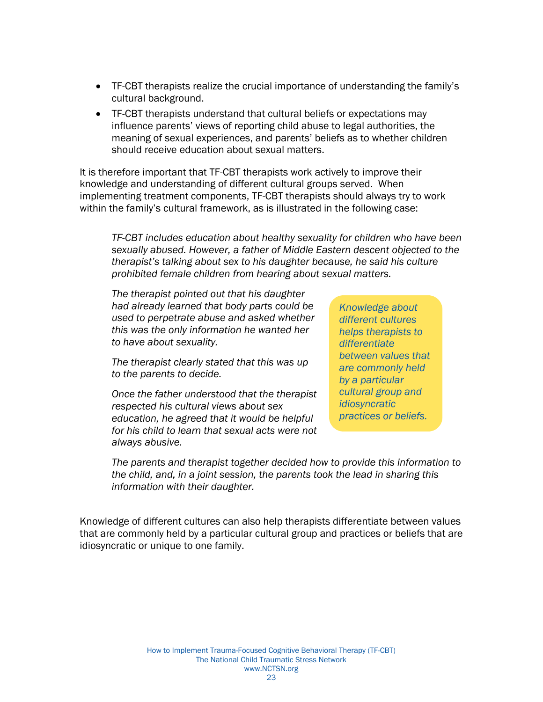- TF-CBT therapists realize the crucial importance of understanding the family's cultural background.
- TF-CBT therapists understand that cultural beliefs or expectations may influence parents' views of reporting child abuse to legal authorities, the meaning of sexual experiences, and parents' beliefs as to whether children should receive education about sexual matters.

It is therefore important that TF-CBT therapists work actively to improve their knowledge and understanding of different cultural groups served. When implementing treatment components, TF-CBT therapists should always try to work within the family's cultural framework, as is illustrated in the following case:

*TF-CBT includes education about healthy sexuality for children who have been sexually abused. However, a father of Middle Eastern descent objected to the therapist's talking about sex to his daughter because, he said his culture prohibited female children from hearing about sexual matters.* 

*The therapist pointed out that his daughter had already learned that body parts could be used to perpetrate abuse and asked whether this was the only information he wanted her to have about sexuality.* 

*The therapist clearly stated that this was up to the parents to decide.* 

*Once the father understood that the therapist respected his cultural views about sex education, he agreed that it would be helpful for his child to learn that sexual acts were not always abusive.* 

*Knowledge about different cultures helps therapists to differentiate between values that are commonly held by a particular cultural group and idiosyncratic practices or beliefs.* 

*The parents and therapist together decided how to provide this information to the child, and, in a joint session, the parents took the lead in sharing this information with their daughter.* 

Knowledge of different cultures can also help therapists differentiate between values that are commonly held by a particular cultural group and practices or beliefs that are idiosyncratic or unique to one family.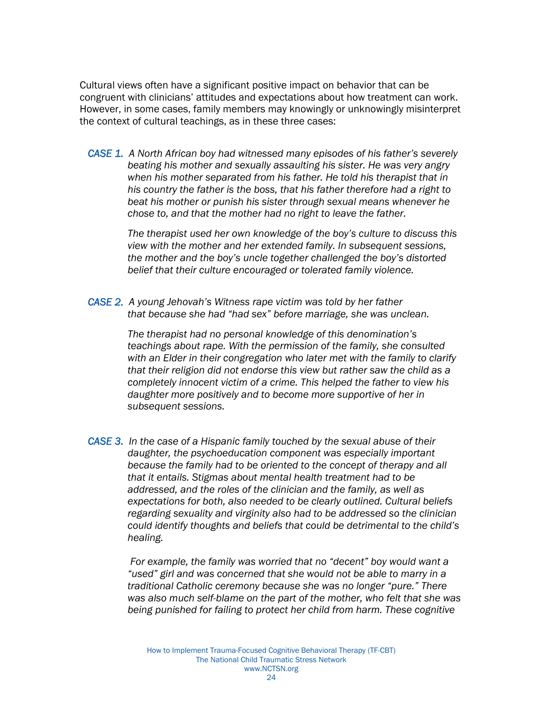Cultural views often have a significant positive impact on behavior that can be congruent with clinicians' attitudes and expectations about how treatment can work. However, in some cases, family members may knowingly or unknowingly misinterpret the context of cultural teachings, as in these three cases:

*CASE 1. A North African boy had witnessed many episodes of his father's severely beating his mother and sexually assaulting his sister. He was very angry when his mother separated from his father. He told his therapist that in his country the father is the boss, that his father therefore had a right to beat his mother or punish his sister through sexual means whenever he chose to, and that the mother had no right to leave the father.* 

> *The therapist used her own knowledge of the boy's culture to discuss this view with the mother and her extended family. In subsequent sessions, the mother and the boy's uncle together challenged the boy's distorted belief that their culture encouraged or tolerated family violence.*

*CASE 2. A young Jehovah's Witness rape victim was told by her father that because she had "had sex" before marriage, she was unclean.* 

> *The therapist had no personal knowledge of this denomination's teachings about rape. With the permission of the family, she consulted with an Elder in their congregation who later met with the family to clarify that their religion did not endorse this view but rather saw the child as a completely innocent victim of a crime. This helped the father to view his daughter more positively and to become more supportive of her in subsequent sessions.*

*CASE 3. In the case of a Hispanic family touched by the sexual abuse of their daughter, the psychoeducation component was especially important because the family had to be oriented to the concept of therapy and all that it entails. Stigmas about mental health treatment had to be addressed, and the roles of the clinician and the family, as well as expectations for both, also needed to be clearly outlined. Cultural beliefs regarding sexuality and virginity also had to be addressed so the clinician could identify thoughts and beliefs that could be detrimental to the child's healing.* 

> *For example, the family was worried that no "decent" boy would want a "used" girl and was concerned that she would not be able to marry in a traditional Catholic ceremony because she was no longer "pure." There was also much self-blame on the part of the mother, who felt that she was being punished for failing to protect her child from harm. These cognitive*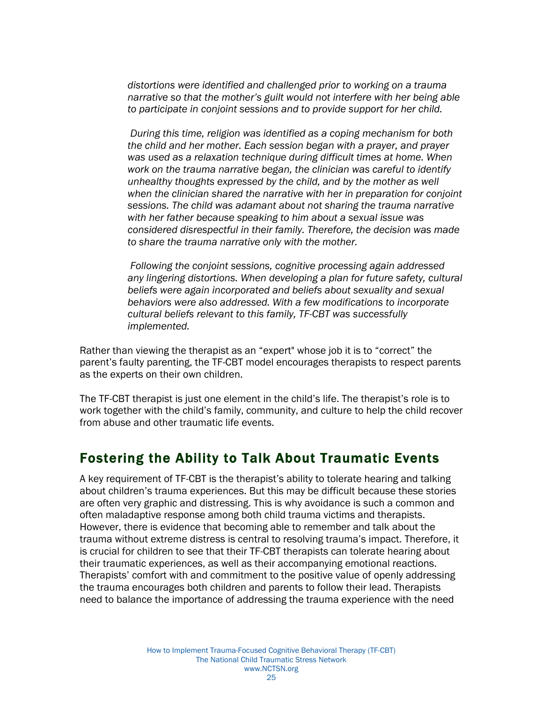<span id="page-26-0"></span>*distortions were identified and challenged prior to working on a trauma narrative so that the mother's guilt would not interfere with her being able to participate in conjoint sessions and to provide support for her child.* 

 *During this time, religion was identified as a coping mechanism for both the child and her mother. Each session began with a prayer, and prayer was used as a relaxation technique during difficult times at home. When work on the trauma narrative began, the clinician was careful to identify unhealthy thoughts expressed by the child, and by the mother as well when the clinician shared the narrative with her in preparation for conjoint sessions. The child was adamant about not sharing the trauma narrative with her father because speaking to him about a sexual issue was considered disrespectful in their family. Therefore, the decision was made to share the trauma narrative only with the mother.* 

 *Following the conjoint sessions, cognitive processing again addressed any lingering distortions. When developing a plan for future safety, cultural beliefs were again incorporated and beliefs about sexuality and sexual behaviors were also addressed. With a few modifications to incorporate cultural beliefs relevant to this family, TF-CBT was successfully implemented.* 

Rather than viewing the therapist as an "expert" whose job it is to "correct" the parent's faulty parenting, the TF-CBT model encourages therapists to respect parents as the experts on their own children.

The TF-CBT therapist is just one element in the child's life. The therapist's role is to work together with the child's family, community, and culture to help the child recover from abuse and other traumatic life events.

#### Fostering the Ability to Talk About Traumatic Events

A key requirement of TF-CBT is the therapist's ability to tolerate hearing and talking about children's trauma experiences. But this may be difficult because these stories are often very graphic and distressing. This is why avoidance is such a common and often maladaptive response among both child trauma victims and therapists. However, there is evidence that becoming able to remember and talk about the trauma without extreme distress is central to resolving trauma's impact. Therefore, it is crucial for children to see that their TF-CBT therapists can tolerate hearing about their traumatic experiences, as well as their accompanying emotional reactions. Therapists' comfort with and commitment to the positive value of openly addressing the trauma encourages both children and parents to follow their lead. Therapists need to balance the importance of addressing the trauma experience with the need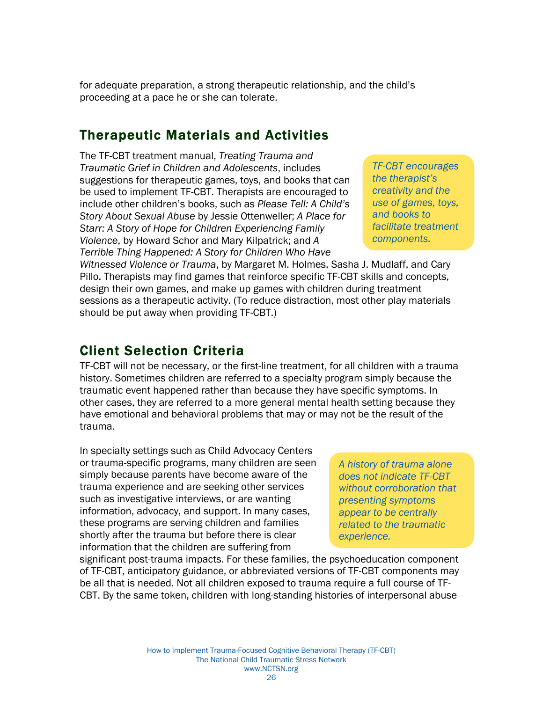<span id="page-27-0"></span>for adequate preparation, a strong therapeutic relationship, and the child's proceeding at a pace he or she can tolerate.

#### Therapeutic Materials and Activities

The TF-CBT treatment manual, *Treating Trauma and Traumatic Grief in Children and Adolescents*, includes suggestions for therapeutic games, toys, and books that can be used to implement TF-CBT. Therapists are encouraged to include other children's books, such as *Please Tell: A Child's Story About Sexual Abuse* by Jessie Ottenweller; *A Place for Starr: A Story of Hope for Children Experiencing Family Violence*, by Howard Schor and Mary Kilpatrick; and *A Terrible Thing Happened: A Story for Children Who Have* 

*TF-CBT encourages the therapist's creativity and the use of games, toys, and books to facilitate treatment components.* 

*Witnessed Violence or Trauma*, by Margaret M. Holmes, Sasha J. Mudlaff, and Cary Pillo. Therapists may find games that reinforce specific TF-CBT skills and concepts, design their own games, and make up games with children during treatment sessions as a therapeutic activity. (To reduce distraction, most other play materials should be put away when providing TF-CBT.)

#### Client Selection Criteria

TF-CBT will not be necessary, or the first-line treatment, for all children with a trauma history. Sometimes children are referred to a specialty program simply because the traumatic event happened rather than because they have specific symptoms. In other cases, they are referred to a more general mental health setting because they have emotional and behavioral problems that may or may not be the result of the trauma.

In specialty settings such as Child Advocacy Centers or trauma-specific programs, many children are seen simply because parents have become aware of the trauma experience and are seeking other services such as investigative interviews, or are wanting information, advocacy, and support. In many cases, these programs are serving children and families shortly after the trauma but before there is clear information that the children are suffering from

*A history of trauma alone does not indicate TF-CBT without corroboration that presenting symptoms appear to be centrally related to the traumatic experience.* 

significant post-trauma impacts. For these families, the psychoeducation component of TF-CBT, anticipatory guidance, or abbreviated versions of TF-CBT components may be all that is needed. Not all children exposed to trauma require a full course of TF-CBT. By the same token, children with long-standing histories of interpersonal abuse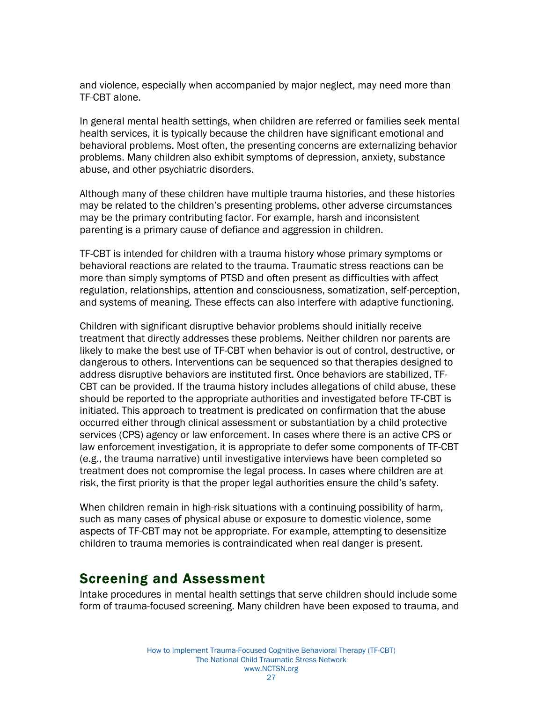<span id="page-28-0"></span>and violence, especially when accompanied by major neglect, may need more than TF-CBT alone.

In general mental health settings, when children are referred or families seek mental health services, it is typically because the children have significant emotional and behavioral problems. Most often, the presenting concerns are externalizing behavior problems. Many children also exhibit symptoms of depression, anxiety, substance abuse, and other psychiatric disorders.

Although many of these children have multiple trauma histories, and these histories may be related to the children's presenting problems, other adverse circumstances may be the primary contributing factor. For example, harsh and inconsistent parenting is a primary cause of defiance and aggression in children.

TF-CBT is intended for children with a trauma history whose primary symptoms or behavioral reactions are related to the trauma. Traumatic stress reactions can be more than simply symptoms of PTSD and often present as difficulties with affect regulation, relationships, attention and consciousness, somatization, self-perception, and systems of meaning. These effects can also interfere with adaptive functioning.

Children with significant disruptive behavior problems should initially receive treatment that directly addresses these problems. Neither children nor parents are likely to make the best use of TF-CBT when behavior is out of control, destructive, or dangerous to others. Interventions can be sequenced so that therapies designed to address disruptive behaviors are instituted first. Once behaviors are stabilized, TF-CBT can be provided. If the trauma history includes allegations of child abuse, these should be reported to the appropriate authorities and investigated before TF-CBT is initiated. This approach to treatment is predicated on confirmation that the abuse occurred either through clinical assessment or substantiation by a child protective services (CPS) agency or law enforcement. In cases where there is an active CPS or law enforcement investigation, it is appropriate to defer some components of TF-CBT (e.g., the trauma narrative) until investigative interviews have been completed so treatment does not compromise the legal process. In cases where children are at risk, the first priority is that the proper legal authorities ensure the child's safety.

When children remain in high-risk situations with a continuing possibility of harm, such as many cases of physical abuse or exposure to domestic violence, some aspects of TF-CBT may not be appropriate. For example, attempting to desensitize children to trauma memories is contraindicated when real danger is present.

#### Screening and Assessment

Intake procedures in mental health settings that serve children should include some form of trauma-focused screening. Many children have been exposed to trauma, and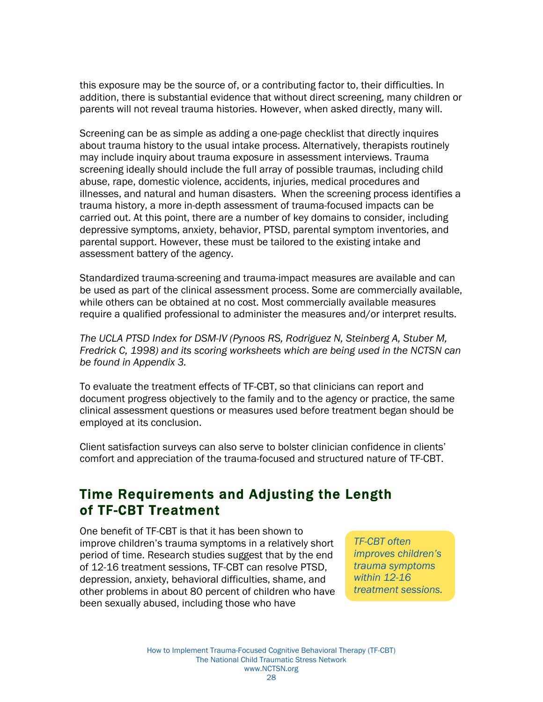<span id="page-29-0"></span>this exposure may be the source of, or a contributing factor to, their difficulties. In addition, there is substantial evidence that without direct screening, many children or parents will not reveal trauma histories. However, when asked directly, many will.

Screening can be as simple as adding a one-page checklist that directly inquires about trauma history to the usual intake process. Alternatively, therapists routinely may include inquiry about trauma exposure in assessment interviews. Trauma screening ideally should include the full array of possible traumas, including child abuse, rape, domestic violence, accidents, injuries, medical procedures and illnesses, and natural and human disasters. When the screening process identifies a trauma history, a more in-depth assessment of trauma-focused impacts can be carried out. At this point, there are a number of key domains to consider, including depressive symptoms, anxiety, behavior, PTSD, parental symptom inventories, and parental support. However, these must be tailored to the existing intake and assessment battery of the agency.

Standardized trauma-screening and trauma-impact measures are available and can be used as part of the clinical assessment process. Some are commercially available, while others can be obtained at no cost. Most commercially available measures require a qualified professional to administer the measures and/or interpret results.

*The UCLA PTSD Index for DSM-IV (Pynoos RS, Rodriguez N, Steinberg A, Stuber M, Fredrick C, 1998) and its scoring worksheets which are being used in the NCTSN can be found in Appendix 3.* 

To evaluate the treatment effects of TF-CBT, so that clinicians can report and document progress objectively to the family and to the agency or practice, the same clinical assessment questions or measures used before treatment began should be employed at its conclusion.

Client satisfaction surveys can also serve to bolster clinician confidence in clients' comfort and appreciation of the trauma-focused and structured nature of TF-CBT.

#### Time Requirements and Adjusting the Length of TF-CBT Treatment

One benefit of TF-CBT is that it has been shown to improve children's trauma symptoms in a relatively short period of time. Research studies suggest that by the end of 12-16 treatment sessions, TF-CBT can resolve PTSD, depression, anxiety, behavioral difficulties, shame, and other problems in about 80 percent of children who have been sexually abused, including those who have

*TF-CBT often improves children's trauma symptoms within 12-16 treatment sessions.*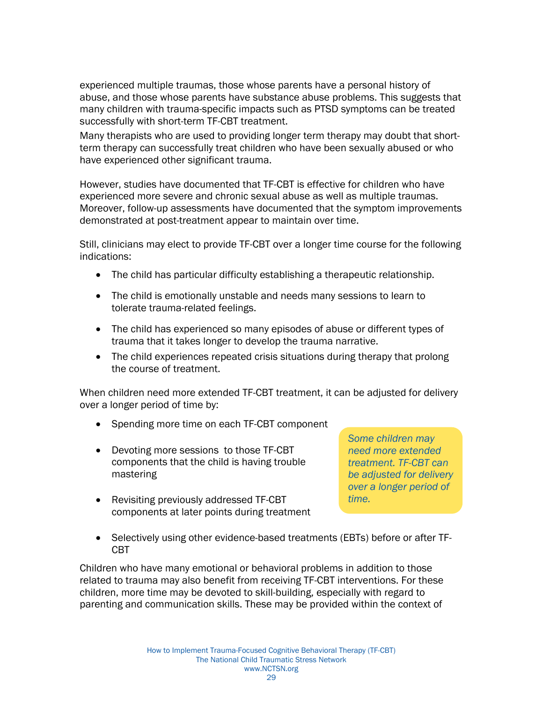experienced multiple traumas, those whose parents have a personal history of abuse, and those whose parents have substance abuse problems. This suggests that many children with trauma-specific impacts such as PTSD symptoms can be treated successfully with short-term TF-CBT treatment.

Many therapists who are used to providing longer term therapy may doubt that shortterm therapy can successfully treat children who have been sexually abused or who have experienced other significant trauma.

However, studies have documented that TF-CBT is effective for children who have experienced more severe and chronic sexual abuse as well as multiple traumas. Moreover, follow-up assessments have documented that the symptom improvements demonstrated at post-treatment appear to maintain over time.

Still, clinicians may elect to provide TF-CBT over a longer time course for the following indications:

- The child has particular difficulty establishing a therapeutic relationship.
- The child is emotionally unstable and needs many sessions to learn to tolerate trauma-related feelings.
- The child has experienced so many episodes of abuse or different types of trauma that it takes longer to develop the trauma narrative.
- The child experiences repeated crisis situations during therapy that prolong the course of treatment.

When children need more extended TF-CBT treatment, it can be adjusted for delivery over a longer period of time by:

- Spending more time on each TF-CBT component
- Devoting more sessions to those TF-CBT components that the child is having trouble mastering
- Revisiting previously addressed TF-CBT components at later points during treatment

*Some children may need more extended treatment. TF-CBT can be adjusted for delivery over a longer period of time.* 

• Selectively using other evidence-based treatments (EBTs) before or after TF-CBT

Children who have many emotional or behavioral problems in addition to those related to trauma may also benefit from receiving TF-CBT interventions. For these children, more time may be devoted to skill-building, especially with regard to parenting and communication skills. These may be provided within the context of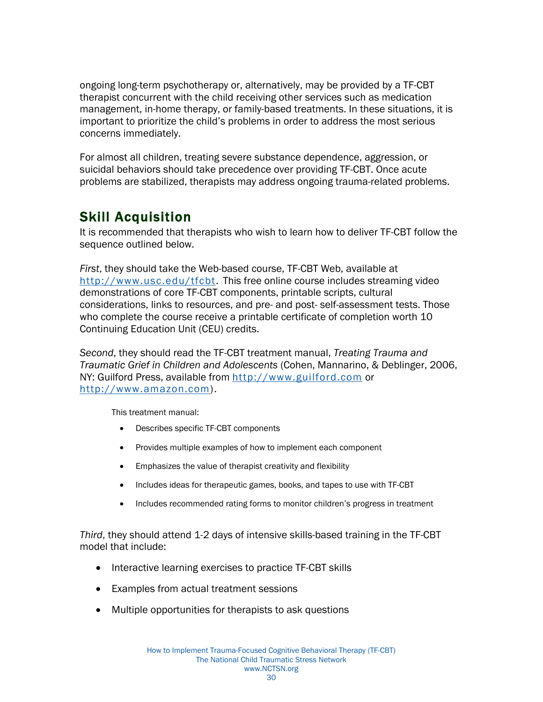<span id="page-31-0"></span>ongoing long-term psychotherapy or, alternatively, may be provided by a TF-CBT therapist concurrent with the child receiving other services such as medication management, in-home therapy, or family-based treatments. In these situations, it is important to prioritize the child's problems in order to address the most serious concerns immediately.

For almost all children, treating severe substance dependence, aggression, or suicidal behaviors should take precedence over providing TF-CBT. Once acute problems are stabilized, therapists may address ongoing trauma-related problems.

## Skill Acquisition

It is recommended that therapists who wish to learn how to deliver TF-CBT follow the sequence outlined below.

*First*, they should take the Web-based course, TF-CBT Web, available at http://www.usc.edu/tfcbt. This free online course includes streaming video demonstrations of core TF-CBT components, printable scripts, cultural considerations, links to resources, and pre- and post- self-assessment tests. Those who complete the course receive a printable certificate of completion worth 10 Continuing Education Unit (CEU) credits.

*Second*, they should read the TF-CBT treatment manual, *Treating Trauma and Traumatic Grief in Children and Adolescents* (Cohen, Mannarino, & Deblinger, 2006, NY: Guilford Press, available from http://www.guilford.com or http://www.amazon.com).

This treatment manual:

- Describes specific TF-CBT components
- Provides multiple examples of how to implement each component
- Emphasizes the value of therapist creativity and flexibility
- Includes ideas for therapeutic games, books, and tapes to use with TF-CBT
- Includes recommended rating forms to monitor children's progress in treatment

*Third*, they should attend 1-2 days of intensive skills-based training in the TF-CBT model that include:

- Interactive learning exercises to practice TF-CBT skills
- Examples from actual treatment sessions
- Multiple opportunities for therapists to ask questions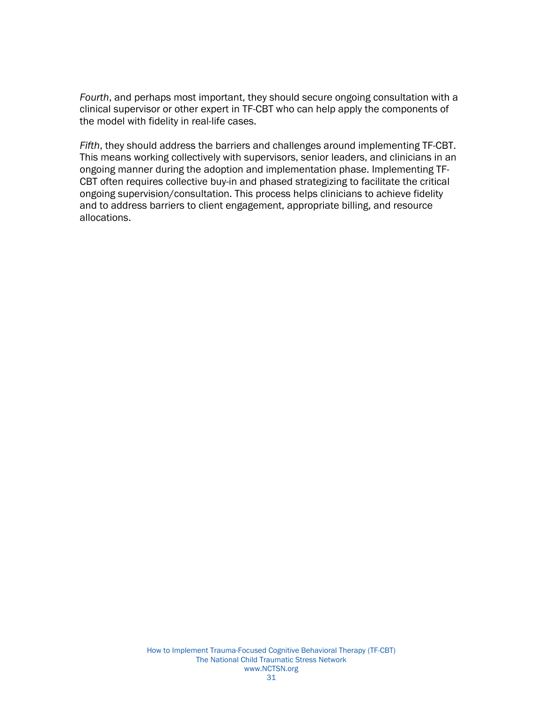*Fourth*, and perhaps most important, they should secure ongoing consultation with a clinical supervisor or other expert in TF-CBT who can help apply the components of the model with fidelity in real-life cases.

*Fifth*, they should address the barriers and challenges around implementing TF-CBT. This means working collectively with supervisors, senior leaders, and clinicians in an ongoing manner during the adoption and implementation phase. Implementing TF-CBT often requires collective buy-in and phased strategizing to facilitate the critical ongoing supervision/consultation. This process helps clinicians to achieve fidelity and to address barriers to client engagement, appropriate billing, and resource allocations.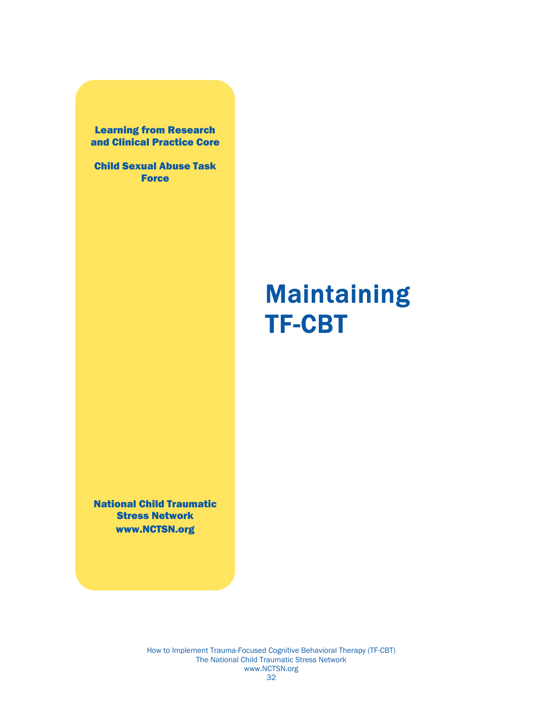<span id="page-33-0"></span>Learning from Research and Clinical Practice Core

Child Sexual Abuse Task **Force** 

# **Maintaining** TF-CBT

National Child Traumatic Stress Network www.NCTSN.org

> How to Implement Trauma-Focused Cognitive Behavioral Therapy (TF-CBT) The National Child Traumatic Stress Network www.NCTSN.org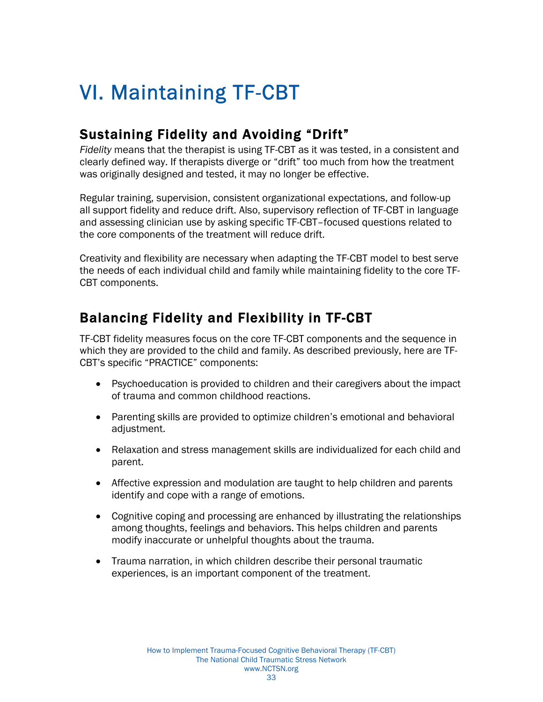# <span id="page-34-0"></span>VI. Maintaining TF-CBT

## Sustaining Fidelity and Avoiding "Drift"

*Fidelity* means that the therapist is using TF-CBT as it was tested, in a consistent and clearly defined way. If therapists diverge or "drift" too much from how the treatment was originally designed and tested, it may no longer be effective.

Regular training, supervision, consistent organizational expectations, and follow-up all support fidelity and reduce drift. Also, supervisory reflection of TF-CBT in language and assessing clinician use by asking specific TF-CBT–focused questions related to the core components of the treatment will reduce drift.

Creativity and flexibility are necessary when adapting the TF-CBT model to best serve the needs of each individual child and family while maintaining fidelity to the core TF-CBT components.

## Balancing Fidelity and Flexibility in TF-CBT

TF-CBT fidelity measures focus on the core TF-CBT components and the sequence in which they are provided to the child and family. As described previously, here are TF-CBT's specific "PRACTICE" components:

- Psychoeducation is provided to children and their caregivers about the impact of trauma and common childhood reactions.
- Parenting skills are provided to optimize children's emotional and behavioral adjustment.
- Relaxation and stress management skills are individualized for each child and parent.
- Affective expression and modulation are taught to help children and parents identify and cope with a range of emotions.
- Cognitive coping and processing are enhanced by illustrating the relationships among thoughts, feelings and behaviors. This helps children and parents modify inaccurate or unhelpful thoughts about the trauma.
- Trauma narration, in which children describe their personal traumatic experiences, is an important component of the treatment.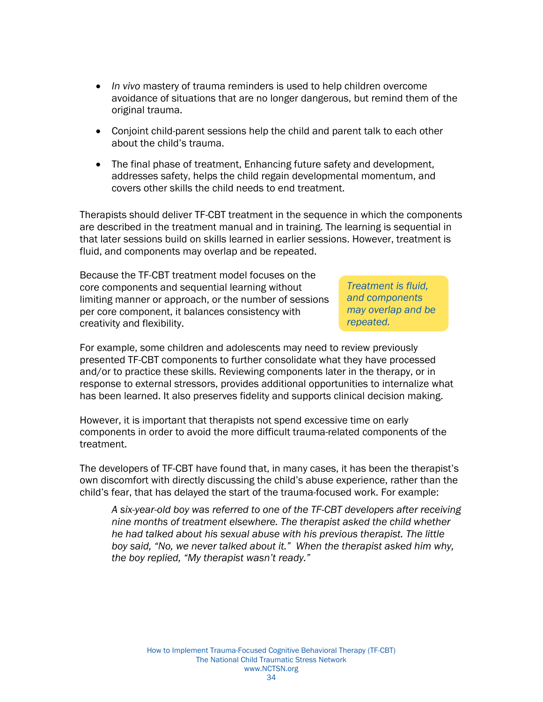- *In vivo* mastery of trauma reminders is used to help children overcome avoidance of situations that are no longer dangerous, but remind them of the original trauma.
- Conjoint child-parent sessions help the child and parent talk to each other about the child's trauma.
- The final phase of treatment, Enhancing future safety and development, addresses safety, helps the child regain developmental momentum, and covers other skills the child needs to end treatment.

Therapists should deliver TF-CBT treatment in the sequence in which the components are described in the treatment manual and in training. The learning is sequential in that later sessions build on skills learned in earlier sessions. However, treatment is fluid, and components may overlap and be repeated.

Because the TF-CBT treatment model focuses on the core components and sequential learning without limiting manner or approach, or the number of sessions per core component, it balances consistency with creativity and flexibility.

*Treatment is fluid, and components may overlap and be repeated.* 

For example, some children and adolescents may need to review previously presented TF-CBT components to further consolidate what they have processed and/or to practice these skills. Reviewing components later in the therapy, or in response to external stressors, provides additional opportunities to internalize what has been learned. It also preserves fidelity and supports clinical decision making.

However, it is important that therapists not spend excessive time on early components in order to avoid the more difficult trauma-related components of the treatment.

The developers of TF-CBT have found that, in many cases, it has been the therapist's own discomfort with directly discussing the child's abuse experience, rather than the child's fear, that has delayed the start of the trauma-focused work. For example:

*A six-year-old boy was referred to one of the TF-CBT developers after receiving nine months of treatment elsewhere. The therapist asked the child whether he had talked about his sexual abuse with his previous therapist. The little boy said, "No, we never talked about it." When the therapist asked him why, the boy replied, "My therapist wasn't ready."*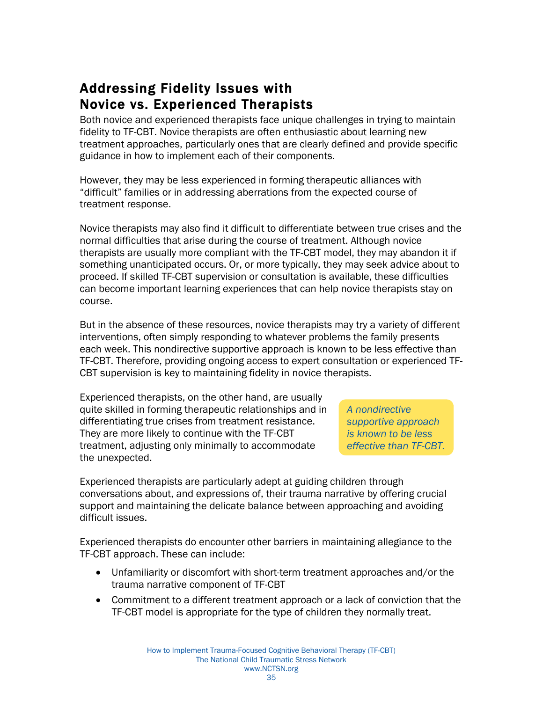## <span id="page-36-0"></span>Addressing Fidelity Issues with Novice vs. Experienced Therapists

Both novice and experienced therapists face unique challenges in trying to maintain fidelity to TF-CBT. Novice therapists are often enthusiastic about learning new treatment approaches, particularly ones that are clearly defined and provide specific guidance in how to implement each of their components.

However, they may be less experienced in forming therapeutic alliances with "difficult" families or in addressing aberrations from the expected course of treatment response.

Novice therapists may also find it difficult to differentiate between true crises and the normal difficulties that arise during the course of treatment. Although novice therapists are usually more compliant with the TF-CBT model, they may abandon it if something unanticipated occurs. Or, or more typically, they may seek advice about to proceed. If skilled TF-CBT supervision or consultation is available, these difficulties can become important learning experiences that can help novice therapists stay on course.

But in the absence of these resources, novice therapists may try a variety of different interventions, often simply responding to whatever problems the family presents each week. This nondirective supportive approach is known to be less effective than TF-CBT. Therefore, providing ongoing access to expert consultation or experienced TF-CBT supervision is key to maintaining fidelity in novice therapists.

Experienced therapists, on the other hand, are usually quite skilled in forming therapeutic relationships and in differentiating true crises from treatment resistance. They are more likely to continue with the TF-CBT treatment, adjusting only minimally to accommodate the unexpected.

*A nondirective supportive approach is known to be less effective than TF-CBT.*

Experienced therapists are particularly adept at guiding children through conversations about, and expressions of, their trauma narrative by offering crucial support and maintaining the delicate balance between approaching and avoiding difficult issues.

Experienced therapists do encounter other barriers in maintaining allegiance to the TF-CBT approach. These can include:

- Unfamiliarity or discomfort with short-term treatment approaches and/or the trauma narrative component of TF-CBT
- Commitment to a different treatment approach or a lack of conviction that the TF-CBT model is appropriate for the type of children they normally treat.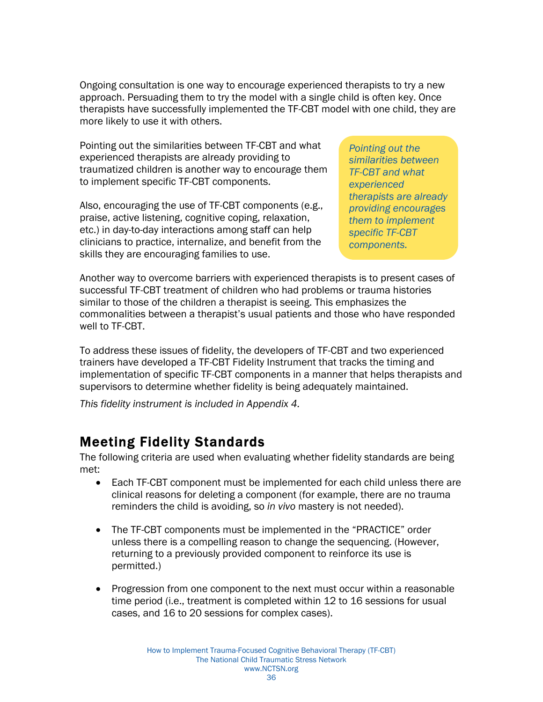<span id="page-37-0"></span>Ongoing consultation is one way to encourage experienced therapists to try a new approach. Persuading them to try the model with a single child is often key. Once therapists have successfully implemented the TF-CBT model with one child, they are more likely to use it with others.

Pointing out the similarities between TF-CBT and what experienced therapists are already providing to traumatized children is another way to encourage them to implement specific TF-CBT components.

Also, encouraging the use of TF-CBT components (e.g., praise, active listening, cognitive coping, relaxation, etc.) in day-to-day interactions among staff can help clinicians to practice, internalize, and benefit from the skills they are encouraging families to use.

*Pointing out the similarities between TF-CBT and what experienced therapists are already providing encourages them to implement specific TF-CBT components.* 

Another way to overcome barriers with experienced therapists is to present cases of successful TF-CBT treatment of children who had problems or trauma histories similar to those of the children a therapist is seeing. This emphasizes the commonalities between a therapist's usual patients and those who have responded well to TF-CBT.

To address these issues of fidelity, the developers of TF-CBT and two experienced trainers have developed a TF-CBT Fidelity Instrument that tracks the timing and implementation of specific TF-CBT components in a manner that helps therapists and supervisors to determine whether fidelity is being adequately maintained.

*This fidelity instrument is included in Appendix 4.* 

#### Meeting Fidelity Standards

The following criteria are used when evaluating whether fidelity standards are being met:

- Each TF-CBT component must be implemented for each child unless there are clinical reasons for deleting a component (for example, there are no trauma reminders the child is avoiding, so *in vivo* mastery is not needed).
- The TF-CBT components must be implemented in the "PRACTICE" order unless there is a compelling reason to change the sequencing. (However, returning to a previously provided component to reinforce its use is permitted.)
- Progression from one component to the next must occur within a reasonable time period (i.e., treatment is completed within 12 to 16 sessions for usual cases, and 16 to 20 sessions for complex cases).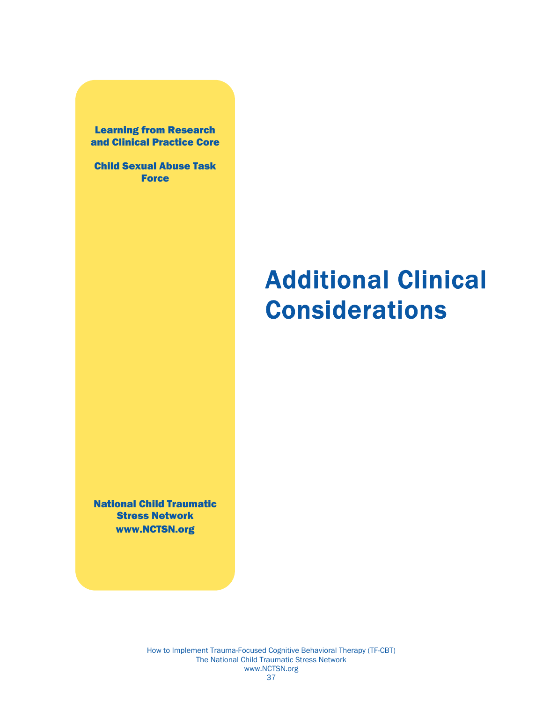<span id="page-38-0"></span>Learning from Research and Clinical Practice Core

Child Sexual Abuse Task **Force** 

# Additional Clinical Considerations

National Child Traumatic Stress Network www.NCTSN.org

> How to Implement Trauma-Focused Cognitive Behavioral Therapy (TF-CBT) The National Child Traumatic Stress Network www.NCTSN.org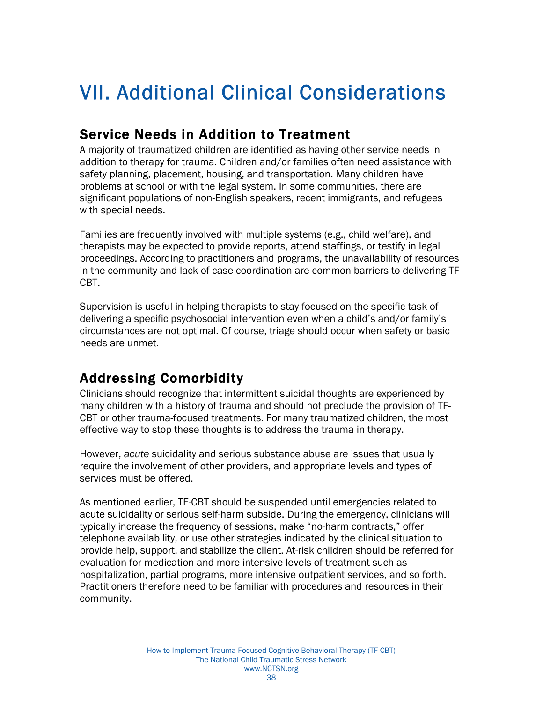## <span id="page-39-0"></span>VII. Additional Clinical Considerations

## Service Needs in Addition to Treatment

A majority of traumatized children are identified as having other service needs in addition to therapy for trauma. Children and/or families often need assistance with safety planning, placement, housing, and transportation. Many children have problems at school or with the legal system. In some communities, there are significant populations of non-English speakers, recent immigrants, and refugees with special needs.

Families are frequently involved with multiple systems (e.g., child welfare), and therapists may be expected to provide reports, attend staffings, or testify in legal proceedings. According to practitioners and programs, the unavailability of resources in the community and lack of case coordination are common barriers to delivering TF-CBT.

Supervision is useful in helping therapists to stay focused on the specific task of delivering a specific psychosocial intervention even when a child's and/or family's circumstances are not optimal. Of course, triage should occur when safety or basic needs are unmet.

## Addressing Comorbidity

Clinicians should recognize that intermittent suicidal thoughts are experienced by many children with a history of trauma and should not preclude the provision of TF-CBT or other trauma-focused treatments. For many traumatized children, the most effective way to stop these thoughts is to address the trauma in therapy.

However, *acute* suicidality and serious substance abuse are issues that usually require the involvement of other providers, and appropriate levels and types of services must be offered.

As mentioned earlier, TF-CBT should be suspended until emergencies related to acute suicidality or serious self-harm subside. During the emergency, clinicians will typically increase the frequency of sessions, make "no-harm contracts," offer telephone availability, or use other strategies indicated by the clinical situation to provide help, support, and stabilize the client. At-risk children should be referred for evaluation for medication and more intensive levels of treatment such as hospitalization, partial programs, more intensive outpatient services, and so forth. Practitioners therefore need to be familiar with procedures and resources in their community.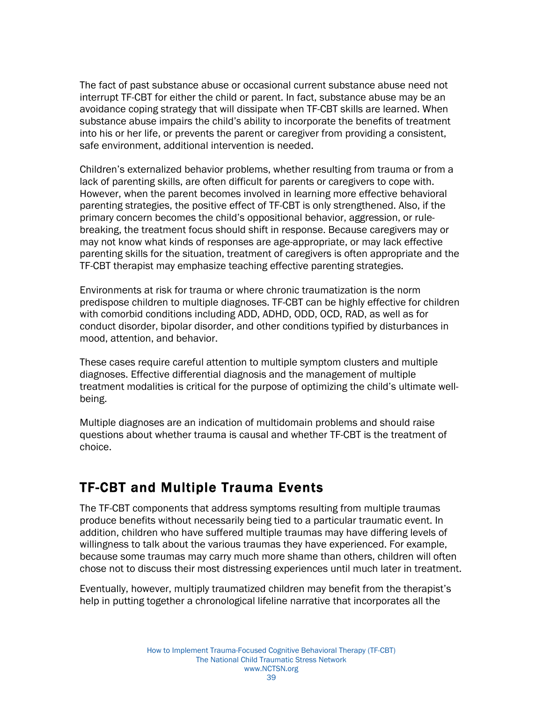<span id="page-40-0"></span>The fact of past substance abuse or occasional current substance abuse need not interrupt TF-CBT for either the child or parent. In fact, substance abuse may be an avoidance coping strategy that will dissipate when TF-CBT skills are learned. When substance abuse impairs the child's ability to incorporate the benefits of treatment into his or her life, or prevents the parent or caregiver from providing a consistent, safe environment, additional intervention is needed.

Children's externalized behavior problems, whether resulting from trauma or from a lack of parenting skills, are often difficult for parents or caregivers to cope with. However, when the parent becomes involved in learning more effective behavioral parenting strategies, the positive effect of TF-CBT is only strengthened. Also, if the primary concern becomes the child's oppositional behavior, aggression, or rulebreaking, the treatment focus should shift in response. Because caregivers may or may not know what kinds of responses are age-appropriate, or may lack effective parenting skills for the situation, treatment of caregivers is often appropriate and the TF-CBT therapist may emphasize teaching effective parenting strategies.

Environments at risk for trauma or where chronic traumatization is the norm predispose children to multiple diagnoses. TF-CBT can be highly effective for children with comorbid conditions including ADD, ADHD, ODD, OCD, RAD, as well as for conduct disorder, bipolar disorder, and other conditions typified by disturbances in mood, attention, and behavior.

These cases require careful attention to multiple symptom clusters and multiple diagnoses. Effective differential diagnosis and the management of multiple treatment modalities is critical for the purpose of optimizing the child's ultimate wellbeing.

Multiple diagnoses are an indication of multidomain problems and should raise questions about whether trauma is causal and whether TF-CBT is the treatment of choice.

## TF-CBT and Multiple Trauma Events

The TF-CBT components that address symptoms resulting from multiple traumas produce benefits without necessarily being tied to a particular traumatic event. In addition, children who have suffered multiple traumas may have differing levels of willingness to talk about the various traumas they have experienced. For example, because some traumas may carry much more shame than others, children will often chose not to discuss their most distressing experiences until much later in treatment.

Eventually, however, multiply traumatized children may benefit from the therapist's help in putting together a chronological lifeline narrative that incorporates all the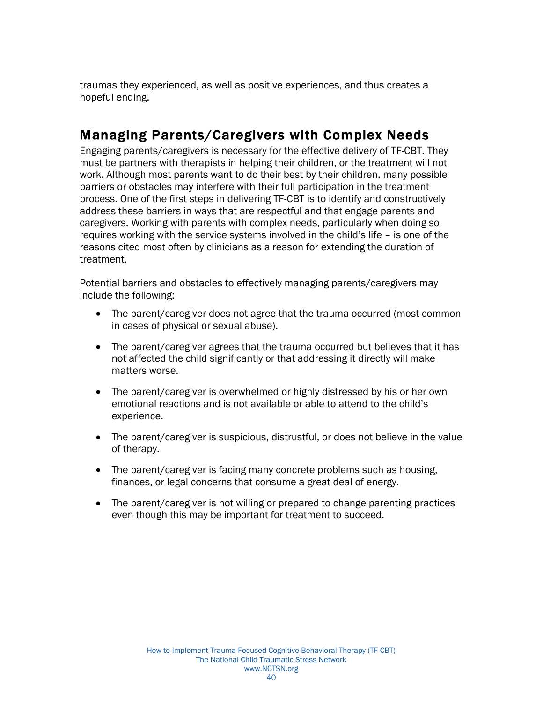<span id="page-41-0"></span>traumas they experienced, as well as positive experiences, and thus creates a hopeful ending.

## Managing Parents/Caregivers with Complex Needs

Engaging parents/caregivers is necessary for the effective delivery of TF-CBT. They must be partners with therapists in helping their children, or the treatment will not work. Although most parents want to do their best by their children, many possible barriers or obstacles may interfere with their full participation in the treatment process. One of the first steps in delivering TF-CBT is to identify and constructively address these barriers in ways that are respectful and that engage parents and caregivers. Working with parents with complex needs, particularly when doing so requires working with the service systems involved in the child's life – is one of the reasons cited most often by clinicians as a reason for extending the duration of treatment.

Potential barriers and obstacles to effectively managing parents/caregivers may include the following:

- The parent/caregiver does not agree that the trauma occurred (most common in cases of physical or sexual abuse).
- The parent/caregiver agrees that the trauma occurred but believes that it has not affected the child significantly or that addressing it directly will make matters worse.
- The parent/caregiver is overwhelmed or highly distressed by his or her own emotional reactions and is not available or able to attend to the child's experience.
- The parent/caregiver is suspicious, distrustful, or does not believe in the value of therapy.
- The parent/caregiver is facing many concrete problems such as housing, finances, or legal concerns that consume a great deal of energy.
- The parent/caregiver is not willing or prepared to change parenting practices even though this may be important for treatment to succeed.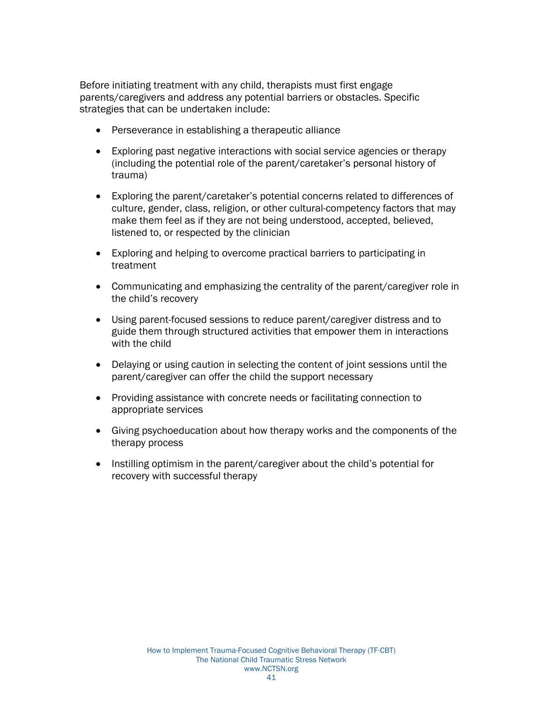Before initiating treatment with any child, therapists must first engage parents/caregivers and address any potential barriers or obstacles. Specific strategies that can be undertaken include:

- Perseverance in establishing a therapeutic alliance
- Exploring past negative interactions with social service agencies or therapy (including the potential role of the parent/caretaker's personal history of trauma)
- Exploring the parent/caretaker's potential concerns related to differences of culture, gender, class, religion, or other cultural-competency factors that may make them feel as if they are not being understood, accepted, believed, listened to, or respected by the clinician
- Exploring and helping to overcome practical barriers to participating in treatment
- Communicating and emphasizing the centrality of the parent/caregiver role in the child's recovery
- Using parent-focused sessions to reduce parent/caregiver distress and to guide them through structured activities that empower them in interactions with the child
- Delaying or using caution in selecting the content of joint sessions until the parent/caregiver can offer the child the support necessary
- Providing assistance with concrete needs or facilitating connection to appropriate services
- Giving psychoeducation about how therapy works and the components of the therapy process
- Instilling optimism in the parent/caregiver about the child's potential for recovery with successful therapy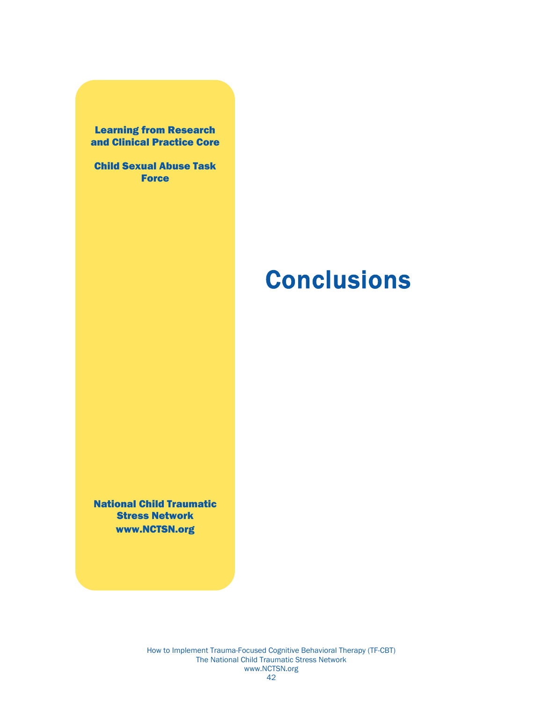<span id="page-43-0"></span>Learning from Research and Clinical Practice Core

Child Sexual Abuse Task **Force** 

# **Conclusions**

National Child Traumatic Stress Network www.NCTSN.org

> How to Implement Trauma-Focused Cognitive Behavioral Therapy (TF-CBT) The National Child Traumatic Stress Network www.NCTSN.org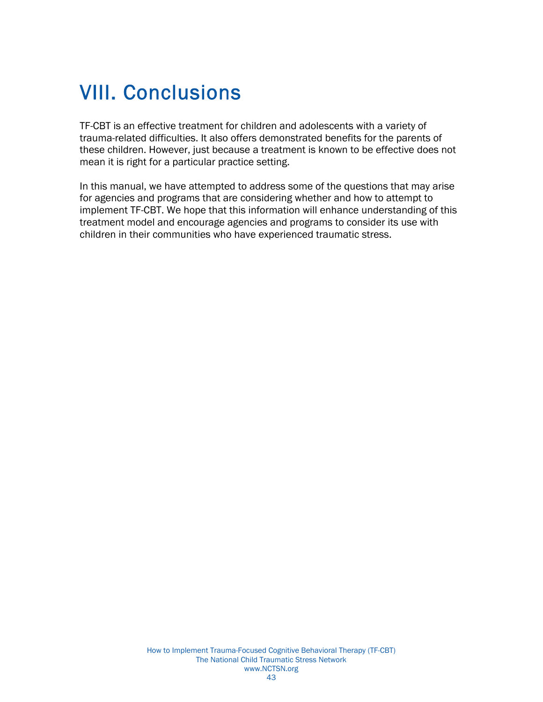## VIII. Conclusions

TF-CBT is an effective treatment for children and adolescents with a variety of trauma-related difficulties. It also offers demonstrated benefits for the parents of these children. However, just because a treatment is known to be effective does not mean it is right for a particular practice setting.

In this manual, we have attempted to address some of the questions that may arise for agencies and programs that are considering whether and how to attempt to implement TF-CBT. We hope that this information will enhance understanding of this treatment model and encourage agencies and programs to consider its use with children in their communities who have experienced traumatic stress.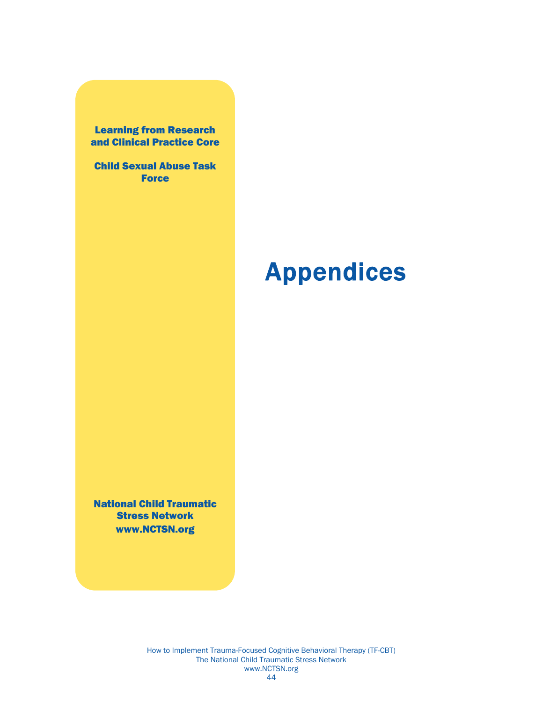<span id="page-45-0"></span>Learning from Research and Clinical Practice Core

Child Sexual Abuse Task **Force** 

# Appendices

National Child Traumatic Stress Network www.NCTSN.org

> How to Implement Trauma-Focused Cognitive Behavioral Therapy (TF-CBT) The National Child Traumatic Stress Network www.NCTSN.org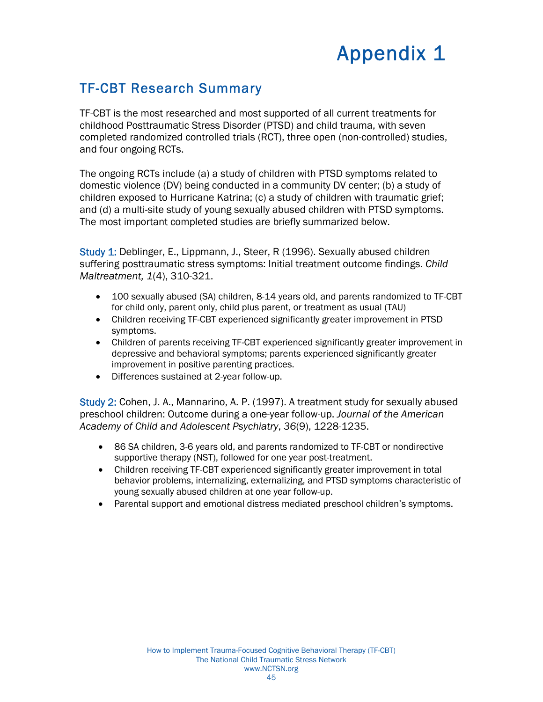## Appendix 1

## <span id="page-46-0"></span>TF-CBT Research Summary

TF-CBT is the most researched and most supported of all current treatments for childhood Posttraumatic Stress Disorder (PTSD) and child trauma, with seven completed randomized controlled trials (RCT), three open (non-controlled) studies, and four ongoing RCTs.

The ongoing RCTs include (a) a study of children with PTSD symptoms related to domestic violence (DV) being conducted in a community DV center; (b) a study of children exposed to Hurricane Katrina; (c) a study of children with traumatic grief; and (d) a multi-site study of young sexually abused children with PTSD symptoms. The most important completed studies are briefly summarized below.

Study 1: Deblinger, E., Lippmann, J., Steer, R (1996). Sexually abused children suffering posttraumatic stress symptoms: Initial treatment outcome findings. *Child Maltreatment, 1*(4), 310-321.

- 100 sexually abused (SA) children, 8-14 years old, and parents randomized to TF-CBT for child only, parent only, child plus parent, or treatment as usual (TAU)
- Children receiving TF-CBT experienced significantly greater improvement in PTSD symptoms.
- Children of parents receiving TF-CBT experienced significantly greater improvement in depressive and behavioral symptoms; parents experienced significantly greater improvement in positive parenting practices.
- Differences sustained at 2-year follow-up.

Study 2: Cohen, J. A., Mannarino, A. P. (1997). A treatment study for sexually abused preschool children: Outcome during a one-year follow-up. *Journal of the American Academy of Child and Adolescent Psychiatry*, *36*(9), 1228-1235.

- 86 SA children, 3-6 years old, and parents randomized to TF-CBT or nondirective supportive therapy (NST), followed for one year post-treatment.
- Children receiving TF-CBT experienced significantly greater improvement in total behavior problems, internalizing, externalizing, and PTSD symptoms characteristic of young sexually abused children at one year follow-up.
- Parental support and emotional distress mediated preschool children's symptoms.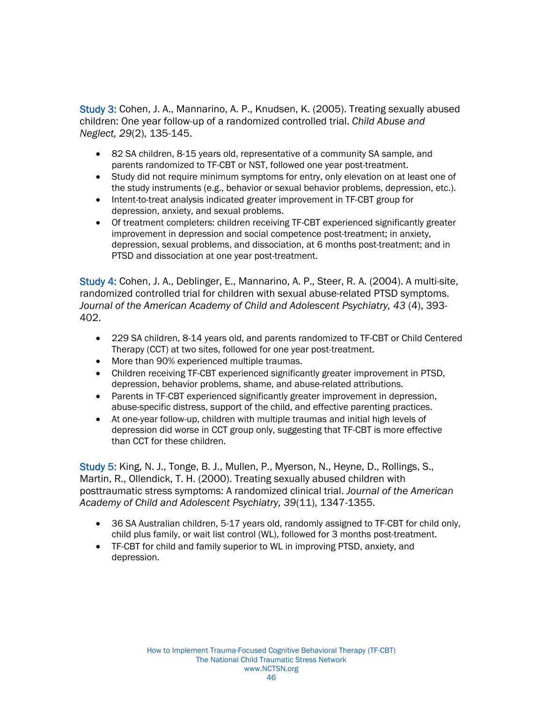Study 3: Cohen, J. A., Mannarino, A. P., Knudsen, K. (2005). Treating sexually abused children: One year follow-up of a randomized controlled trial. *Child Abuse and Neglect, 29*(2), 135-145.

- 82 SA children, 8-15 years old, representative of a community SA sample, and parents randomized to TF-CBT or NST, followed one year post-treatment.
- Study did not require minimum symptoms for entry, only elevation on at least one of the study instruments (e.g., behavior or sexual behavior problems, depression, etc.).
- Intent-to-treat analysis indicated greater improvement in TF-CBT group for depression, anxiety, and sexual problems.
- Of treatment completers: children receiving TF-CBT experienced significantly greater improvement in depression and social competence post-treatment; in anxiety, depression, sexual problems, and dissociation, at 6 months post-treatment; and in PTSD and dissociation at one year post-treatment.

Study 4: Cohen, J. A., Deblinger, E., Mannarino, A. P., Steer, R. A. (2004). A multi-site, randomized controlled trial for children with sexual abuse-related PTSD symptoms. *Journal of the American Academy of Child and Adolescent Psychiatry, 43* (4), 393- 402.

- 229 SA children, 8-14 years old, and parents randomized to TF-CBT or Child Centered Therapy (CCT) at two sites, followed for one year post-treatment.
- More than 90% experienced multiple traumas.
- Children receiving TF-CBT experienced significantly greater improvement in PTSD, depression, behavior problems, shame, and abuse-related attributions.
- Parents in TF-CBT experienced significantly greater improvement in depression, abuse-specific distress, support of the child, and effective parenting practices.
- At one-year follow-up, children with multiple traumas and initial high levels of depression did worse in CCT group only, suggesting that TF-CBT is more effective than CCT for these children.

Study 5: King, N. J., Tonge, B. J., Mullen, P., Myerson, N., Heyne, D., Rollings, S., Martin, R., Ollendick, T. H. (2000). Treating sexually abused children with posttraumatic stress symptoms: A randomized clinical trial. *Journal of the American Academy of Child and Adolescent Psychiatry, 39*(11), 1347-1355.

- 36 SA Australian children, 5-17 years old, randomly assigned to TF-CBT for child only, child plus family, or wait list control (WL), followed for 3 months post-treatment.
- TF-CBT for child and family superior to WL in improving PTSD, anxiety, and depression.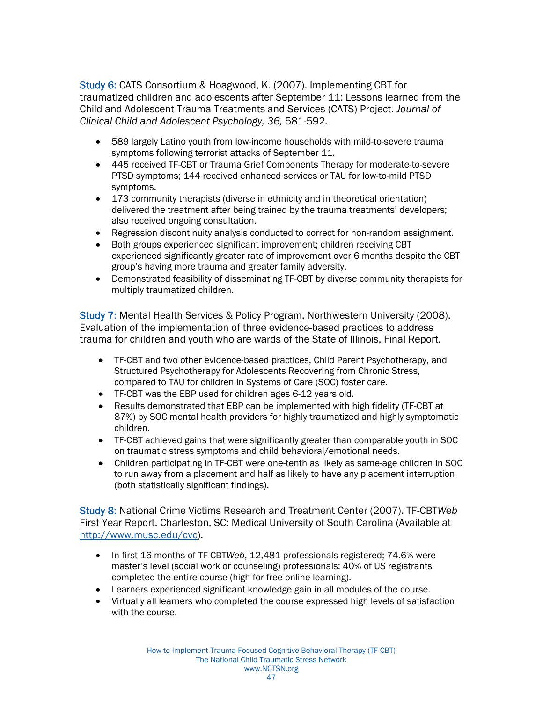Study 6: CATS Consortium & Hoagwood, K. (2007). Implementing CBT for traumatized children and adolescents after September 11: Lessons learned from the Child and Adolescent Trauma Treatments and Services (CATS) Project. *Journal of Clinical Child and Adolescent Psychology, 36,* 581-592*.* 

- 589 largely Latino youth from low-income households with mild-to-severe trauma symptoms following terrorist attacks of September 11.
- 445 received TF-CBT or Trauma Grief Components Therapy for moderate-to-severe PTSD symptoms; 144 received enhanced services or TAU for low-to-mild PTSD symptoms.
- 173 community therapists (diverse in ethnicity and in theoretical orientation) delivered the treatment after being trained by the trauma treatments' developers; also received ongoing consultation.
- Regression discontinuity analysis conducted to correct for non-random assignment.
- Both groups experienced significant improvement; children receiving CBT experienced significantly greater rate of improvement over 6 months despite the CBT group's having more trauma and greater family adversity.
- Demonstrated feasibility of disseminating TF-CBT by diverse community therapists for multiply traumatized children.

Study 7: Mental Health Services & Policy Program, Northwestern University (2008). Evaluation of the implementation of three evidence-based practices to address trauma for children and youth who are wards of the State of Illinois, Final Report.

- TF-CBT and two other evidence-based practices, Child Parent Psychotherapy, and Structured Psychotherapy for Adolescents Recovering from Chronic Stress, compared to TAU for children in Systems of Care (SOC) foster care.
- TF-CBT was the EBP used for children ages 6-12 years old.
- Results demonstrated that EBP can be implemented with high fidelity (TF-CBT at 87%) by SOC mental health providers for highly traumatized and highly symptomatic children.
- TF-CBT achieved gains that were significantly greater than comparable youth in SOC on traumatic stress symptoms and child behavioral/emotional needs.
- Children participating in TF-CBT were one-tenth as likely as same-age children in SOC to run away from a placement and half as likely to have any placement interruption (both statistically significant findings).

Study 8: National Crime Victims Research and Treatment Center (2007). TF-CBT*Web* First Year Report. Charleston, SC: Medical University of South Carolina (Available at http://www.musc.edu/cvc).

- In first 16 months of TF-CBT*Web*, 12,481 professionals registered; 74.6% were master's level (social work or counseling) professionals; 40% of US registrants completed the entire course (high for free online learning).
- Learners experienced significant knowledge gain in all modules of the course.
- Virtually all learners who completed the course expressed high levels of satisfaction with the course.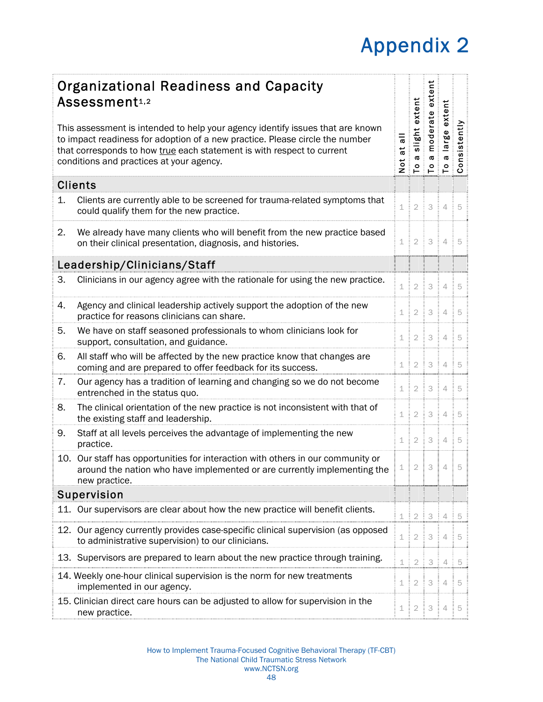# Appendix 2

<span id="page-49-0"></span>

|                                                                                                                                                                                                                                                                                      | <b>Organizational Readiness and Capacity</b><br>Assessment1,2                                                                                                                |         | extent                   | extent      | extent                   |                                                                                                       |
|--------------------------------------------------------------------------------------------------------------------------------------------------------------------------------------------------------------------------------------------------------------------------------------|------------------------------------------------------------------------------------------------------------------------------------------------------------------------------|---------|--------------------------|-------------|--------------------------|-------------------------------------------------------------------------------------------------------|
| This assessment is intended to help your agency identify issues that are known<br>to impact readiness for adoption of a new practice. Please circle the number<br>that corresponds to how true each statement is with respect to current<br>conditions and practices at your agency. |                                                                                                                                                                              |         | <b>D</b><br>$\mathsf{P}$ | $P^{\circ}$ | $\sigma$ $\sigma$        | i slight exten<br>a moderate e<br>a large exter<br>a large exter<br>nsistently<br>Ë<br>$\overline{S}$ |
|                                                                                                                                                                                                                                                                                      | <b>Clients</b>                                                                                                                                                               |         |                          |             |                          |                                                                                                       |
| 1.                                                                                                                                                                                                                                                                                   | Clients are currently able to be screened for trauma-related symptoms that<br>could qualify them for the new practice.                                                       | $\perp$ | $\frac{1}{2}$            | 3           | 4:1                      | 5                                                                                                     |
| 2.                                                                                                                                                                                                                                                                                   | We already have many clients who will benefit from the new practice based<br>on their clinical presentation, diagnosis, and histories.                                       |         |                          |             | $1 \mid 2 \mid 3 \mid 4$ | 5                                                                                                     |
|                                                                                                                                                                                                                                                                                      | Leadership/Clinicians/Staff                                                                                                                                                  |         |                          |             |                          |                                                                                                       |
| З.                                                                                                                                                                                                                                                                                   | Clinicians in our agency agree with the rationale for using the new practice.                                                                                                |         |                          |             | $1 \ 2 \ 3 \ 4 \ 5$      |                                                                                                       |
| 4.                                                                                                                                                                                                                                                                                   | Agency and clinical leadership actively support the adoption of the new<br>practice for reasons clinicians can share.                                                        |         |                          |             | $1 \ 2 \ 3 \ 4 \ 5$      |                                                                                                       |
| 5.                                                                                                                                                                                                                                                                                   | We have on staff seasoned professionals to whom clinicians look for<br>support, consultation, and guidance.                                                                  |         |                          |             | 1 2 3 4 5                |                                                                                                       |
| 6.                                                                                                                                                                                                                                                                                   | All staff who will be affected by the new practice know that changes are<br>coming and are prepared to offer feedback for its success.                                       |         |                          |             | 1 2 3 4 5                |                                                                                                       |
| 7.                                                                                                                                                                                                                                                                                   | Our agency has a tradition of learning and changing so we do not become<br>entrenched in the status quo.                                                                     |         |                          |             | 1   2   3   4            | 5                                                                                                     |
| 8.                                                                                                                                                                                                                                                                                   | The clinical orientation of the new practice is not inconsistent with that of<br>the existing staff and leadership.                                                          | $\perp$ |                          |             |                          |                                                                                                       |
| 9.                                                                                                                                                                                                                                                                                   | Staff at all levels perceives the advantage of implementing the new<br>practice.                                                                                             |         | $1 \mid 2 \mid 3 \mid 4$ |             |                          | 5                                                                                                     |
|                                                                                                                                                                                                                                                                                      | 10. Our staff has opportunities for interaction with others in our community or<br>around the nation who have implemented or are currently implementing the<br>new practice. |         |                          |             | 1   2   3   4            | 5                                                                                                     |
|                                                                                                                                                                                                                                                                                      | Supervision                                                                                                                                                                  |         |                          |             |                          |                                                                                                       |
|                                                                                                                                                                                                                                                                                      | 11. Our supervisors are clear about how the new practice will benefit clients.                                                                                               |         |                          |             | 1:2:3:4:5                |                                                                                                       |
|                                                                                                                                                                                                                                                                                      | 12. Our agency currently provides case-specific clinical supervision (as opposed<br>to administrative supervision) to our clinicians.                                        | $\perp$ |                          |             |                          | 5                                                                                                     |
|                                                                                                                                                                                                                                                                                      | 13. Supervisors are prepared to learn about the new practice through training.                                                                                               |         | $1 \mid 2 \mid 3 \mid 4$ |             |                          | 5                                                                                                     |
|                                                                                                                                                                                                                                                                                      | 14. Weekly one-hour clinical supervision is the norm for new treatments<br>implemented in our agency.                                                                        | $\perp$ | 1213                     |             | $4 \frac{1}{2}$          |                                                                                                       |
|                                                                                                                                                                                                                                                                                      | 15. Clinician direct care hours can be adjusted to allow for supervision in the<br>new practice.                                                                             |         | 1   2   3                |             | 4                        |                                                                                                       |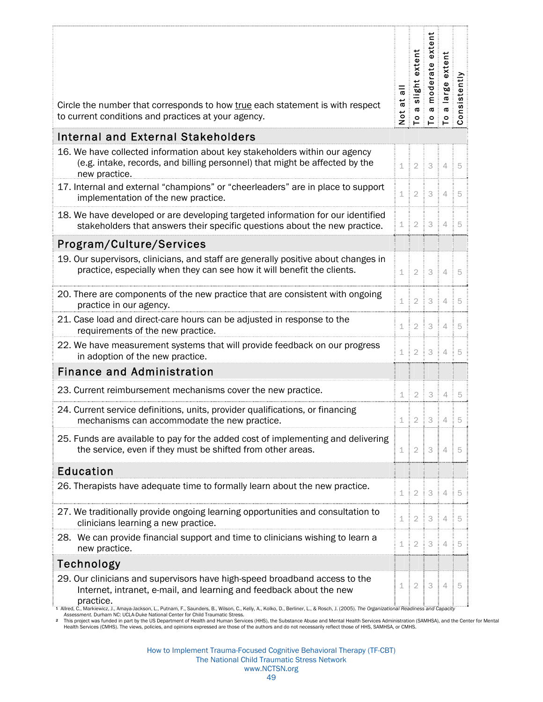| Circle the number that corresponds to how true each statement is with respect<br>to current conditions and practices at your agency.                                                                                                                                                                                                                       | at all<br><b>b</b><br>Not | slight extent<br>moderate extent<br>$\sigma$<br>$\mathsf{P}$ | $\pmb{\varpi}$           | Ĕ<br>exter<br>large<br>6<br>$P \overline{P} \overline{S}$ | nsistently |
|------------------------------------------------------------------------------------------------------------------------------------------------------------------------------------------------------------------------------------------------------------------------------------------------------------------------------------------------------------|---------------------------|--------------------------------------------------------------|--------------------------|-----------------------------------------------------------|------------|
| <b>Internal and External Stakeholders</b>                                                                                                                                                                                                                                                                                                                  |                           |                                                              |                          |                                                           |            |
| 16. We have collected information about key stakeholders within our agency<br>(e.g. intake, records, and billing personnel) that might be affected by the<br>new practice.                                                                                                                                                                                 |                           |                                                              | $1 \ 2 \ 3 \ 4 \ 5$      |                                                           |            |
| 17. Internal and external "champions" or "cheerleaders" are in place to support<br>implementation of the new practice.                                                                                                                                                                                                                                     |                           |                                                              | $1 \ 2 \ 3 \ 4 \ 5$      |                                                           |            |
| 18. We have developed or are developing targeted information for our identified<br>stakeholders that answers their specific questions about the new practice.                                                                                                                                                                                              |                           |                                                              | 1   2   3   4   5        |                                                           |            |
| Program/Culture/Services                                                                                                                                                                                                                                                                                                                                   |                           |                                                              |                          |                                                           |            |
| 19. Our supervisors, clinicians, and staff are generally positive about changes in<br>practice, especially when they can see how it will benefit the clients.                                                                                                                                                                                              |                           |                                                              | $1 \ 2 \ 3 \ 4 \ 5$      |                                                           |            |
| 20. There are components of the new practice that are consistent with ongoing<br>practice in our agency.                                                                                                                                                                                                                                                   | $\perp$                   | $\overline{2}$                                               | $3 \mid 4 \mid 5$        |                                                           |            |
| 21. Case load and direct-care hours can be adjusted in response to the<br>requirements of the new practice.                                                                                                                                                                                                                                                |                           |                                                              | 1 2 3 4 5                |                                                           |            |
| 22. We have measurement systems that will provide feedback on our progress<br>in adoption of the new practice.                                                                                                                                                                                                                                             |                           |                                                              | 1 2 3 4 5                |                                                           |            |
| <b>Finance and Administration</b>                                                                                                                                                                                                                                                                                                                          |                           |                                                              |                          |                                                           |            |
| 23. Current reimbursement mechanisms cover the new practice.                                                                                                                                                                                                                                                                                               | 1:                        |                                                              | $2 \mid 3 \mid 4 \mid 5$ |                                                           |            |
| 24. Current service definitions, units, provider qualifications, or financing<br>mechanisms can accommodate the new practice.                                                                                                                                                                                                                              |                           |                                                              | 1:2:3:4                  |                                                           | 5          |
| 25. Funds are available to pay for the added cost of implementing and delivering<br>the service, even if they must be shifted from other areas.                                                                                                                                                                                                            |                           |                                                              | 1 2 3 4 5                |                                                           |            |
| <b>Education</b>                                                                                                                                                                                                                                                                                                                                           |                           |                                                              |                          |                                                           |            |
| 26. Therapists have adequate time to formally learn about the new practice.                                                                                                                                                                                                                                                                                |                           |                                                              | $1 \ 2 \ 3 \ 1 \ 4 \ 5$  |                                                           |            |
| 27. We traditionally provide ongoing learning opportunities and consultation to<br>clinicians learning a new practice.                                                                                                                                                                                                                                     |                           |                                                              | 1:2:3:4:5                |                                                           |            |
| 28. We can provide financial support and time to clinicians wishing to learn a<br>new practice.                                                                                                                                                                                                                                                            |                           |                                                              | 1   2   3   4   5        |                                                           |            |
| Technology                                                                                                                                                                                                                                                                                                                                                 |                           |                                                              |                          |                                                           |            |
| 29. Our clinicians and supervisors have high-speed broadband access to the<br>Internet, intranet, e-mail, and learning and feedback about the new<br>practice.<br>1 Allred, C., Markiewicz, J., Amaya-Jackson, L., Putnam, F., Saunders, B., Wilson, C., Kelly, A., Kolko, D., Berliner, L., & Rosch, J. (2005). The Organizational Readiness and Capacity | 1:                        |                                                              | $2 \mid 3 \mid 4 \mid 5$ |                                                           |            |

4 Allred, C., Markiewicz, J., Amaya-Jackson, L., Putnam, F., Saunders, B., Wilson, C., Kelly, A., Kolko, D., Berliner, L., & Rosch, J. (2005). *The Organizational Readiness and Capacity*<br>4 Assessment. Durham NC: UCLA-Duke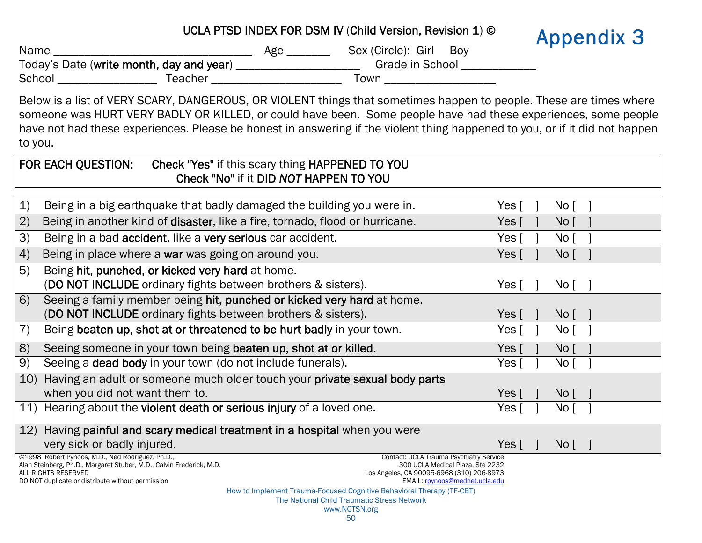<span id="page-51-0"></span>

|        | <b>Appendix 3</b>                        |     |                           |  |
|--------|------------------------------------------|-----|---------------------------|--|
| Name   |                                          | Age | Sex (Circle): Girl<br>Bov |  |
|        | Today's Date (write month, day and year) |     | Grade in School           |  |
| School | Teacher                                  |     | Town                      |  |

Below is a list of VERY SCARY, DANGEROUS, OR VIOLENT things that sometimes happen to people. These are times where someone was HURT VERY BADLY OR KILLED, or could have been. Some people have had these experiences, some people have not had these experiences. Please be honest in answering if the violent thing happened to you, or if it did not happen to you.

|                 | FOR EACH QUESTION:<br>Check "Yes" if this scary thing HAPPENED TO YOU                                                                                                                                   |                           |                        |  |  |  |
|-----------------|---------------------------------------------------------------------------------------------------------------------------------------------------------------------------------------------------------|---------------------------|------------------------|--|--|--|
|                 | Check "No" if it DID NOT HAPPEN TO YOU                                                                                                                                                                  |                           |                        |  |  |  |
|                 |                                                                                                                                                                                                         |                           |                        |  |  |  |
| $\mathbf{1}$    | Being in a big earthquake that badly damaged the building you were in.                                                                                                                                  | Yes $\lceil$              | No [                   |  |  |  |
| 2)              | Being in another kind of disaster, like a fire, tornado, flood or hurricane.                                                                                                                            | Yes $\lceil$              | No <sub>1</sub>        |  |  |  |
| 3)              | Being in a bad accident, like a very serious car accident.                                                                                                                                              | Yes $\lceil$              | No <sub>1</sub>        |  |  |  |
| 4)              | Being in place where a war was going on around you.                                                                                                                                                     | Yes $\lceil$              | No <sub>1</sub>        |  |  |  |
| 5)              | Being hit, punched, or kicked very hard at home.                                                                                                                                                        |                           |                        |  |  |  |
|                 | (DO NOT INCLUDE ordinary fights between brothers & sisters).                                                                                                                                            | Yes $\lceil$              | No[                    |  |  |  |
| 6)              | Seeing a family member being hit, punched or kicked very hard at home.                                                                                                                                  |                           |                        |  |  |  |
|                 | (DO NOT INCLUDE ordinary fights between brothers & sisters).                                                                                                                                            | Yes $\lceil$              | $\mathsf{No}$ $\lceil$ |  |  |  |
| 7)              | Being beaten up, shot at or threatened to be hurt badly in your town.                                                                                                                                   | Yes [                     | No [                   |  |  |  |
| 8)              | Seeing someone in your town being beaten up, shot at or killed.                                                                                                                                         | Yes $\lceil$              | No <sub>1</sub>        |  |  |  |
| 9)              | Seeing a dead body in your town (do not include funerals).                                                                                                                                              | Yes $\lceil$              | No [                   |  |  |  |
| 10 <sub>1</sub> | Having an adult or someone much older touch your private sexual body parts                                                                                                                              |                           |                        |  |  |  |
|                 | when you did not want them to.                                                                                                                                                                          | Yes $\lceil$              | No <sub>1</sub>        |  |  |  |
|                 | 11) Hearing about the violent death or serious injury of a loved one.                                                                                                                                   | Yes [                     | No J                   |  |  |  |
|                 | 12) Having painful and scary medical treatment in a hospital when you were                                                                                                                              |                           |                        |  |  |  |
|                 | very sick or badly injured.                                                                                                                                                                             | Yes $\lceil \quad \rceil$ | $Nof$ 1                |  |  |  |
|                 | ©1998 Robert Pynoos, M.D., Ned Rodriguez, Ph.D.,<br>Contact: UCLA Trauma Psychiatry Service<br>Alan Steinberg, Ph.D., Margaret Stuber, M.D., Calvin Frederick, M.D.<br>300 UCLA Medical Plaza, Ste 2232 |                           |                        |  |  |  |
|                 | ALL RIGHTS RESERVED<br>Los Angeles, CA 90095-6968 (310) 206-8973                                                                                                                                        |                           |                        |  |  |  |
|                 | DO NOT duplicate or distribute without permission<br>EMAIL: rpynoos@mednet.ucla.edu                                                                                                                     |                           |                        |  |  |  |
|                 | How to Implement Trauma-Focused Cognitive Behavioral Therapy (TF-CBT)<br>The National Child Traumatic Stress Network                                                                                    |                           |                        |  |  |  |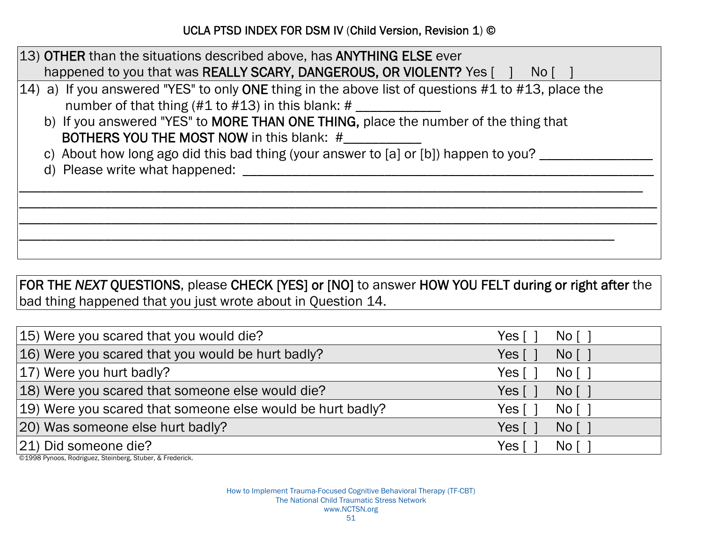| 13) OTHER than the situations described above, has ANYTHING ELSE ever                                                                                                   |
|-------------------------------------------------------------------------------------------------------------------------------------------------------------------------|
| happened to you that was REALLY SCARY, DANGEROUS, OR VIOLENT? Yes [ ] No [                                                                                              |
| 14) a) If you answered "YES" to only ONE thing in the above list of questions #1 to #13, place the<br>number of that thing $(\#1 \text{ to } \#13)$ in this blank: $\#$ |
| b) If you answered "YES" to MORE THAN ONE THING, place the number of the thing that<br><b>BOTHERS YOU THE MOST NOW in this blank: #</b>                                 |
| c) About how long ago did this bad thing (your answer to [a] or [b]) happen to you? _____                                                                               |
|                                                                                                                                                                         |
|                                                                                                                                                                         |
|                                                                                                                                                                         |
|                                                                                                                                                                         |
|                                                                                                                                                                         |
|                                                                                                                                                                         |

## FOR THE *NEXT* QUESTIONS, please CHECK [YES] or [NO] to answer HOW YOU FELT during or right after the bad thing happened that you just wrote about in Question 14.

| 15) Were you scared that you would die?                    | Yes   | No [ ]                  |
|------------------------------------------------------------|-------|-------------------------|
| 16) Were you scared that you would be hurt badly?          | Yes [ | No [ ]                  |
| 17) Were you hurt badly?                                   | Yes   | $N$ o $\lceil$ $\rceil$ |
| 18) Were you scared that someone else would die?           | Yes [ | No [ ]                  |
| 19) Were you scared that someone else would be hurt badly? | Yes I | No [                    |
| 20) Was someone else hurt badly?                           | Yes [ | No [ ]                  |
| 21) Did someone die?                                       | Yes   | No [                    |

©1998 Pynoos, Rodriguez, Steinberg, Stuber, & Frederick.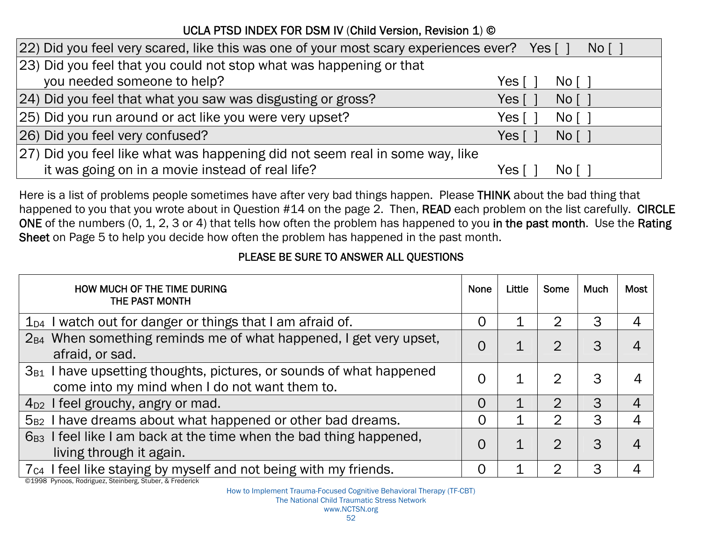| [22] Did you feel very scared, like this was one of your most scary experiences ever? Yes [] |         | $N$ o $\lceil$ 1        |
|----------------------------------------------------------------------------------------------|---------|-------------------------|
| [23] Did you feel that you could not stop what was happening or that                         |         |                         |
| you needed someone to help?                                                                  | Yes     | $Nof$ 1                 |
| [24] Did you feel that what you saw was disgusting or gross?                                 | Yes [ ˈ | No [ ]                  |
| 25) Did you run around or act like you were very upset?                                      | Yes l   | No [ ]                  |
| 26) Did you feel very confused?                                                              | Yes [ i | No [ ]                  |
| [27] Did you feel like what was happening did not seem real in some way, like                |         |                         |
| it was going on in a movie instead of real life?                                             | Yes     | $N$ o $\lceil$ $\rceil$ |

Here is a list of problems people sometimes have after very bad things happen. Please THINK about the bad thing that happened to you that you wrote about in Question #14 on the page 2. Then, READ each problem on the list carefully. CIRCLE ONE of the numbers (0, 1, 2, 3 or 4) that tells how often the problem has happened to you in the past month. Use the Rating Sheet on Page 5 to help you decide how often the problem has happened in the past month.

#### PLEASE BE SURE TO ANSWER ALL QUESTIONS

| HOW MUCH OF THE TIME DURING<br>THE PAST MONTH                                                                             | <b>None</b> | Little | Some         | <b>Much</b> | <b>Most</b> |
|---------------------------------------------------------------------------------------------------------------------------|-------------|--------|--------------|-------------|-------------|
| $1_{D4}$ I watch out for danger or things that I am afraid of.                                                            | 0           |        | 2            | 3           | 4           |
| $2_{B4}$ When something reminds me of what happened, I get very upset,<br>afraid, or sad.                                 | 0           |        | $\Omega$     | 3           |             |
| $3_{B1}$ I have upsetting thoughts, pictures, or sounds of what happened<br>come into my mind when I do not want them to. | $\Omega$    |        | 2            | 3           |             |
| $4D2$ I feel grouchy, angry or mad.                                                                                       | $\Omega$    |        | ク            | 3           | 4           |
| $5_{B2}$ I have dreams about what happened or other bad dreams.                                                           | 0           |        | $\mathbf{2}$ | 3           |             |
| 6 <sub>B3</sub> I feel like I am back at the time when the bad thing happened,<br>living through it again.                | $\Omega$    |        | ႒            | 3           | 4           |
| 7 <sub>C4</sub> I feel like staying by myself and not being with my friends.                                              | $\Omega$    |        | ◠            | 3           |             |

©1998 Pynoos, Rodriguez, Steinberg, Stuber, & Frederick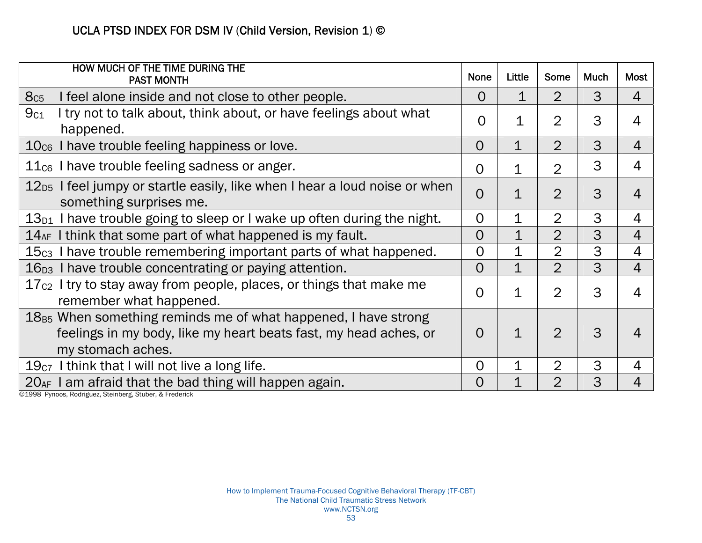| HOW MUCH OF THE TIME DURING THE<br><b>PAST MONTH</b>                                                                                                         | <b>None</b>    | Little         | Some           | <b>Much</b> | <b>Most</b>    |
|--------------------------------------------------------------------------------------------------------------------------------------------------------------|----------------|----------------|----------------|-------------|----------------|
| I feel alone inside and not close to other people.<br>8c <sub>5</sub>                                                                                        | $\Omega$       | 1              | $\overline{2}$ | 3           | $\overline{4}$ |
| 9c <sub>1</sub><br>I try not to talk about, think about, or have feelings about what<br>happened.                                                            | $\Omega$       | 1              | $\overline{2}$ | 3           | 4              |
| $10cs$ I have trouble feeling happiness or love.                                                                                                             | $\overline{O}$ | $\mathbf{1}$   | $\overline{2}$ | 3           | $\overline{4}$ |
| $11cs$ I have trouble feeling sadness or anger.                                                                                                              | $\Omega$       | 1              | $\overline{2}$ | 3           | $\overline{4}$ |
| $12_{D5}$ I feel jumpy or startle easily, like when I hear a loud noise or when<br>something surprises me.                                                   | 0              | $\mathbf 1$    | $\overline{2}$ | 3           | $\overline{4}$ |
| 13 <sub>D1</sub> I have trouble going to sleep or I wake up often during the night.                                                                          | 0              | $\mathbf 1$    | $\overline{2}$ | 3           | 4              |
| $14_{AF}$ I think that some part of what happened is my fault.                                                                                               | 0              | $\mathbf 1$    | $\overline{2}$ | 3           | $\overline{4}$ |
| 15c <sub>3</sub> I have trouble remembering important parts of what happened.                                                                                | 0              | 1              | $\overline{2}$ | 3           | $\overline{4}$ |
| $16_{D3}$ I have trouble concentrating or paying attention.                                                                                                  | O              | $\overline{1}$ | $\overline{2}$ | 3           | 4              |
| 17 <sub>c2</sub> I try to stay away from people, places, or things that make me<br>remember what happened.                                                   | $\Omega$       | $\mathbf 1$    | $\overline{2}$ | 3           | $\overline{4}$ |
| $18_{B5}$ When something reminds me of what happened, I have strong<br>feelings in my body, like my heart beats fast, my head aches, or<br>my stomach aches. | O              | $\mathbf 1$    | $\overline{2}$ | 3           | 4              |
| $19c7$ I think that I will not live a long life.                                                                                                             | 0              | $\mathbf 1$    | $\overline{2}$ | 3           | $\overline{4}$ |
| $20_{AF}$ I am afraid that the bad thing will happen again.                                                                                                  | 0              | $\mathbf 1$    | $\overline{2}$ | 3           | $\overline{4}$ |

©1998 Pynoos, Rodriguez, Steinberg, Stuber, & Frederick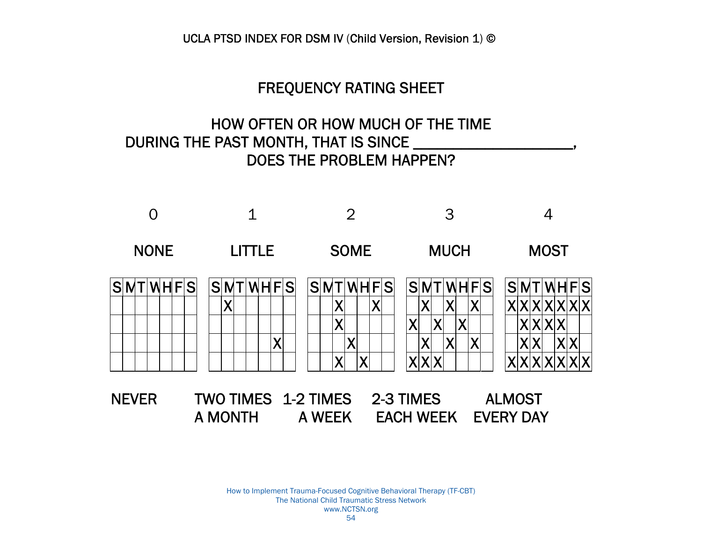#### FREQUENCY RATING SHEET

## HOW OFTEN OR HOW MUCH OF THE TIME DURING THE PAST MONTH, THAT IS SINCE \_\_\_\_\_\_ DOES THE PROBLEM HAPPEN?



How to Implement Trauma-Focused Cognitive Behavioral Therapy (TF-CBT) The National Child Traumatic Stress Network www.NCTSN.org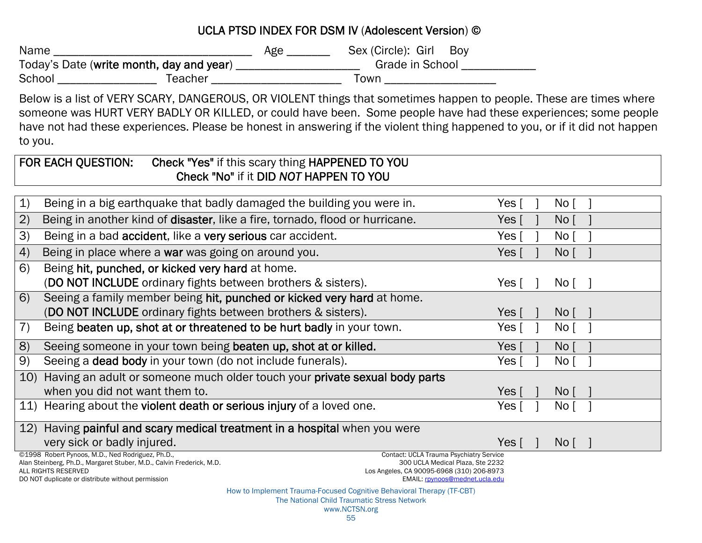#### UCLA PTSD INDEX FOR DSM IV (Adolescent Version) ©

| Name                                     |         | Age | Sex (Circle): Girl | Boy |
|------------------------------------------|---------|-----|--------------------|-----|
| Today's Date (write month, day and year) |         |     | Grade in School    |     |
| School                                   | Teacher |     | ſown               |     |

Below is a list of VERY SCARY, DANGEROUS, OR VIOLENT things that sometimes happen to people. These are times where someone was HURT VERY BADLY OR KILLED, or could have been. Some people have had these experiences; some people have not had these experiences. Please be honest in answering if the violent thing happened to you, or if it did not happen to you.

| Check "Yes" if this scary thing HAPPENED TO YOU<br>FOR EACH QUESTION:                                                                                                                                   |                                   |
|---------------------------------------------------------------------------------------------------------------------------------------------------------------------------------------------------------|-----------------------------------|
| Check "No" if it DID NOT HAPPEN TO YOU                                                                                                                                                                  |                                   |
|                                                                                                                                                                                                         |                                   |
| $\mathbf{1}$<br>Being in a big earthquake that badly damaged the building you were in.                                                                                                                  | No <sub>1</sub><br>Yes [          |
| (2)<br>Being in another kind of disaster, like a fire, tornado, flood or hurricane.                                                                                                                     | No <sub>1</sub><br>Yes $\lceil$   |
| 3)<br>Being in a bad accident, like a very serious car accident.                                                                                                                                        | Yes $\lceil$<br>No <sub>1</sub>   |
| 4)<br>Being in place where a war was going on around you.                                                                                                                                               | Yes $\lceil$<br>No <sub>1</sub>   |
| 6)<br>Being hit, punched, or kicked very hard at home.                                                                                                                                                  |                                   |
| (DO NOT INCLUDE ordinary fights between brothers & sisters).                                                                                                                                            | Nof<br>Yes [                      |
| 6)<br>Seeing a family member being hit, punched or kicked very hard at home.                                                                                                                            |                                   |
| (DO NOT INCLUDE ordinary fights between brothers & sisters).                                                                                                                                            | Yes $\lceil$<br>No <sub>1</sub>   |
| Being beaten up, shot at or threatened to be hurt badly in your town.<br>7)                                                                                                                             | Yes $\lceil$<br>No <sup>1</sup>   |
| 8)<br>Seeing someone in your town being beaten up, shot at or killed.                                                                                                                                   | Yes [<br>No <sub>1</sub>          |
| 9)<br>Seeing a dead body in your town (do not include funerals).                                                                                                                                        | No <sub>1</sub><br>Yes [          |
| Having an adult or someone much older touch your private sexual body parts<br>10)                                                                                                                       |                                   |
| when you did not want them to.                                                                                                                                                                          | Yes $\lceil$<br>No <sub>1</sub>   |
| 11) Hearing about the violent death or serious injury of a loved one.                                                                                                                                   | No [<br>Yes [                     |
| 12) Having painful and scary medical treatment in a hospital when you were                                                                                                                              |                                   |
| very sick or badly injured.                                                                                                                                                                             | Yes $\lceil \quad \rceil$<br>No [ |
| ©1998 Robert Pynoos, M.D., Ned Rodriguez, Ph.D.,<br>Contact: UCLA Trauma Psychiatry Service<br>Alan Steinberg, Ph.D., Margaret Stuber, M.D., Calvin Frederick, M.D.<br>300 UCLA Medical Plaza, Ste 2232 |                                   |
| ALL RIGHTS RESERVED<br>Los Angeles, CA 90095-6968 (310) 206-8973<br>DO NOT duplicate or distribute without permission<br>EMAIL: rpynoos@mednet.ucla.edu                                                 |                                   |
| How to Implement Trauma-Focused Cognitive Behavioral Therapy (TF-CBT)                                                                                                                                   |                                   |

The National Child Traumatic Stress Network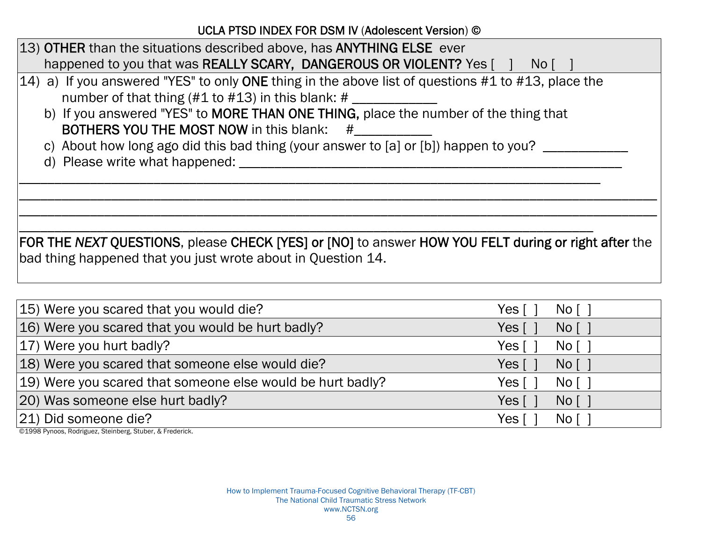UCLA PTSD INDEX FOR DSM IV (Adolescent Version) ©

| 13) OTHER than the situations described above, has ANYTHING ELSE ever                                 |
|-------------------------------------------------------------------------------------------------------|
| happened to you that was REALLY SCARY, DANGEROUS OR VIOLENT? Yes [ ] No [                             |
| $(14)$ a) If you answered "YES" to only ONE thing in the above list of questions #1 to #13, place the |
| number of that thing $(\#1 \text{ to } \#13)$ in this blank: $\#$                                     |
| b) If you answered "YES" to MORE THAN ONE THING, place the number of the thing that                   |
| <b>BOTHERS YOU THE MOST NOW in this blank:</b> #                                                      |
| c) About how long ago did this bad thing (your answer to [a] or [b]) happen to you?                   |
| d) Please write what happened:                                                                        |
|                                                                                                       |
|                                                                                                       |
|                                                                                                       |
|                                                                                                       |
| FOR THE NEXT QUESTIONS, please CHECK [YES] or [NO] to answer HOW YOU FELT during or right after the   |
| bad thing happened that you just wrote about in Question 14.                                          |
|                                                                                                       |
|                                                                                                       |

| 15) Were you scared that you would die?                    | Yes  <br>No [ ]  |
|------------------------------------------------------------|------------------|
| 16) Were you scared that you would be hurt badly?          | Yes [<br>No [ ]  |
| 17) Were you hurt badly?                                   | Yes [<br>No [ ]  |
| 18) Were you scared that someone else would die?           | Yes [<br>$Nof$ 1 |
| 19) Were you scared that someone else would be hurt badly? | Yes I<br>No [ ]  |
| 20) Was someone else hurt badly?                           | Yes [<br>No [ ]  |
| 21) Did someone die?                                       | Yes I<br>No [    |

©1998 Pynoos, Rodriguez, Steinberg, Stuber, & Frederick.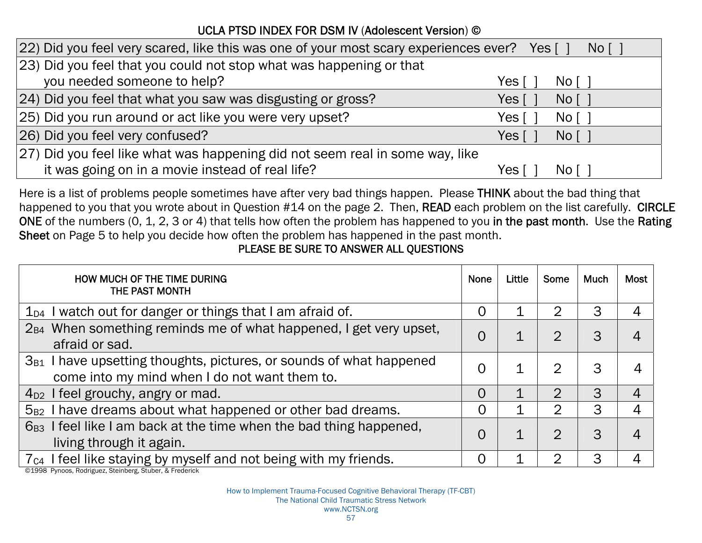#### UCLA PTSD INDEX FOR DSM IV (Adolescent Version) ©

| [22] Did you feel very scared, like this was one of your most scary experiences ever? Yes [] |         | $N$ o $\lceil$ $\rceil$         |
|----------------------------------------------------------------------------------------------|---------|---------------------------------|
| [23] Did you feel that you could not stop what was happening or that                         |         |                                 |
| you needed someone to help?                                                                  | Yes     | $Nof$ 1                         |
| [24] Did you feel that what you saw was disgusting or gross?                                 | Yes [ ] | No [ ]                          |
| 25) Did you run around or act like you were very upset?                                      | Yes [   | No [ ]                          |
| 26) Did you feel very confused?                                                              | Yes [   | No [ ]                          |
| [27] Did you feel like what was happening did not seem real in some way, like                |         |                                 |
| it was going on in a movie instead of real life?                                             | Yes     | $\overline{N}$ o $\overline{C}$ |

Here is a list of problems people sometimes have after very bad things happen. Please THINK about the bad thing that happened to you that you wrote about in Question #14 on the page 2. Then, READ each problem on the list carefully. CIRCLE ONE of the numbers (0, 1, 2, 3 or 4) that tells how often the problem has happened to you in the past month. Use the Rating Sheet on Page 5 to help you decide how often the problem has happened in the past month.

#### PLEASE BE SURE TO ANSWER ALL QUESTIONS

| HOW MUCH OF THE TIME DURING<br>THE PAST MONTH                                                                              | <b>None</b>    | Little | Some           | <b>Much</b> | Most |
|----------------------------------------------------------------------------------------------------------------------------|----------------|--------|----------------|-------------|------|
| $1_{D4}$ I watch out for danger or things that I am afraid of.                                                             | O              |        | $\overline{2}$ | 3           |      |
| 2 <sub>B4</sub> When something reminds me of what happened, I get very upset,<br>afraid or sad.                            | 0              |        | 2              | 3           | 4    |
| have upsetting thoughts, pictures, or sounds of what happened<br>$3_{B1}$<br>come into my mind when I do not want them to. | $\Omega$       |        | 2              | 3           |      |
| $4D2$ I feel grouchy, angry or mad.                                                                                        | $\Omega$       |        | $\mathcal{D}$  | 3           | 4    |
| I have dreams about what happened or other bad dreams.<br>$5_{B2}$                                                         | $\overline{0}$ |        | 2              | 3           | 4    |
| 6 <sub>B3</sub> I feel like I am back at the time when the bad thing happened,<br>living through it again.                 | $\Omega$       |        | ႒              | 3           | 4    |
| 7 <sub>c4</sub> I feel like staying by myself and not being with my friends.                                               | 0              |        | റ              | 3           |      |

©1998 Pynoos, Rodriguez, Steinberg, Stuber, & Frederick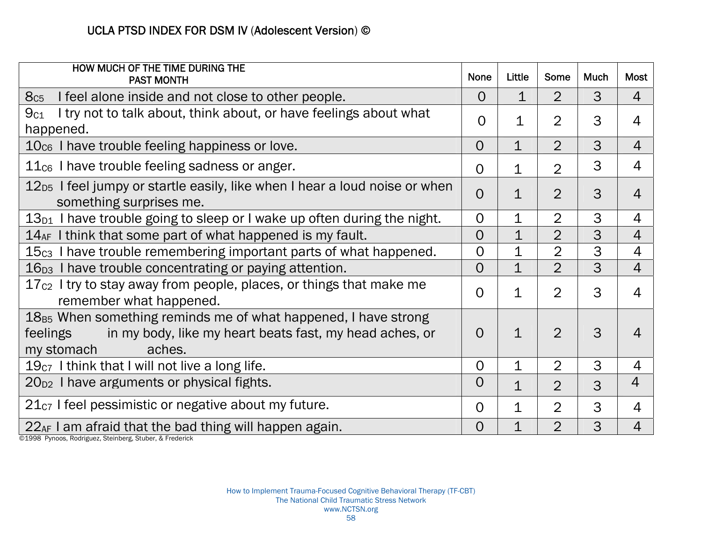| HOW MUCH OF THE TIME DURING THE<br><b>PAST MONTH</b>                                                                                                               | <b>None</b>    | Little         | Some           | <b>Much</b> | <b>Most</b>                |
|--------------------------------------------------------------------------------------------------------------------------------------------------------------------|----------------|----------------|----------------|-------------|----------------------------|
| 8c <sub>5</sub><br>I feel alone inside and not close to other people.                                                                                              | $\overline{O}$ | $\overline{1}$ | $\overline{2}$ | 3           | $\overline{4}$             |
| I try not to talk about, think about, or have feelings about what<br>9c <sub>1</sub><br>happened.                                                                  | $\Omega$       | 1              | $\overline{2}$ | 3           | 4                          |
| $10cs$ I have trouble feeling happiness or love.                                                                                                                   | $\Omega$       | $\mathbf 1$    | $\overline{2}$ | 3           | $\overline{4}$             |
| $11c6$ I have trouble feeling sadness or anger.                                                                                                                    | 0              | 1              | $\overline{2}$ | 3           | $\overline{4}$             |
| 12 <sub>D5</sub> I feel jumpy or startle easily, like when I hear a loud noise or when<br>something surprises me.                                                  | $\Omega$       | $\mathbf 1$    | $\overline{2}$ | 3           | $\overline{4}$             |
| $13_{D1}$ I have trouble going to sleep or I wake up often during the night.                                                                                       | $\overline{O}$ | $\mathbf 1$    | $\overline{2}$ | 3           | $\overline{4}$             |
| $14_{AF}$ I think that some part of what happened is my fault.                                                                                                     | 0              | $\mathbf 1$    | $\overline{2}$ | 3           | $\overline{4}$             |
| 15 <sub>c3</sub> I have trouble remembering important parts of what happened.                                                                                      | $\overline{0}$ | $\mathbf 1$    | $\overline{2}$ | 3           | $\overline{4}$             |
| 16 <sub>D3</sub> I have trouble concentrating or paying attention.                                                                                                 | 0              | $\mathbf{1}$   | $\overline{2}$ | 3           | $\overline{4}$             |
| $17c2$ I try to stay away from people, places, or things that make me<br>remember what happened.                                                                   | O              | $\mathbf 1$    | $\overline{2}$ | 3           | $\overline{4}$             |
| $18_{B5}$ When something reminds me of what happened, I have strong<br>feelings<br>in my body, like my heart beats fast, my head aches, or<br>my stomach<br>aches. | O              | $\mathbf{1}$   | $\overline{2}$ | 3           | $\boldsymbol{\mathcal{A}}$ |
| $19c7$ I think that I will not live a long life.                                                                                                                   | $\overline{O}$ | $\mathbf 1$    | $\overline{2}$ | 3           | $\overline{4}$             |
| $20_{D2}$ I have arguments or physical fights.                                                                                                                     | $\overline{0}$ | $\mathbf 1$    | $\overline{2}$ | 3           | $\overline{4}$             |
| $21_{C7}$ I feel pessimistic or negative about my future.                                                                                                          | $\Omega$       | $\mathbf 1$    | $\overline{2}$ | 3           | $\overline{4}$             |
| $22_{AF}$ I am afraid that the bad thing will happen again.                                                                                                        | 0              | $\mathbf 1$    | $\overline{2}$ | 3           | $\overline{4}$             |

©1998 Pynoos, Rodriguez, Steinberg, Stuber, & Frederick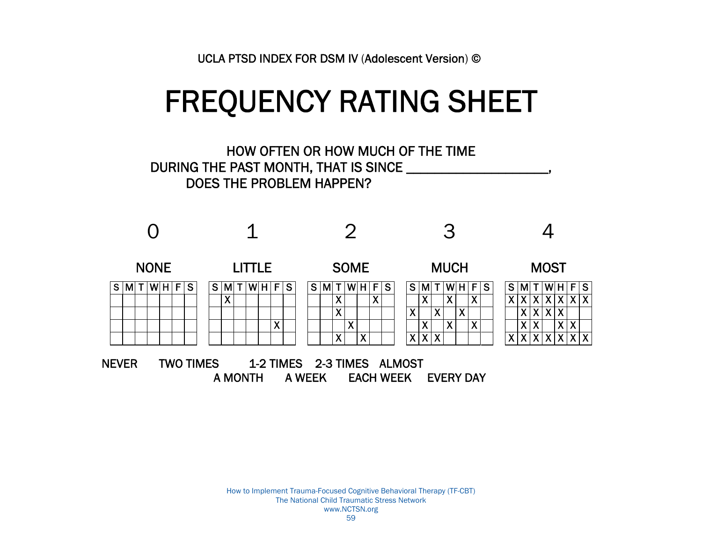# FREQUENCY RATING SHEET



A MONTH A WEEK EACH WEEK EVERY DAY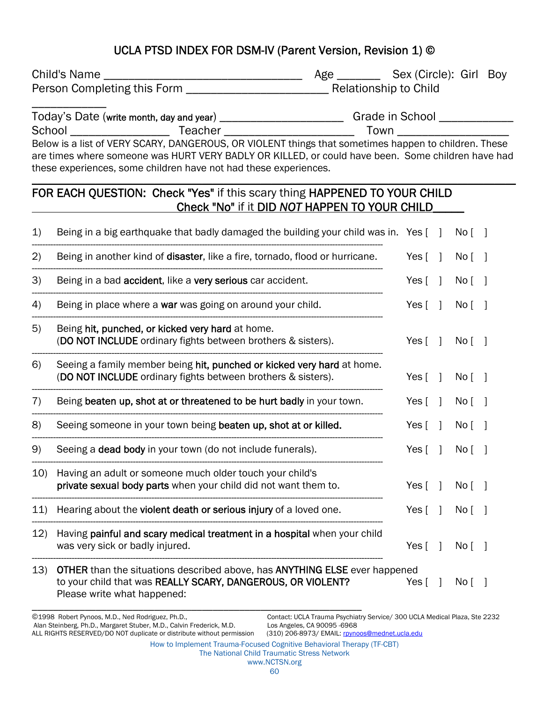Child's Name \_\_\_\_\_\_\_\_\_\_\_\_\_\_\_\_\_\_\_\_\_\_\_\_\_\_\_\_\_\_\_\_ Age \_\_\_\_\_\_\_ Sex (Circle): Girl Boy Person Completing this Form \_\_\_\_\_\_\_\_\_\_\_\_\_\_\_\_\_\_\_\_\_\_\_ Relationship to Child

\_\_\_\_\_\_\_\_\_\_\_\_

#### Today's Date (write month, day and year) \_\_\_\_\_\_\_\_\_\_\_\_\_\_\_\_\_\_\_\_\_\_\_\_\_\_\_\_\_\_\_Grade in School \_\_\_\_\_\_\_\_\_\_\_\_\_\_\_\_\_\_\_\_\_\_ School \_\_\_\_\_\_\_\_\_\_\_\_\_\_\_\_ Teacher \_\_\_\_\_\_\_\_\_\_\_\_\_\_\_\_\_\_\_\_\_ Town \_\_\_\_\_\_\_\_\_\_\_\_\_\_\_\_\_\_ Below is a list of VERY SCARY, DANGEROUS, OR VIOLENT things that sometimes happen to children. These

are times where someone was HURT VERY BADLY OR KILLED, or could have been. Some children have had these experiences, some children have not had these experiences. \_\_\_\_\_\_\_\_\_\_\_\_\_\_\_\_\_\_\_\_\_\_\_\_\_\_\_\_\_\_\_\_\_\_\_\_\_\_\_\_\_\_\_\_\_\_\_\_\_\_\_\_\_\_\_\_\_\_\_\_\_\_\_\_\_\_\_\_\_\_\_\_\_\_\_\_\_\_\_\_\_\_\_\_\_\_\_\_\_\_\_

#### FOR EACH QUESTION: Check "Yes" if this scary thing HAPPENED TO YOUR CHILD Check "No" if it DID *NOT* HAPPEN TO YOUR CHILD\_\_\_\_\_

| $\mathbf{1}$ | Being in a big earthquake that badly damaged the building your child was in. Yes [10]                                                                                                  |                           |                          | No <sub>1</sub> |                          |
|--------------|----------------------------------------------------------------------------------------------------------------------------------------------------------------------------------------|---------------------------|--------------------------|-----------------|--------------------------|
| 2)           | Being in another kind of disaster, like a fire, tornado, flood or hurricane.                                                                                                           | Yes $\lceil \quad \rceil$ |                          | No <sub>1</sub> |                          |
| 3)           | Being in a bad accident, like a very serious car accident.                                                                                                                             | Yes $\lceil$              | $\overline{\phantom{a}}$ | No [            |                          |
| 4)           | Being in place where a war was going on around your child.                                                                                                                             | Yes $\lceil$              | $\overline{1}$           | No <sub>1</sub> |                          |
| 5)           | Being hit, punched, or kicked very hard at home.<br>(DO NOT INCLUDE ordinary fights between brothers & sisters).                                                                       | Yes $\lceil \quad \rceil$ |                          | No <sub>1</sub> |                          |
| 6)           | Seeing a family member being hit, punched or kicked very hard at home.<br>(DO NOT INCLUDE ordinary fights between brothers & sisters).                                                 | Yes $\lceil \quad \rceil$ |                          | No <sub>1</sub> |                          |
| 7)           | Being beaten up, shot at or threatened to be hurt badly in your town.                                                                                                                  | Yes $\lceil \quad \rceil$ |                          | No <sub>1</sub> | $\overline{\phantom{a}}$ |
| 8)           | Seeing someone in your town being beaten up, shot at or killed.                                                                                                                        | Yes $\lceil$              | $\blacksquare$           | No <sub>1</sub> |                          |
| 9)           | Seeing a <b>dead body</b> in your town (do not include funerals).                                                                                                                      | Yes $\lceil \quad \rceil$ |                          | No <sub>1</sub> |                          |
| 10)          | Having an adult or someone much older touch your child's<br>private sexual body parts when your child did not want them to.                                                            | Yes $[ \ ]$               |                          | No [            |                          |
| 11)          | Hearing about the violent death or serious injury of a loved one.                                                                                                                      | Yes $\lceil \quad \rceil$ |                          | No <sub>1</sub> |                          |
| 12)          | Having painful and scary medical treatment in a hospital when your child<br>was very sick or badly injured.                                                                            | Yes [                     | -1                       | No <sub>1</sub> | $\overline{\phantom{a}}$ |
| 13)          | <b>OTHER</b> than the situations described above, has <b>ANYTHING ELSE</b> ever happened<br>to your child that was REALLY SCARY, DANGEROUS, OR VIOLENT?<br>Please write what happened: | Yes [                     | $\overline{\phantom{a}}$ | No <sub>1</sub> |                          |

©1998 Robert Pynoos, M.D., Ned Rodriguez, Ph.D., Contact: UCLA Trauma Psychiatry Service/ 300 UCLA Medical Plaza, Ste 2232

How to Implement Trauma-Focused Cognitive Behavioral Therapy (TF-CBT)

#### The National Child Traumatic Stress Network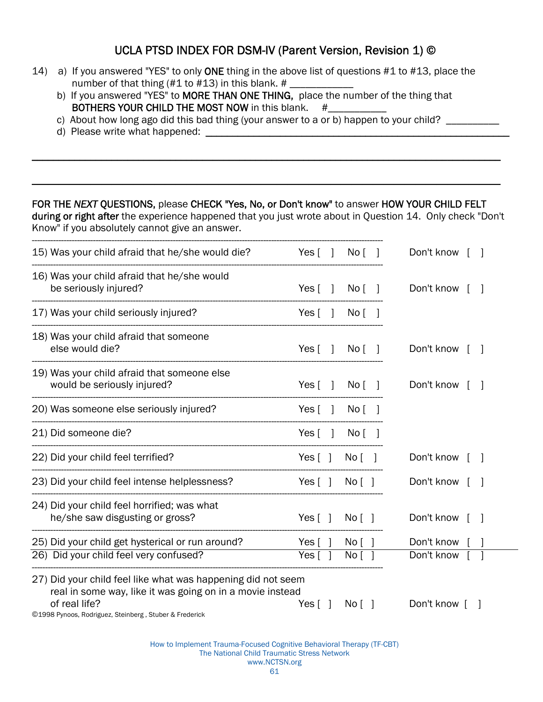- 14) a) If you answered "YES" to only ONE thing in the above list of questions #1 to #13, place the number of that thing (#1 to #13) in this blank. #
	- b) If you answered "YES" to MORE THAN ONE THING, place the number of the thing that BOTHERS YOUR CHILD THE MOST NOW in this blank.  $#$
	- c) About how long ago did this bad thing (your answer to a or b) happen to your child? \_\_\_\_\_\_\_\_\_\_
	- d) Please write what happened: \_\_\_\_\_\_\_\_\_\_\_\_\_\_\_\_\_\_\_\_\_\_\_\_\_\_\_\_\_\_\_\_\_\_\_\_\_\_\_\_\_\_\_\_\_\_\_\_\_\_\_\_\_\_\_\_\_

#### FOR THE *NEXT* QUESTIONS, please CHECK "Yes, No, or Don't know" to answer HOW YOUR CHILD FELT

during or right after the experience happened that you just wrote about in Question 14. Only check "Don't Know" if you absolutely cannot give an answer.

 $\mathcal{L}_\text{max}$  , and the contract of the contract of the contract of the contract of the contract of the contract of the contract of the contract of the contract of the contract of the contract of the contract of the contr

 $\mathcal{L}_\mathcal{L} = \mathcal{L}_\mathcal{L} = \mathcal{L}_\mathcal{L} = \mathcal{L}_\mathcal{L} = \mathcal{L}_\mathcal{L} = \mathcal{L}_\mathcal{L} = \mathcal{L}_\mathcal{L} = \mathcal{L}_\mathcal{L} = \mathcal{L}_\mathcal{L} = \mathcal{L}_\mathcal{L} = \mathcal{L}_\mathcal{L} = \mathcal{L}_\mathcal{L} = \mathcal{L}_\mathcal{L} = \mathcal{L}_\mathcal{L} = \mathcal{L}_\mathcal{L} = \mathcal{L}_\mathcal{L} = \mathcal{L}_\mathcal{L}$ 

| 15) Was your child afraid that he/she would die?                                                                          | No <sub>1</sub><br>Yes $\lceil \quad \rceil$ | Don't know   |
|---------------------------------------------------------------------------------------------------------------------------|----------------------------------------------|--------------|
| 16) Was your child afraid that he/she would<br>be seriously injured?                                                      | No <sub>1</sub><br>Yes $\lceil \quad \rceil$ | Don't know   |
| 17) Was your child seriously injured?                                                                                     | Yes [<br>No [<br>$\overline{1}$              |              |
| 18) Was your child afraid that someone<br>else would die?                                                                 | Yes [<br>No [                                | Don't know   |
| 19) Was your child afraid that someone else<br>would be seriously injured?                                                | Yes [<br>No <sub>1</sub><br>$\perp$          | Don't know   |
| 20) Was someone else seriously injured?                                                                                   | Yes [<br>No <sub>1</sub>                     |              |
| 21) Did someone die?                                                                                                      | Yes [<br>No <sub>1</sub>                     |              |
| 22) Did your child feel terrified?                                                                                        | Yes $\lceil \; \rceil$<br>No [               | Don't know [ |
| 23) Did your child feel intense helplessness?                                                                             | Yes $\lceil \; \rceil$<br>No [               | Don't know   |
| 24) Did your child feel horrified; was what<br>he/she saw disgusting or gross?                                            | Yes $\lceil \; \rceil$<br>No [               | Don't know   |
| 25) Did your child get hysterical or run around?                                                                          | Yes $\lceil \; \rceil$<br>No [               | Don't know   |
| 26) Did your child feel very confused?                                                                                    | Yes [<br>No <sub>l</sub>                     | Don't know   |
| 27) Did your child feel like what was happening did not seem<br>real in some way, like it was going on in a movie instead |                                              |              |
| of real life?<br>©1998 Pynoos, Rodriguez, Steinberg, Stuber & Frederick                                                   | Yes $\lceil \; \rceil$<br>No [               | Don't know [ |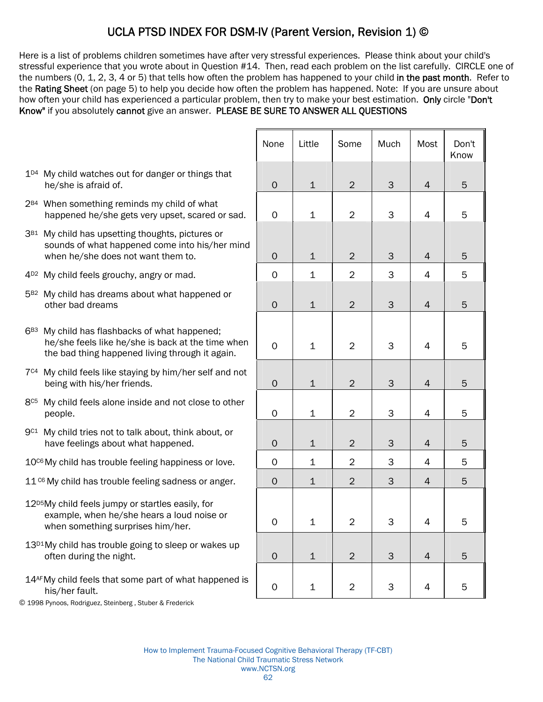Here is a list of problems children sometimes have after very stressful experiences. Please think about your child's stressful experience that you wrote about in Question #14. Then, read each problem on the list carefully. CIRCLE one of the numbers (0, 1, 2, 3, 4 or 5) that tells how often the problem has happened to your child in the past month. Refer to the Rating Sheet (on page 5) to help you decide how often the problem has happened. Note: If you are unsure about how often your child has experienced a particular problem, then try to make your best estimation. Only circle "Don't Know" if you absolutely cannot give an answer. PLEASE BE SURE TO ANSWER ALL QUESTIONS

- 1<sup>D4</sup> My child watches out for danger or things that he/she is afraid of.
- 2<sup>B4</sup> When something reminds my child of what happened he/she gets very upset, scared or sad.
- 3<sup>B1</sup> My child has upsetting thoughts, pictures or sounds of what happened come into his/her mind when he/she does not want them to.
- $4^{D2}$  My child feels grouchy, angry or mad.
- 5B2 My child has dreams about what happened or other bad dreams
- $6B3$  My child has flashbacks of what happened; he/she feels like he/she is back at the time when the bad thing happened living through it again.
- 7<sup>C4</sup> My child feels like staying by him/her self and not being with his/her friends.
- 8<sup>C5</sup> My child feels alone inside and not close to other people. 0 1 2 3 4 5
- 9C1 My child tries not to talk about, think about, or have feelings about what happened.
- $10<sup>CB</sup>$  My child has trouble feeling happiness or love.
- $11<sup>°6</sup>$  My child has trouble feeling sadness or anger.
- 12<sup>p5</sup>My child feels jumpy or startles easily, for example, when he/she hears a loud noise or when something surprises him/her.
- 13<sup>D1</sup>My child has trouble going to sleep or wakes up often during the night.
- 14AFMy child feels that some part of what happened is
- © 1998 Pynoos, Rodriguez, Steinberg , Stuber & Frederick

|                                                                                                                                                   | None         | Little       | Some           | Much | Most           | Don't<br>Know |
|---------------------------------------------------------------------------------------------------------------------------------------------------|--------------|--------------|----------------|------|----------------|---------------|
| My child watches out for danger or things that<br>he/she is afraid of.                                                                            | $\mathbf 0$  | $\mathbf 1$  | $\overline{2}$ | 3    | $\overline{4}$ | 5             |
| When something reminds my child of what<br>happened he/she gets very upset, scared or sad.                                                        | $\mathbf 0$  | $\mathbf 1$  | $\overline{2}$ | 3    | $\overline{4}$ | 5             |
| My child has upsetting thoughts, pictures or<br>sounds of what happened come into his/her mind<br>when he/she does not want them to.              | $\mathbf 0$  | $1\,$        | $\overline{2}$ | 3    | 4              | 5             |
| My child feels grouchy, angry or mad.                                                                                                             | $\mathbf 0$  | $\mathbf 1$  | $\overline{2}$ | 3    | 4              | 5             |
| My child has dreams about what happened or<br>other bad dreams                                                                                    | $\mathbf 0$  | $\mathbf 1$  | $\overline{2}$ | 3    | $\overline{4}$ | 5             |
| My child has flashbacks of what happened;<br>he/she feels like he/she is back at the time when<br>the bad thing happened living through it again. | $\mathbf 0$  | $\mathbf 1$  | $\overline{2}$ | 3    | $\overline{4}$ | 5             |
| My child feels like staying by him/her self and not<br>being with his/her friends.                                                                | $\circ$      | $\mathbf 1$  | $\overline{2}$ | 3    | 4              | 5             |
| My child feels alone inside and not close to other<br>people.                                                                                     | $\mathsf{O}$ | $\mathbf 1$  | $\overline{2}$ | 3    | $\overline{4}$ | 5             |
| My child tries not to talk about, think about, or<br>have feelings about what happened.                                                           | $\mathbf 0$  | $1\,$        | $\overline{2}$ | 3    | 4              | 5             |
| My child has trouble feeling happiness or love.                                                                                                   | $\mathbf 0$  | 1            | 2              | 3    | 4              | 5             |
| My child has trouble feeling sadness or anger.                                                                                                    | $\Omega$     | $\mathbf{1}$ | $\overline{2}$ | 3    | $\overline{4}$ | 5             |
| My child feels jumpy or startles easily, for<br>example, when he/she hears a loud noise or<br>when something surprises him/her.                   | $\Omega$     | 1            | $\overline{2}$ | 3    | 4              | 5             |
| My child has trouble going to sleep or wakes up<br>often during the night.                                                                        | $\mathbf 0$  | $\mathbf 1$  | $\overline{2}$ | 3    | $\overline{4}$ | 5             |
| My child feels that some part of what happened is<br>his/her fault.                                                                               | 0            | 1            | $\overline{c}$ | 3    | 4              | 5             |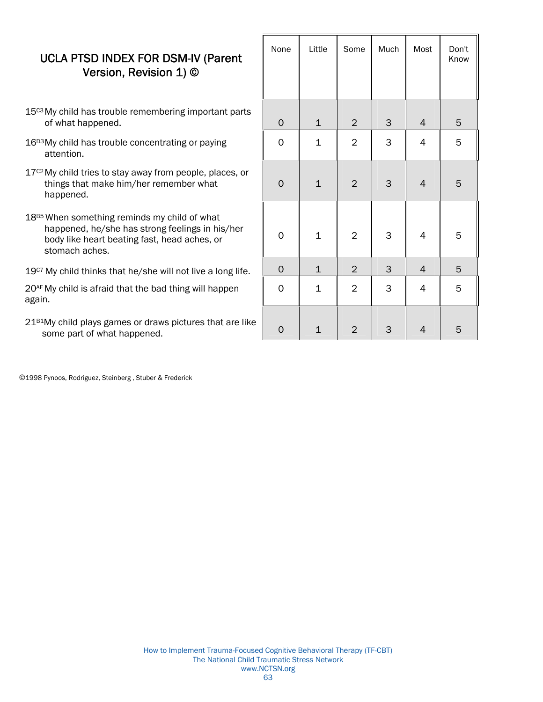- 15<sup>c3</sup> My child has trouble remembering important parts of what happened.
- 16<sup>D3</sup> My child has trouble concentrating or paying attention.
- 17<sup>c2</sup> My child tries to stay away from people, places, or things that make him/her remember what happened.
- 18<sup>B5</sup> When something reminds my child of what happened, he/she has strong feelings in his/her body like heart beating fast, head aches, or stomach aches.

 $19<sup>CT</sup>$  My child thinks that he/she will not live a long life.

20AF My child is afraid that the bad thing will happen again.

21B1My child plays games or draws pictures that are like some part of what happened.

| None         | Little      | Some           | Much        | Most                     | Don't<br>Know |
|--------------|-------------|----------------|-------------|--------------------------|---------------|
| $\mathsf O$  | $\mathbf 1$ | $\overline{2}$ | $\mathsf 3$ | $\overline{4}$           | $\mathbf 5$   |
| $\mathsf{O}$ | $\mathbf 1$ | $\overline{c}$ | 3           | $\overline{\mathcal{L}}$ | 5             |
| $\mathsf{O}$ | $\mathbf 1$ | $\overline{c}$ | 3           | $\overline{4}$           | 5             |
| $\mathsf{O}$ | $\mathbf 1$ | $\overline{c}$ | 3           | $\overline{\mathcal{L}}$ | 5             |
| $\mathsf O$  | $\mathbf 1$ | $\overline{2}$ | $\mathsf 3$ | $\overline{4}$           | 5             |
| $\mathsf{O}$ | $\mathbf 1$ | $\overline{2}$ | 3           | $\overline{\mathcal{L}}$ | 5             |
| $\mathbf{O}$ | $\mathbf 1$ | $\mathbf 2$    | 3           | $\overline{4}$           | 5             |

©1998 Pynoos, Rodriguez, Steinberg , Stuber & Frederick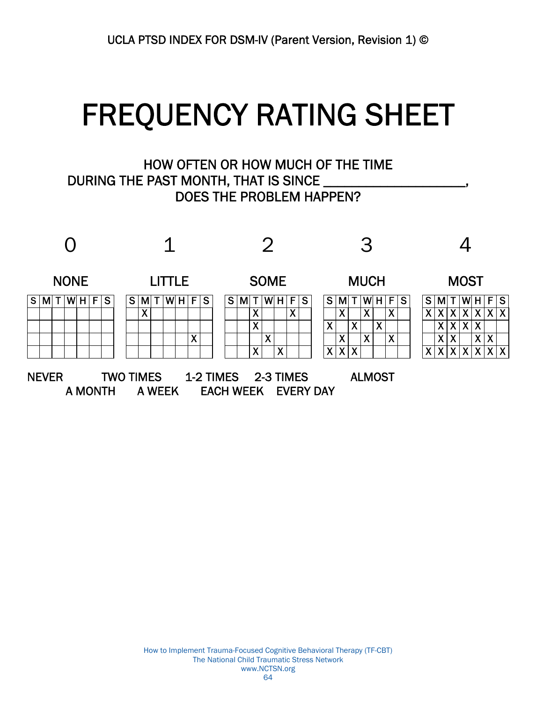# FREQUENCY RATING SHEET<br>HOW OFTEN OR HOW MUCH OF THE TIME

## DURING THE PAST MONTH, THAT IS SINCE DOES THE PROBLEM HAPPEN?

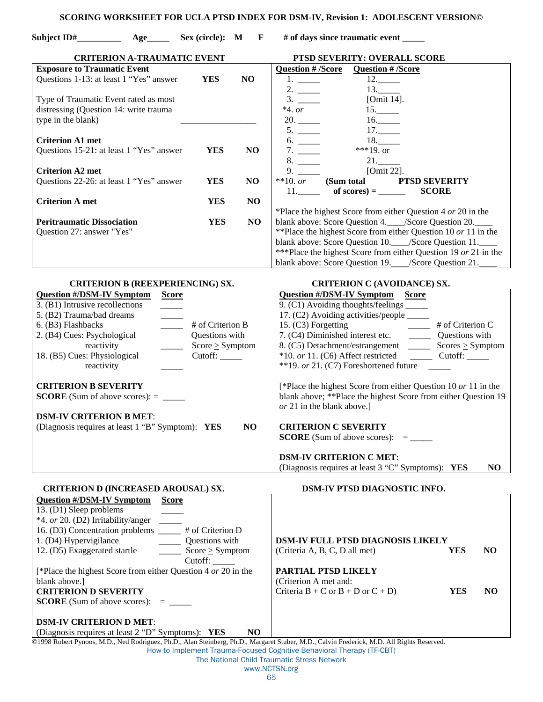#### **SCORING WORKSHEET FOR UCLA PTSD INDEX FOR DSM-IV, Revision 1: ADOLESCENT VERSION©**

Subject  $ID#$  **Age\_\_\_\_** Age\_\_\_\_\_ Sex (circle): M F # of days since traumatic event \_\_\_\_

| <b>CRITERION A-TRAUMATIC EVENT</b>                                                                                   |                      |                | PTSD SEVERITY: OVERALL SCORE                                                                                                               |  |
|----------------------------------------------------------------------------------------------------------------------|----------------------|----------------|--------------------------------------------------------------------------------------------------------------------------------------------|--|
| <b>Exposure to Traumatic Event</b>                                                                                   |                      |                | <b>Question # /Score</b><br><b>Question # /Score</b>                                                                                       |  |
| Questions 1-13: at least 1 "Yes" answer                                                                              | <b>YES</b>           | N <sub>O</sub> | 12.<br>1.                                                                                                                                  |  |
|                                                                                                                      |                      |                | 13.<br>2.                                                                                                                                  |  |
| Type of Traumatic Event rated as most                                                                                |                      |                | [Omit 14].                                                                                                                                 |  |
| distressing (Question 14: write trauma                                                                               |                      |                | $*4.$ or<br>15.                                                                                                                            |  |
| type in the blank)                                                                                                   |                      |                | 20.<br>16.                                                                                                                                 |  |
|                                                                                                                      |                      |                | 17.<br>5.                                                                                                                                  |  |
| <b>Criterion A1 met</b>                                                                                              |                      |                | 18.<br>6.                                                                                                                                  |  |
| Questions 15-21: at least 1 "Yes" answer                                                                             | <b>YES</b>           | NO             | ***19. or<br>7.                                                                                                                            |  |
|                                                                                                                      |                      |                | $21$ .                                                                                                                                     |  |
| <b>Criterion A2 met</b>                                                                                              |                      |                | [Omit 22].<br>9.                                                                                                                           |  |
| Questions 22-26: at least 1 "Yes" answer                                                                             | <b>YES</b>           | NO             | (Sum total PTSD SEVERITY<br>$**10.$ or                                                                                                     |  |
|                                                                                                                      |                      |                | of scores) = $\_\_$<br><b>SCORE</b><br>11.                                                                                                 |  |
| <b>Criterion A met</b>                                                                                               | <b>YES</b>           | N <sub>O</sub> |                                                                                                                                            |  |
|                                                                                                                      |                      |                | *Place the highest Score from either Question 4 or 20 in the                                                                               |  |
| <b>Peritraumatic Dissociation</b>                                                                                    | <b>YES</b>           | N <sub>O</sub> | blank above: Score Question 4.___/Score Question 20.__                                                                                     |  |
| Question 27: answer "Yes"                                                                                            |                      |                | **Place the highest Score from either Question 10 or 11 in the                                                                             |  |
|                                                                                                                      |                      |                | blank above: Score Question 10.___/Score Question 11.___                                                                                   |  |
|                                                                                                                      |                      |                | ***Place the highest Score from either Question 19 or 21 in the                                                                            |  |
|                                                                                                                      |                      |                | blank above: Score Question 19.___/Score Question 21._                                                                                     |  |
|                                                                                                                      |                      |                |                                                                                                                                            |  |
| <b>CRITERION B (REEXPERIENCING) SX.</b>                                                                              |                      |                | <b>CRITERION C (AVOIDANCE) SX.</b>                                                                                                         |  |
| <b>Question #/DSM-IV Symptom</b><br><b>Score</b>                                                                     |                      |                | <b>Question #/DSM-IV Symptom Score</b>                                                                                                     |  |
| 3. (B1) Intrusive recollections<br>$\overline{\phantom{a}}$                                                          |                      |                | 9. (C1) Avoiding thoughts/feelings                                                                                                         |  |
| 5. (B2) Trauma/bad dreams                                                                                            |                      |                | 17. (C2) Avoiding activities/people _____                                                                                                  |  |
| 6. (B3) Flashbacks<br>$\frac{1}{2}$                                                                                  | # of Criterion B     |                | 15. (C3) Forgetting<br>$\frac{1}{\sqrt{1-\frac{1}{2}}}$ # of Criterion C                                                                   |  |
| 2. (B4) Cues: Psychological                                                                                          | Questions with       |                | 7. (C4) Diminished interest etc. ____________ Questions with                                                                               |  |
| reactivity<br>$\frac{1}{1}$                                                                                          | $Score \geq Symptom$ |                |                                                                                                                                            |  |
| 18. (B5) Cues: Physiological                                                                                         |                      |                | *10. or 11. (C6) Affect restricted ____________ Cutoff: _______                                                                            |  |
| reactivity                                                                                                           |                      |                | **19. or 21. (C7) Foreshortened future $\qquad \qquad$                                                                                     |  |
|                                                                                                                      |                      |                |                                                                                                                                            |  |
| <b>CRITERION B SEVERITY</b>                                                                                          |                      |                | [*Place the highest Score from either Question 10 or 11 in the                                                                             |  |
| <b>SCORE</b> (Sum of above scores): $=$ _________                                                                    |                      |                | blank above; ** Place the highest Score from either Question 19                                                                            |  |
|                                                                                                                      |                      |                | or 21 in the blank above.]                                                                                                                 |  |
| <b>DSM-IV CRITERION B MET:</b>                                                                                       |                      |                |                                                                                                                                            |  |
| (Diagnosis requires at least 1 "B" Symptom): YES                                                                     |                      | N <sub>O</sub> | <b>CRITERION C SEVERITY</b>                                                                                                                |  |
|                                                                                                                      |                      |                |                                                                                                                                            |  |
|                                                                                                                      |                      |                |                                                                                                                                            |  |
|                                                                                                                      |                      |                | <b>DSM-IV CRITERION C MET:</b>                                                                                                             |  |
|                                                                                                                      |                      |                | (Diagnosis requires at least 3 "C" Symptoms): YES<br>N <sub>O</sub>                                                                        |  |
|                                                                                                                      |                      |                |                                                                                                                                            |  |
| <b>CRITERION D (INCREASED AROUSAL) SX.</b>                                                                           |                      |                | DSM-IV PTSD DIAGNOSTIC INFO.                                                                                                               |  |
| <b>Question #/DSM-IV Symptom</b><br><b>Score</b>                                                                     |                      |                |                                                                                                                                            |  |
| 13. (D1) Sleep problems                                                                                              |                      |                |                                                                                                                                            |  |
| *4. or 20. (D2) Irritability/anger                                                                                   |                      |                |                                                                                                                                            |  |
| 16. (D3) Concentration problems ______ # of Criterion D                                                              |                      |                |                                                                                                                                            |  |
| 1. (D4) Hypervigilance                                                                                               | Questions with       |                | <b>DSM-IV FULL PTSD DIAGNOSIS LIKELY</b>                                                                                                   |  |
| 12. (D5) Exaggerated startle                                                                                         | Score > Symptom      |                | (Criteria A, B, C, D all met)<br><b>YES</b><br>N <sub>O</sub>                                                                              |  |
|                                                                                                                      |                      |                |                                                                                                                                            |  |
|                                                                                                                      | Cutoff:              |                |                                                                                                                                            |  |
| [*Place the highest Score from either Question 4 or 20 in the                                                        |                      |                | PARTIAL PTSD LIKELY                                                                                                                        |  |
| blank above.]                                                                                                        |                      |                | (Criterion A met and:                                                                                                                      |  |
| <b>CRITERION D SEVERITY</b>                                                                                          |                      |                | Criteria $B + C$ or $B + D$ or $C + D$ )<br><b>YES</b><br>N <sub>O</sub>                                                                   |  |
| <b>SCORE</b> (Sum of above scores): $=$ ________                                                                     |                      |                |                                                                                                                                            |  |
|                                                                                                                      |                      |                |                                                                                                                                            |  |
| <b>DSM-IV CRITERION D MET:</b>                                                                                       |                      |                |                                                                                                                                            |  |
| (Diagnosis requires at least 2 "D" Symptoms): YES                                                                    |                      | N <sub>O</sub> |                                                                                                                                            |  |
|                                                                                                                      |                      |                | @1998 Robert Pynoos, M.D., Ned Rodriguez, Ph.D., Alan Steinberg, Ph.D., Margaret Stuber, M.D., Calvin Frederick, M.D. All Rights Reserved. |  |
| How to Implement Trauma-Focused Cognitive Behavioral Therapy (TF-CBT)<br>The National Child Traumatic Stress Network |                      |                |                                                                                                                                            |  |
|                                                                                                                      |                      |                | www.NCTSN.org                                                                                                                              |  |
|                                                                                                                      |                      |                | 65                                                                                                                                         |  |
|                                                                                                                      |                      |                |                                                                                                                                            |  |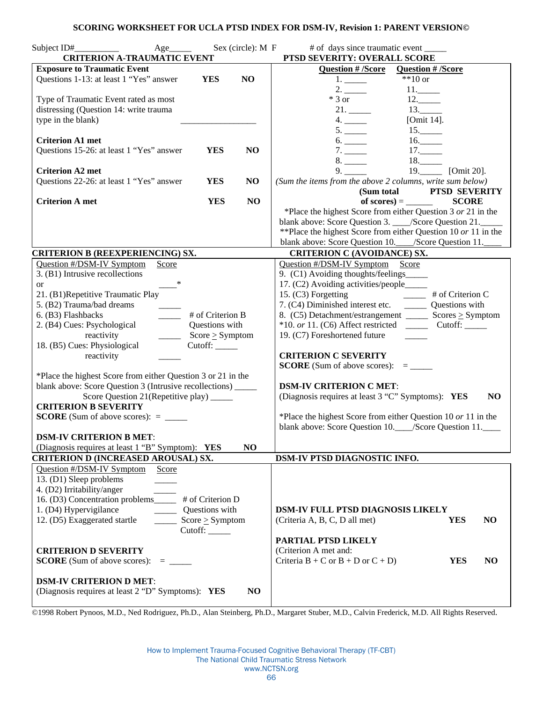#### **SCORING WORKSHEET FOR UCLA PTSD INDEX FOR DSM-IV, Revision 1: PARENT VERSION©**

| Sex (circle): M F<br>$Age$ <sub>________</sub><br><b>CRITERION A-TRAUMATIC EVENT</b> | # of days since traumatic event _______<br>PTSD SEVERITY: OVERALL SCORE                            |  |  |
|--------------------------------------------------------------------------------------|----------------------------------------------------------------------------------------------------|--|--|
| <b>Exposure to Traumatic Event</b>                                                   | Question # /Score<br><b>Question # /Score</b>                                                      |  |  |
| Questions 1-13: at least 1 "Yes" answer<br><b>YES</b><br>N <sub>O</sub>              | $**10$ or<br>1.                                                                                    |  |  |
|                                                                                      | 2.<br>11.                                                                                          |  |  |
| Type of Traumatic Event rated as most                                                | $*3$ or<br>12.                                                                                     |  |  |
| distressing (Question 14: write trauma                                               | 13.                                                                                                |  |  |
| type in the blank)                                                                   | [Omit 14].<br>4.                                                                                   |  |  |
|                                                                                      | 15.<br>5.                                                                                          |  |  |
| <b>Criterion A1 met</b>                                                              | 6.                                                                                                 |  |  |
| Questions 15-26: at least 1 "Yes" answer<br><b>YES</b><br>NO                         | 16.                                                                                                |  |  |
|                                                                                      | 17.<br>7.<br>18.                                                                                   |  |  |
| <b>Criterion A2 met</b>                                                              | 8.<br>19. [Omit 20].<br>9.                                                                         |  |  |
| Questions 22-26: at least 1 "Yes" answer<br><b>YES</b><br>NO                         | (Sum the items from the above 2 columns, write sum below)                                          |  |  |
|                                                                                      | (Sum total PTSD SEVERITY                                                                           |  |  |
| <b>Criterion A met</b><br><b>YES</b><br>N <sub>O</sub>                               | <b>SCORE</b>                                                                                       |  |  |
|                                                                                      | *Place the highest Score from either Question $3$ or $21$ in the                                   |  |  |
|                                                                                      |                                                                                                    |  |  |
|                                                                                      | blank above: Score Question 3. ___/Score Question 21. _____                                        |  |  |
|                                                                                      | **Place the highest Score from either Question 10 or 11 in the                                     |  |  |
| <b>CRITERION B (REEXPERIENCING) SX.</b>                                              | blank above: Score Question 10.___/Score Question 11.<br><b>CRITERION C (AVOIDANCE) SX.</b>        |  |  |
| Question #/DSM-IV Symptom<br>Score                                                   | Question #/DSM-IV Symptom Score                                                                    |  |  |
| 3. (B1) Intrusive recollections                                                      | 9. (C1) Avoiding thoughts/feelings_                                                                |  |  |
| $\ast$                                                                               | 17. (C2) Avoiding activities/people_____                                                           |  |  |
| <b>or</b><br>21. (B1)Repetitive Traumatic Play                                       |                                                                                                    |  |  |
| 5. (B2) Trauma/bad dreams                                                            | 15. (C3) Forgetting # of Criterion C<br>7. (C4) Diminished interest etc. __________ Questions with |  |  |
| 6. (B3) Flashbacks<br># of Criterion B                                               |                                                                                                    |  |  |
| $\frac{1}{1}$                                                                        | 8. $(C5)$ Detachment/estrangement _________ Scores $\geq$ Symptom                                  |  |  |
| 2. (B4) Cues: Psychological<br>Questions with                                        |                                                                                                    |  |  |
| reactivity<br>$\frac{\ }{\ }$ Score $\geq$ Symptom                                   | 19. (C7) Foreshortened future                                                                      |  |  |
| 18. (B5) Cues: Physiological<br>Cutoff: $\_\_\_\_\_\_\_\$                            | <b>CRITERION C SEVERITY</b>                                                                        |  |  |
| reactivity                                                                           |                                                                                                    |  |  |
| *Place the highest Score from either Question 3 or 21 in the                         |                                                                                                    |  |  |
| blank above: Score Question 3 (Intrusive recollections) _____                        | <b>DSM-IV CRITERION C MET:</b>                                                                     |  |  |
|                                                                                      | (Diagnosis requires at least 3 "C" Symptoms): YES<br>N <sub>O</sub>                                |  |  |
| Score Question 21 (Repetitive play) ______<br><b>CRITERION B SEVERITY</b>            |                                                                                                    |  |  |
| <b>SCORE</b> (Sum of above scores): $=$ ________                                     | *Place the highest Score from either Question 10 or 11 in the                                      |  |  |
|                                                                                      | blank above: Score Question 10.____/Score Question 11.____                                         |  |  |
| <b>DSM-IV CRITERION B MET:</b>                                                       |                                                                                                    |  |  |
| NO<br>(Diagnosis requires at least 1 "B" Symptom): YES                               |                                                                                                    |  |  |
| <b>CRITERION D (INCREASED AROUSAL) SX.</b>                                           | DSM-IV PTSD DIAGNOSTIC INFO.                                                                       |  |  |
| Question #/DSM-IV Symptom<br>Score                                                   |                                                                                                    |  |  |
| 13. (D1) Sleep problems                                                              |                                                                                                    |  |  |
| 4. (D2) Irritability/anger                                                           |                                                                                                    |  |  |
| 16. (D3) Concentration problems<br># of Criterion D                                  |                                                                                                    |  |  |
| 1. (D4) Hypervigilance<br>Questions with                                             | <b>DSM-IV FULL PTSD DIAGNOSIS LIKELY</b>                                                           |  |  |
| 12. (D5) Exaggerated startle<br>Score $\geq$ Symptom                                 | (Criteria A, B, C, D all met)<br><b>YES</b><br>NO                                                  |  |  |
| Cutoff:                                                                              |                                                                                                    |  |  |
|                                                                                      | PARTIAL PTSD LIKELY                                                                                |  |  |
| <b>CRITERION D SEVERITY</b>                                                          | (Criterion A met and:                                                                              |  |  |
| <b>SCORE</b> (Sum of above scores): $=$ _________                                    | Criteria $B + C$ or $B + D$ or $C + D$ )<br><b>YES</b><br>NO                                       |  |  |
|                                                                                      |                                                                                                    |  |  |
| <b>DSM-IV CRITERION D MET:</b>                                                       |                                                                                                    |  |  |
| (Diagnosis requires at least 2 "D" Symptoms): YES<br>NO                              |                                                                                                    |  |  |
|                                                                                      |                                                                                                    |  |  |

©1998 Robert Pynoos, M.D., Ned Rodriguez, Ph.D., Alan Steinberg, Ph.D., Margaret Stuber, M.D., Calvin Frederick, M.D. All Rights Reserved.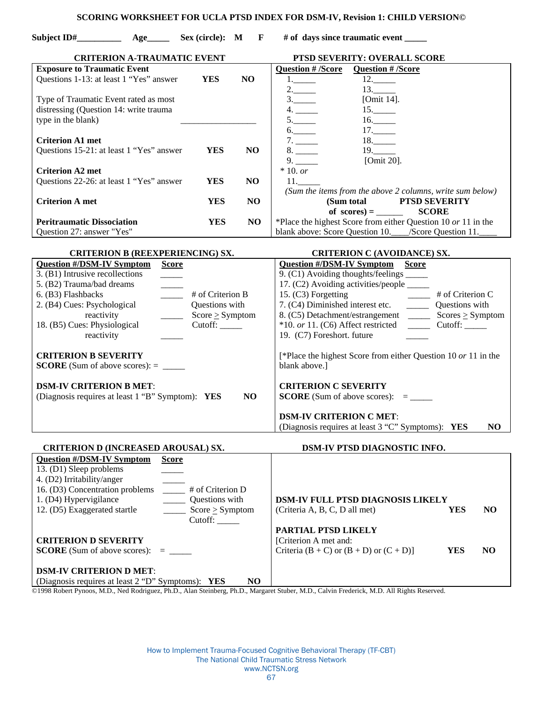#### **SCORING WORKSHEET FOR UCLA PTSD INDEX FOR DSM-IV, Revision 1: CHILD VERSION©**

Subject ID# Age Sex (circle): M F # of days since traumatic event  **CRITERION A-TRAUMATIC EVENT PTSD SEVERITY: OVERALL SCORE Exposure to Traumatic Event**  Questions 1-13: at least 1 "Yes" answer **YES NO** Type of Traumatic Event rated as most distressing (Question 14: write trauma type in the blank) **Criterion A1 met**  Questions 15-21: at least 1 "Yes" answer **YES NO Criterion A2 met**  Questions 22-26: at least 1 "Yes" answer **YES NO Criterion A met YES NO Peritraumatic Dissociation YES** NO Question 27: answer "Yes" **Question # /Score Question # /Score**   $\overline{12.}$  12.  $2.$  13. 3.\_\_\_\_\_ [Omit 14]. 4.  $15.$  $5.$  16.  $6.$  17. 7. \_\_\_\_\_\_\_\_ 18. \_\_\_\_  $\begin{array}{c}\n 8. \\
-4.19. \\
\hline\n 9. \\
\hline\n \end{array}$   $\begin{array}{c}\n 19. \\
\hline\n 19. \\
\hline\n 19.1122\n \end{array}$ [Omit 20]. \* 10. *or*  11.\_\_\_\_\_ *(Sum the items from the above 2 columns, write sum below)*   **(Sum total PTSD SEVERITY**   $\text{of scores} =$  **SCORE** \*Place the highest Score from either Question 10 *or* 11 in the blank above: Score Question 10.\_\_\_\_/Score Question 11.\_\_\_\_ **CRITERION B (REEXPERIENCING) SX. CRITERION C (AVOIDANCE) SX. Question #/DSM-IV Symptom Score** 3. (B1) Intrusive recollections 5. (B2) Trauma/bad dreams \_\_\_\_\_ 6. (B3) Flashbacks \_\_\_\_\_ # of Criterion B 2. (B4) Cues: Psychological Questions with reactivity  $Score \geq Symptom$ 18. (B5) Cues: Physiological Cutoff: reactivity **CRITERION B SEVERITY SCORE** (Sum of above scores): = \_\_\_\_\_ **DSM-IV CRITERION B MET**: (Diagnosis requires at least 1 "B" Symptom): **YES NO Question #/DSM-IV Symptom Score** 9. (C1) Avoiding thoughts/feelings \_\_\_\_\_ 17. (C2) Avoiding activities/people \_\_\_\_\_ 15. (C3) Forgetting # of Criterion C<br>7. (C4) Diminished interest etc. \_\_\_\_\_\_\_\_\_\_ 0uestions with 7. (C4) Diminished interest etc. 8. (C5) Detachment/estrangement  $\_\_\_\_\$  Scores  $\geq$  Symptom \*10. *or* 11. (C6) Affect restricted \_\_\_\_\_ Cutoff: \_\_\_\_\_ 19. (C7) Foreshort. future [\*Place the highest Score from either Question 10 *or* 11 in the blank above.] **CRITERION C SEVERITY SCORE** (Sum of above scores):  $=$ **DSM-IV CRITERION C MET**: (Diagnosis requires at least 3 "C" Symptoms): **YES NO CRITERION D (INCREASED AROUSAL) SX. DSM-IV PTSD DIAGNOSTIC INFO. Question #/DSM-IV Symptom Score** 13. (D1) Sleep problems \_\_\_\_\_ 4. (D2) Irritability/anger \_\_\_\_\_ 16. (D3) Concentration problems \_\_\_\_\_ # of Criterion D 1. (D4) Hypervigilance Questions with 12. (D5) Exaggerated startle  $\qquad \qquad \qquad \qquad$ Score  $\geq$  Symptom Cutoff: **CRITERION D SEVERITY SCORE** (Sum of above scores): = \_\_\_\_\_ **DSM-IV CRITERION D MET**: (Diagnosis requires at least 2 "D" Symptoms): **YES NO DSM-IV FULL PTSD DIAGNOSIS LIKELY**  (Criteria A, B, C, D all met) **YES NO PARTIAL PTSD LIKELY**  [Criterion A met and: Criteria  $(B + C)$  or  $(B + D)$  or  $(C + D)$ ] **YES** NO

©1998 Robert Pynoos, M.D., Ned Rodriguez, Ph.D., Alan Steinberg, Ph.D., Margaret Stuber, M.D., Calvin Frederick, M.D. All Rights Reserved.